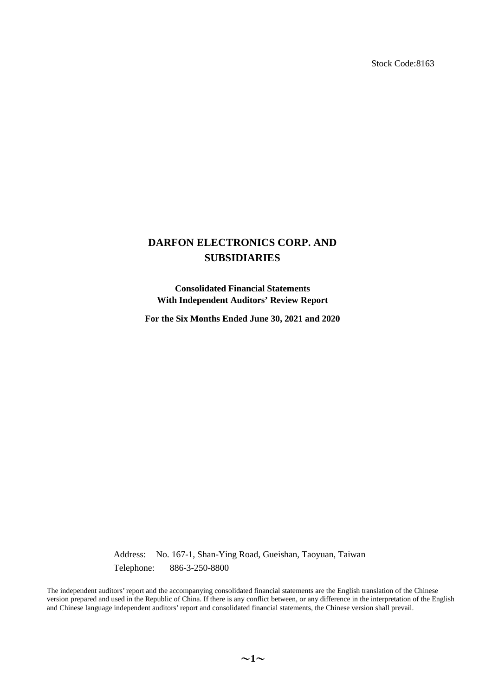Stock Code:8163

## **DARFON ELECTRONICS CORP. AND SUBSIDIARIES**

**Consolidated Financial Statements With Independent Auditors' Review Report**

**For the Six Months Ended June 30, 2021 and 2020** 

Address: No. 167-1, Shan-Ying Road, Gueishan, Taoyuan, Taiwan Telephone: 886-3-250-8800

The independent auditors' report and the accompanying consolidated financial statements are the English translation of the Chinese version prepared and used in the Republic of China. If there is any conflict between, or any difference in the interpretation of the English and Chinese language independent auditors' report and consolidated financial statements, the Chinese version shall prevail.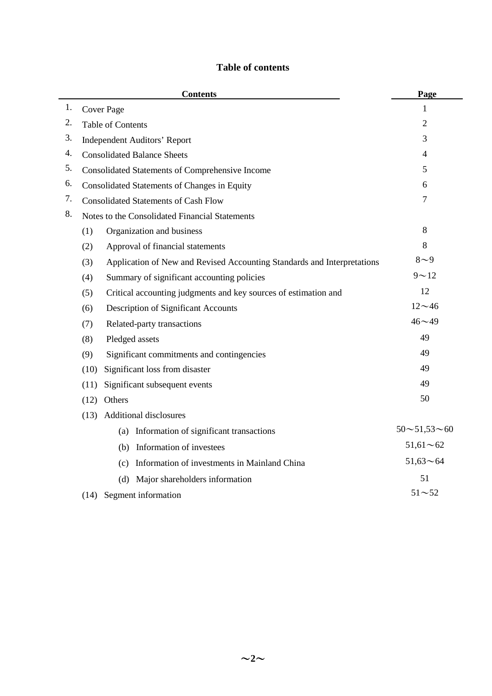|    |                                                        | <b>Contents</b>                                                         | Page                    |
|----|--------------------------------------------------------|-------------------------------------------------------------------------|-------------------------|
| 1. |                                                        | <b>Cover Page</b>                                                       | 1                       |
| 2. |                                                        | <b>Table of Contents</b>                                                | $\mathfrak{2}$          |
| 3. |                                                        | <b>Independent Auditors' Report</b>                                     | 3                       |
| 4. |                                                        | <b>Consolidated Balance Sheets</b>                                      | $\overline{4}$          |
| 5. | <b>Consolidated Statements of Comprehensive Income</b> | 5                                                                       |                         |
| 6. |                                                        | Consolidated Statements of Changes in Equity                            | 6                       |
| 7. |                                                        | <b>Consolidated Statements of Cash Flow</b>                             | $\tau$                  |
| 8. |                                                        | Notes to the Consolidated Financial Statements                          |                         |
|    | (1)                                                    | Organization and business                                               | 8                       |
|    | (2)                                                    | Approval of financial statements                                        | 8                       |
|    | (3)                                                    | Application of New and Revised Accounting Standards and Interpretations | $8 - 9$                 |
|    | (4)                                                    | Summary of significant accounting policies                              | $9 - 12$                |
|    | (5)                                                    | Critical accounting judgments and key sources of estimation and         | 12                      |
|    | (6)                                                    | Description of Significant Accounts                                     | $12 - 46$               |
|    | (7)                                                    | Related-party transactions                                              | $46 - 49$               |
|    | (8)                                                    | Pledged assets                                                          | 49                      |
|    | (9)                                                    | Significant commitments and contingencies                               | 49                      |
|    | (10)                                                   | Significant loss from disaster                                          | 49                      |
|    | (11)                                                   | Significant subsequent events                                           | 49                      |
|    | (12)                                                   | Others                                                                  | 50                      |
|    | (13)                                                   | <b>Additional disclosures</b>                                           |                         |
|    |                                                        | Information of significant transactions<br>(a)                          | $50 \sim 51,53 \sim 60$ |
|    |                                                        | Information of investees<br>(b)                                         | $51,61 \sim 62$         |
|    |                                                        | Information of investments in Mainland China<br>(c)                     | $51,63 \sim 64$         |
|    |                                                        | (d)<br>Major shareholders information                                   | 51                      |
|    |                                                        | (14) Segment information                                                | $51 - 52$               |

## **Table of contents**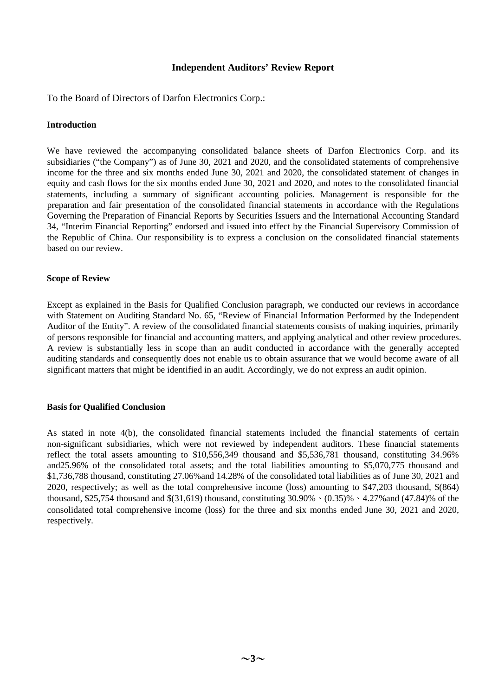### **Independent Auditors' Review Report**

To the Board of Directors of Darfon Electronics Corp.:

#### **Introduction**

We have reviewed the accompanying consolidated balance sheets of Darfon Electronics Corp. and its subsidiaries ("the Company") as of June 30, 2021 and 2020, and the consolidated statements of comprehensive income for the three and six months ended June 30, 2021 and 2020, the consolidated statement of changes in equity and cash flows for the six months ended June 30, 2021 and 2020, and notes to the consolidated financial statements, including a summary of significant accounting policies. Management is responsible for the preparation and fair presentation of the consolidated financial statements in accordance with the Regulations Governing the Preparation of Financial Reports by Securities Issuers and the International Accounting Standard 34, "Interim Financial Reporting" endorsed and issued into effect by the Financial Supervisory Commission of the Republic of China. Our responsibility is to express a conclusion on the consolidated financial statements based on our review.

#### **Scope of Review**

Except as explained in the Basis for Qualified Conclusion paragraph, we conducted our reviews in accordance with Statement on Auditing Standard No. 65, "Review of Financial Information Performed by the Independent Auditor of the Entity". A review of the consolidated financial statements consists of making inquiries, primarily of persons responsible for financial and accounting matters, and applying analytical and other review procedures. A review is substantially less in scope than an audit conducted in accordance with the generally accepted auditing standards and consequently does not enable us to obtain assurance that we would become aware of all significant matters that might be identified in an audit. Accordingly, we do not express an audit opinion.

#### **Basis for Qualified Conclusion**

As stated in note 4(b), the consolidated financial statements included the financial statements of certain non-significant subsidiaries, which were not reviewed by independent auditors. These financial statements reflect the total assets amounting to \$10,556,349 thousand and \$5,536,781 thousand, constituting 34.96% and25.96% of the consolidated total assets; and the total liabilities amounting to \$5,070,775 thousand and \$1,736,788 thousand, constituting 27.06%and 14.28% of the consolidated total liabilities as of June 30, 2021 and 2020, respectively; as well as the total comprehensive income (loss) amounting to \$47,203 thousand, \$(864) thousand, \$25,754 thousand and  $\frac{631,619}{2}$  thousand, constituting 30.90% \cdot(0.35)% \cdot(47.84)% of the consolidated total comprehensive income (loss) for the three and six months ended June 30, 2021 and 2020, respectively.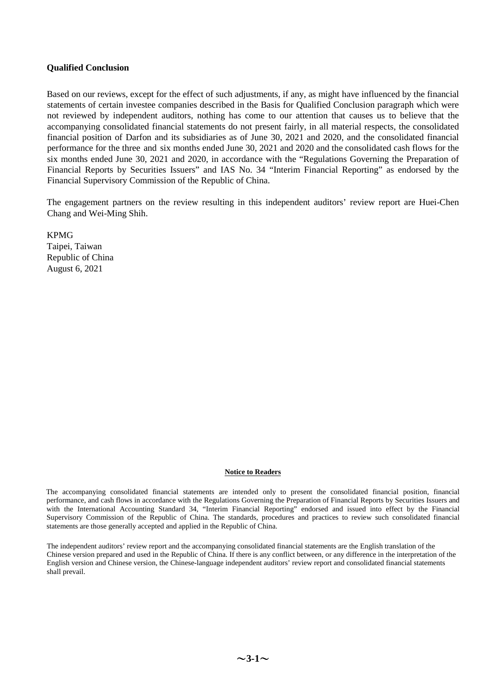#### **Qualified Conclusion**

Based on our reviews, except for the effect of such adjustments, if any, as might have influenced by the financial statements of certain investee companies described in the Basis for Qualified Conclusion paragraph which were not reviewed by independent auditors, nothing has come to our attention that causes us to believe that the accompanying consolidated financial statements do not present fairly, in all material respects, the consolidated financial position of Darfon and its subsidiaries as of June 30, 2021 and 2020, and the consolidated financial performance for the three and six months ended June 30, 2021 and 2020 and the consolidated cash flows for the six months ended June 30, 2021 and 2020, in accordance with the "Regulations Governing the Preparation of Financial Reports by Securities Issuers" and IAS No. 34 "Interim Financial Reporting" as endorsed by the Financial Supervisory Commission of the Republic of China.

The engagement partners on the review resulting in this independent auditors' review report are Huei-Chen Chang and Wei-Ming Shih.

KPMG Taipei, Taiwan Republic of China August 6, 2021

#### **Notice to Readers**

The accompanying consolidated financial statements are intended only to present the consolidated financial position, financial performance, and cash flows in accordance with the Regulations Governing the Preparation of Financial Reports by Securities Issuers and with the International Accounting Standard 34, "Interim Financial Reporting" endorsed and issued into effect by the Financial Supervisory Commission of the Republic of China. The standards, procedures and practices to review such consolidated financial statements are those generally accepted and applied in the Republic of China.

The independent auditors' review report and the accompanying consolidated financial statements are the English translation of the Chinese version prepared and used in the Republic of China. If there is any conflict between, or any difference in the interpretation of the English version and Chinese version, the Chinese-language independent auditors' review report and consolidated financial statements shall prevail.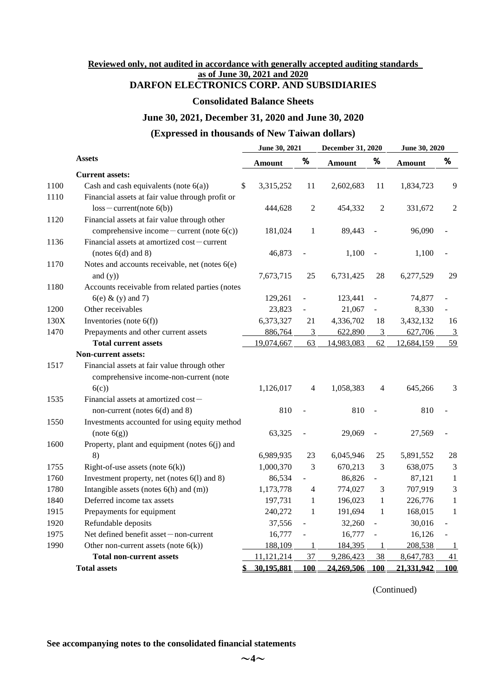### **Reviewed only, not audited in accordance with generally accepted auditing standards as of June 30, 2021 and 2020**

### **DARFON ELECTRONICS CORP. AND SUBSIDIARIES**

#### **Consolidated Balance Sheets**

### **June 30, 2021, December 31, 2020 and June 30, 2020**

### **(Expressed in thousands of New Taiwan dollars)**

|      |                                                  |    | June 30, 2021 |                | <b>December 31, 2020</b> |                             | June 30, 2020 |              |
|------|--------------------------------------------------|----|---------------|----------------|--------------------------|-----------------------------|---------------|--------------|
|      | <b>Assets</b>                                    |    | <b>Amount</b> | %              | <b>Amount</b>            | %                           | <b>Amount</b> | %            |
|      | <b>Current assets:</b>                           |    |               |                |                          |                             |               |              |
| 1100 | Cash and cash equivalents (note $6(a)$ )         | \$ | 3,315,252     | 11             | 2,602,683                | 11                          | 1,834,723     | 9            |
| 1110 | Financial assets at fair value through profit or |    |               |                |                          |                             |               |              |
|      | $loss$ – current(note 6(b))                      |    | 444,628       | 2              | 454,332                  | 2                           | 331,672       | 2            |
| 1120 | Financial assets at fair value through other     |    |               |                |                          |                             |               |              |
|      | comprehensive income – current (note $6(c)$ )    |    | 181,024       | 1              | 89,443                   |                             | 96,090        |              |
| 1136 | Financial assets at amortized $cost$ – current   |    |               |                |                          |                             |               |              |
|      | (notes $6(d)$ and 8)                             |    | 46,873        |                | 1,100                    | $\overline{a}$              | 1,100         |              |
| 1170 | Notes and accounts receivable, net (notes 6(e)   |    |               |                |                          |                             |               |              |
|      | and $(y)$ )                                      |    | 7,673,715     | 25             | 6,731,425                | 28                          | 6,277,529     | 29           |
| 1180 | Accounts receivable from related parties (notes  |    |               |                |                          |                             |               |              |
|      | $6(e)$ & (y) and 7)                              |    | 129,261       |                | 123,441                  | $\overline{\phantom{0}}$    | 74,877        |              |
| 1200 | Other receivables                                |    | 23,823        |                | 21,067                   |                             | 8,330         |              |
| 130X | Inventories (note $6(f)$ )                       |    | 6,373,327     | 21             | 4,336,702                | 18                          | 3,432,132     | 16           |
| 1470 | Prepayments and other current assets             |    | 886,764       | $\mathfrak 3$  | 622,890                  | $\mathfrak{Z}$              | 627,706       | 3            |
|      | <b>Total current assets</b>                      |    | 19,074,667    | 63             | 14,983,083               | 62                          | 12,684,159    | 59           |
|      | <b>Non-current assets:</b>                       |    |               |                |                          |                             |               |              |
| 1517 | Financial assets at fair value through other     |    |               |                |                          |                             |               |              |
|      | comprehensive income-non-current (note           |    |               |                |                          |                             |               |              |
|      | 6(c)                                             |    | 1,126,017     | 4              | 1,058,383                | 4                           | 645,266       | 3            |
| 1535 | Financial assets at amortized cost-              |    |               |                |                          |                             |               |              |
|      | non-current (notes 6(d) and 8)                   |    | 810           |                | 810                      | $\overline{\phantom{a}}$    | 810           |              |
| 1550 | Investments accounted for using equity method    |    |               |                |                          |                             |               |              |
|      | (note (6(g))                                     |    | 63,325        |                | 29,069                   |                             | 27,569        |              |
| 1600 | Property, plant and equipment (notes 6(j) and    |    |               |                |                          |                             |               |              |
|      | 8)                                               |    | 6,989,935     | 23             | 6,045,946                | 25                          | 5,891,552     | 28           |
| 1755 | Right-of-use assets (note $6(k)$ )               |    | 1,000,370     | 3              | 670,213                  | 3                           | 638,075       | 3            |
| 1760 | Investment property, net (notes 6(1) and 8)      |    | 86,534        | $\overline{a}$ | 86,826                   | $\overline{a}$              | 87,121        | $\mathbf{1}$ |
| 1780 | Intangible assets (notes 6(h) and (m))           |    | 1,173,778     | 4              | 774,027                  | 3                           | 707,919       | 3            |
| 1840 | Deferred income tax assets                       |    | 197,731       | 1              | 196,023                  | $\mathbf{1}$                | 226,776       | $\mathbf{1}$ |
| 1915 | Prepayments for equipment                        |    | 240,272       | $\mathbf{1}$   | 191,694                  | $\mathbf{1}$                | 168,015       | $\mathbf{1}$ |
| 1920 | Refundable deposits                              |    | 37,556        |                | 32,260                   | ÷,                          | 30,016        |              |
| 1975 | Net defined benefit asset - non-current          |    | 16,777        |                | 16,777                   |                             | 16,126        |              |
| 1990 | Other non-current assets (note $6(k)$ )          |    | 188,109       | 1              | 184,395                  | 1                           | 208,538       | -1           |
|      | <b>Total non-current assets</b>                  |    | 11,121,214    | 37             | 9,286,423                | 38                          | 8,647,783     | 41           |
|      | <b>Total assets</b>                              | \$ | 30,195,881    | 100            | 24,269,506               | $\overline{\phantom{0}100}$ | 21,331,942    | 100          |

(Continued)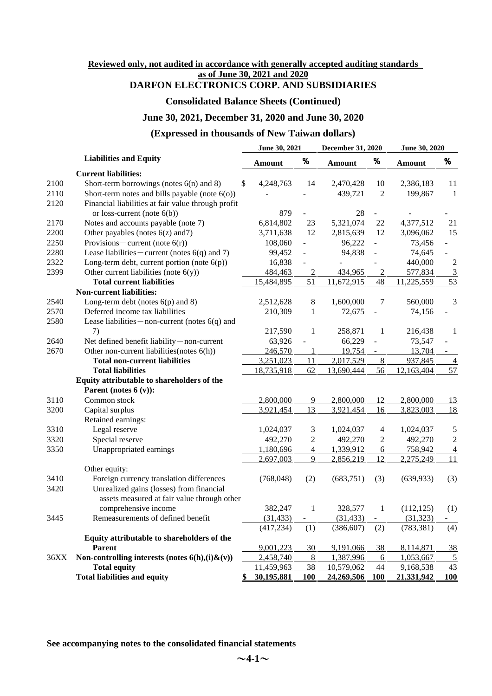### **Reviewed only, not audited in accordance with generally accepted auditing standards**

**as of June 30, 2021 and 2020** 

## **DARFON ELECTRONICS CORP. AND SUBSIDIARIES**

**Consolidated Balance Sheets (Continued)** 

### **June 30, 2021, December 31, 2020 and June 30, 2020**

### **(Expressed in thousands of New Taiwan dollars)**

|      |                                                       | June 30, 2021    |                          | <b>December 31, 2020</b> |                 | June 30, 2020 |                |
|------|-------------------------------------------------------|------------------|--------------------------|--------------------------|-----------------|---------------|----------------|
|      | <b>Liabilities and Equity</b>                         | <b>Amount</b>    | %                        | <b>Amount</b>            | %               | <b>Amount</b> | %              |
|      | <b>Current liabilities:</b>                           |                  |                          |                          |                 |               |                |
| 2100 | Short-term borrowings (notes $6(n)$ and 8)            | \$<br>4,248,763  | 14                       | 2,470,428                | 10              | 2,386,183     | 11             |
| 2110 | Short-term notes and bills payable (note $6(0)$ )     |                  |                          | 439,721                  | $\sqrt{2}$      | 199,867       | $\mathbf{1}$   |
| 2120 | Financial liabilities at fair value through profit    |                  |                          |                          |                 |               |                |
|      | or loss-current (note 6(b))                           | 879              |                          | 28                       |                 |               |                |
| 2170 | Notes and accounts payable (note 7)                   | 6,814,802        | 23                       | 5,321,074                | 22              | 4,377,512     | 21             |
| 2200 | Other payables (notes $6(z)$ and 7)                   | 3,711,638        | 12                       | 2,815,639                | 12              | 3,096,062     | 15             |
| 2250 | Provisions – current (note $6(r)$ )                   | 108,060          |                          | 96,222                   | $\overline{a}$  | 73,456        |                |
| 2280 | Lease liabilities – current (notes $6(q)$ and 7)      | 99,452           |                          | 94,838                   |                 | 74,645        |                |
| 2322 | Long-term debt, current portion (note $6(p)$ )        | 16,838           |                          |                          | $\overline{a}$  | 440,000       | $\overline{c}$ |
| 2399 | Other current liabilities (note $6(y)$ )              | 484,463          | 2                        | 434,965                  | $\overline{c}$  | 577,834       | $\overline{3}$ |
|      | <b>Total current liabilities</b>                      | 15,484,895       | 51                       | 11,672,915               | 48              | 11,225,559    | 53             |
|      | <b>Non-current liabilities:</b>                       |                  |                          |                          |                 |               |                |
| 2540 | Long-term debt (notes $6(p)$ and 8)                   | 2,512,628        | 8                        | 1,600,000                | 7               | 560,000       | 3              |
| 2570 | Deferred income tax liabilities                       | 210,309          | $\mathbf{1}$             | 72,675                   |                 | 74,156        |                |
| 2580 | Lease liabilities – non-current (notes $6(q)$ and     |                  |                          |                          |                 |               |                |
|      | 7)                                                    | 217,590          | $\mathbf{1}$             | 258,871                  | 1               | 216,438       | $\mathbf{1}$   |
| 2640 | Net defined benefit liability - non-current           | 63,926           |                          | 66,229                   |                 | 73,547        |                |
| 2670 | Other non-current liabilities (notes 6(h))            | 246,570          |                          | 19,754                   |                 | 13,704        |                |
|      | <b>Total non-current liabilities</b>                  | 3,251,023        | 11                       | 2,017,529                | $\,8\,$         | 937,845       | $\overline{4}$ |
|      | <b>Total liabilities</b>                              | 18,735,918       | 62                       | 13,690,444               | 56              | 12,163,404    | 57             |
|      | Equity attributable to shareholders of the            |                  |                          |                          |                 |               |                |
|      | Parent (notes $6(y)$ ):                               |                  |                          |                          |                 |               |                |
| 3110 | Common stock                                          | 2,800,000        | 9                        | 2,800,000                | 12              | 2,800,000     | 13             |
| 3200 | Capital surplus                                       | 3,921,454        | 13                       | 3,921,454                | 16              | 3,823,003     | 18             |
|      | Retained earnings:                                    |                  |                          |                          |                 |               |                |
| 3310 | Legal reserve                                         | 1,024,037        | 3                        | 1,024,037                | $\overline{4}$  | 1,024,037     | 5              |
| 3320 | Special reserve                                       | 492,270          | 2                        | 492,270                  | $\overline{c}$  | 492,270       | $\overline{c}$ |
| 3350 | Unappropriated earnings                               | 1,180,696        | $\overline{4}$           | 1,339,912                | $6 \overline{}$ | 758,942       | $\overline{4}$ |
|      |                                                       | 2,697,003        | 9                        | 2,856,219                | 12              | 2,275,249     | 11             |
|      | Other equity:                                         |                  |                          |                          |                 |               |                |
| 3410 | Foreign currency translation differences              | (768, 048)       | (2)                      | (683,751)                | (3)             | (639, 933)    | (3)            |
| 3420 | Unrealized gains (losses) from financial              |                  |                          |                          |                 |               |                |
|      | assets measured at fair value through other           |                  |                          |                          |                 |               |                |
|      | comprehensive income                                  | 382,247          | $\mathbf{1}$             | 328,577                  | 1               | (112, 125)    | (1)            |
| 3445 | Remeasurements of defined benefit                     | (31, 433)        | $\overline{\phantom{a}}$ | (31, 433)                | $\blacksquare$  | (31, 323)     | $\equiv$       |
|      |                                                       | (417, 234)       | (1)                      | (386, 607)               | (2)             | (783, 381)    | (4)            |
|      | Equity attributable to shareholders of the            |                  |                          |                          |                 |               |                |
|      | <b>Parent</b>                                         | 9,001,223        | 30                       | 9,191,066                | 38              | 8,114,871     | <u>38</u>      |
| 36XX | Non-controlling interests (notes $6(h),(i)$ & $(v)$ ) | 2,458,740        | 8                        | 1,387,996                | 6               | 1,053,667     | $\overline{5}$ |
|      | <b>Total equity</b>                                   | 11,459,963       | 38                       | 10,579,062               | 44              | 9,168,538     | 43             |
|      | <b>Total liabilities and equity</b>                   | \$<br>30,195,881 | <b>100</b>               | 24,269,506               | <b>100</b>      | 21,331,942    | <u>100</u>     |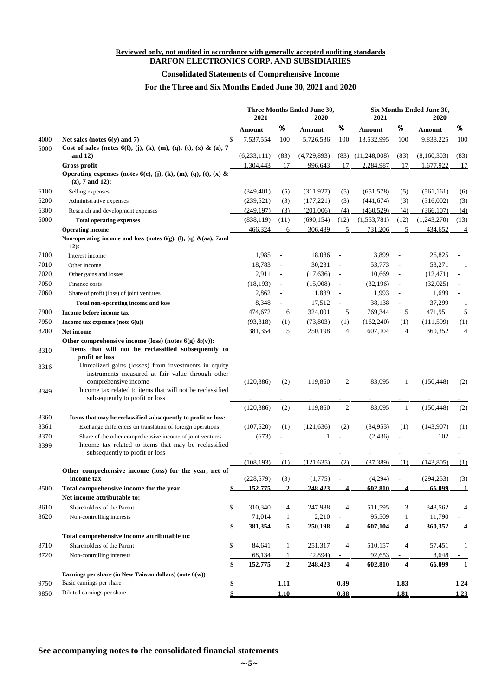#### **Reviewed only, not audited in accordance with generally accepted auditing standards DARFON ELECTRONICS CORP. AND SUBSIDIARIES**

### **Consolidated Statements of Comprehensive Income**

### **For the Three and Six Months Ended June 30, 2021 and 2020**

|                      |                                                                                                                                                                                                                                                                                                          | Three Months Ended June 30,<br>2021<br>2020 |                          |             | Six Months Ended June 30,<br>2021<br>2020 |                       |                          |               |                |
|----------------------|----------------------------------------------------------------------------------------------------------------------------------------------------------------------------------------------------------------------------------------------------------------------------------------------------------|---------------------------------------------|--------------------------|-------------|-------------------------------------------|-----------------------|--------------------------|---------------|----------------|
|                      |                                                                                                                                                                                                                                                                                                          | Amount                                      | $\%$                     | Amount      | $\%$                                      | <b>Amount</b>         | $\%$                     | <b>Amount</b> | %              |
| 4000                 | Net sales (notes $6(y)$ and 7)                                                                                                                                                                                                                                                                           | 7,537,554                                   | 100                      | 5,726,536   | 100                                       | 13,532,995            | 100                      | 9,838,225     | 100            |
| 5000                 | Cost of sales (notes 6(f), (j), (k), (m), (q), (t), (x) & (z), 7                                                                                                                                                                                                                                         |                                             |                          |             |                                           |                       |                          |               |                |
|                      | and $12)$                                                                                                                                                                                                                                                                                                | (6,233,111)                                 | (83)                     | (4,729,893) |                                           | $(83)$ $(11,248,008)$ | (83)                     | (8,160,303)   | (83)           |
|                      | <b>Gross profit</b>                                                                                                                                                                                                                                                                                      | 1,304,443                                   | 17                       | 996,643     | 17                                        | 2,284,987             | 17                       | 1,677,922     | 17             |
|                      | Operating expenses (notes $6(e)$ , (j), (k), (m), (q), (t), (x) &<br>$(z)$ , 7 and 12):                                                                                                                                                                                                                  |                                             |                          |             |                                           |                       |                          |               |                |
| 6100                 | Selling expenses                                                                                                                                                                                                                                                                                         | (349, 401)                                  | (5)                      | (311, 927)  | (5)                                       | (651, 578)            | (5)                      | (561, 161)    | (6)            |
| 6200                 | Administrative expenses                                                                                                                                                                                                                                                                                  | (239, 521)                                  | (3)                      | (177, 221)  | (3)                                       | (441, 674)            | (3)                      | (316,002)     | (3)            |
| 6300                 | Research and development expenses                                                                                                                                                                                                                                                                        | (249, 197)                                  | (3)                      | (201,006)   | (4)                                       | (460, 529)            | (4)                      | (366, 107)    | (4)            |
| 6000                 | <b>Total operating expenses</b>                                                                                                                                                                                                                                                                          | (838, 119)                                  | (11)                     | (690, 154)  | (12)                                      | (1,553,781)           | (12)                     | (1,243,270)   | (13)           |
|                      | <b>Operating income</b>                                                                                                                                                                                                                                                                                  | 466,324                                     | 6                        | 306,489     | 5                                         | 731,206               | 5                        | 434,652       | $\overline{4}$ |
|                      | Non-operating income and loss (notes $6(g)$ , (l), (q) &(aa), 7and<br>12):                                                                                                                                                                                                                               |                                             |                          |             |                                           |                       |                          |               |                |
| 7100                 | Interest income                                                                                                                                                                                                                                                                                          | 1,985                                       |                          | 18,086      |                                           | 3,899                 |                          | 26,825        |                |
| 7010                 | Other income                                                                                                                                                                                                                                                                                             | 18,783                                      |                          | 30,231      |                                           | 53,773                |                          | 53,271        | -1             |
| 7020                 | Other gains and losses                                                                                                                                                                                                                                                                                   | 2,911                                       | $\overline{\phantom{a}}$ | (17, 636)   |                                           | 10,669                |                          | (12, 471)     |                |
| 7050                 | Finance costs                                                                                                                                                                                                                                                                                            | (18, 193)                                   |                          | (15,008)    |                                           | (32, 196)             |                          | (32,025)      |                |
| 7060                 | Share of profit (loss) of joint ventures                                                                                                                                                                                                                                                                 | 2,862                                       |                          | 1,839       |                                           | 1,993                 |                          | 1,699         |                |
|                      | Total non-operating income and loss                                                                                                                                                                                                                                                                      | 8,348                                       | $\blacksquare$           | 17,512      | $\blacksquare$                            | 38,138                | $\overline{\phantom{a}}$ | 37,299        |                |
| 7900                 | Income before income tax                                                                                                                                                                                                                                                                                 | 474,672                                     | 6                        | 324,001     | 5                                         | 769,344               | 5                        | 471,951       | 5              |
| 7950                 | Income tax expenses (note $6(u)$ )                                                                                                                                                                                                                                                                       | (93,318)                                    | (1)                      | (73, 803)   | (1)                                       | (162, 240)            | (1)                      | (111, 599)    | (1)            |
| 8200                 | Net income                                                                                                                                                                                                                                                                                               | 381,354                                     | 5                        | 250,198     | 4                                         | 607,104               | $\overline{4}$           | 360,352       | 4              |
| 8310<br>8316<br>8349 | Items that will not be reclassified subsequently to<br>profit or loss<br>Unrealized gains (losses) from investments in equity<br>instruments measured at fair value through other<br>comprehensive income<br>Income tax related to items that will not be reclassified<br>subsequently to profit or loss | (120, 386)                                  | (2)                      | 119,860     | 2                                         | 83,095                | 1                        | (150, 448)    | (2)            |
|                      |                                                                                                                                                                                                                                                                                                          | (120, 386)                                  | (2)                      | 119,860     | $\sim$                                    | 83,095                |                          | (150, 448)    | (2)            |
| 8360                 | Items that may be reclassified subsequently to profit or loss:                                                                                                                                                                                                                                           |                                             |                          |             |                                           |                       |                          |               |                |
| 8361                 | Exchange differences on translation of foreign operations                                                                                                                                                                                                                                                | (107, 520)                                  | (1)                      | (121, 636)  | (2)                                       | (84,953)              | (1)                      | (143,907)     | (1)            |
| 8370<br>8399         | Share of the other comprehensive income of joint ventures<br>Income tax related to items that may be reclassified<br>subsequently to profit or loss                                                                                                                                                      | (673)                                       |                          |             |                                           | (2, 436)              |                          | 102           |                |
|                      |                                                                                                                                                                                                                                                                                                          | (108, 193)                                  | (1)                      | (121, 635)  | (2)                                       | (87, 389)             | (1)                      | (143, 805)    | (1)            |
|                      | Other comprehensive income (loss) for the year, net of<br>income tax                                                                                                                                                                                                                                     | (228, 579)                                  | (3)                      | (1,775)     |                                           | (4,294)               |                          | (294, 253)    | (3)            |
| 8500                 | Total comprehensive income for the year                                                                                                                                                                                                                                                                  | 152,775                                     |                          | 248,423     |                                           | 602,810               |                          | 66,099        |                |
|                      | Net income attributable to:                                                                                                                                                                                                                                                                              |                                             |                          |             |                                           |                       |                          |               |                |
| 8610                 | Shareholders of the Parent                                                                                                                                                                                                                                                                               | \$<br>310,340                               | 4                        | 247,988     | 4                                         | 511,595               | 3                        | 348,562       | 4              |
| 8620                 | Non-controlling interests                                                                                                                                                                                                                                                                                | 71,014                                      |                          | 2,210       |                                           | 95,509                |                          | 11,790        |                |
|                      |                                                                                                                                                                                                                                                                                                          | 381,354                                     |                          | 250,198     |                                           | 607,104               |                          | 360,352       |                |
|                      | Total comprehensive income attributable to:                                                                                                                                                                                                                                                              |                                             |                          |             |                                           |                       |                          |               |                |
| 8710                 | Shareholders of the Parent                                                                                                                                                                                                                                                                               | \$<br>84,641                                |                          | 251,317     | 4                                         | 510,157               | 4                        | 57,451        | 1              |
| 8720                 | Non-controlling interests                                                                                                                                                                                                                                                                                | 68,134                                      |                          | (2,894)     |                                           | 92,653                |                          | 8,648         |                |
|                      |                                                                                                                                                                                                                                                                                                          | 152,775                                     |                          | 248,423     |                                           | 602,810               | $\boldsymbol{\Lambda}$   | 66,099        |                |
|                      | Earnings per share (in New Taiwan dollars) (note $6(w)$ )                                                                                                                                                                                                                                                |                                             |                          |             |                                           |                       |                          |               |                |
| 9750                 | Basic earnings per share                                                                                                                                                                                                                                                                                 |                                             | 1.11                     |             | 0.89                                      |                       | 1.83                     |               | 1.24           |
| 9850                 | Diluted earnings per share                                                                                                                                                                                                                                                                               |                                             | 1.10                     |             | 0.88                                      |                       | 1.81                     |               | 1.23           |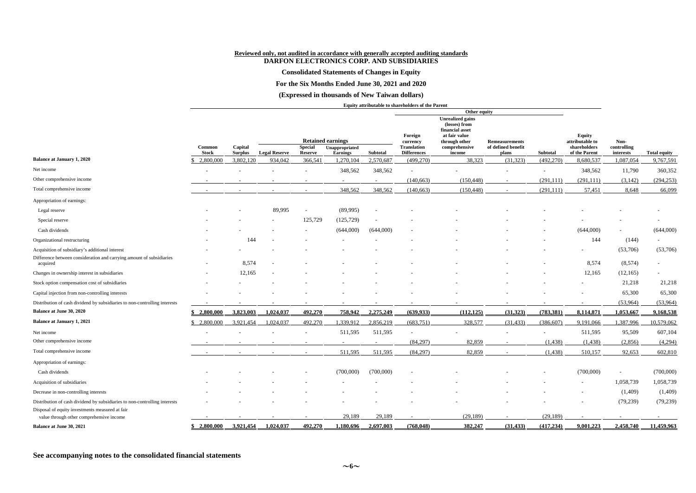**See accompanying notes to the consolidated financial statements** 

### **Reviewed only, not audited in accordance with generally accepted auditing standards**

## **DARFON ELECTRONICS CORP. AND SUBSIDIARIES**

**Consolidated Statements of Changes in Equity** 

**For the Six Months Ended June 30, 2021 and 2020** 

**(Expressed in thousands of New Taiwan dollars)**

**Equity attributable to shareholders of the Parent**

|                                                                                             | Other equity           |                           |                      |                           |                              |           |                                          |                                                                                               |                             |            |                                  |                        |                                  |
|---------------------------------------------------------------------------------------------|------------------------|---------------------------|----------------------|---------------------------|------------------------------|-----------|------------------------------------------|-----------------------------------------------------------------------------------------------|-----------------------------|------------|----------------------------------|------------------------|----------------------------------|
|                                                                                             |                        |                           |                      |                           | <b>Retained earnings</b>     |           | Foreign<br>currency                      | <b>Unrealized gains</b><br>(losses) from<br>financial asset<br>at fair value<br>through other | <b>Remeasurements</b>       |            | <b>Equity</b><br>attributable to | Non-                   |                                  |
|                                                                                             | Common<br><b>Stock</b> | Capital<br><b>Surplus</b> | <b>Legal Reserve</b> | <b>Special</b>            | Unappropriated               | Subtotal  | <b>Translation</b><br><b>Differences</b> | comprehensive<br>income                                                                       | of defined benefit<br>plans | Subtotal   | shareholders<br>of the Parent    | controlling            |                                  |
| <b>Balance at January 1, 2020</b>                                                           | 2,800,000              | 3,802,120                 | 934,042              | <b>Reserve</b><br>366,541 | <b>Earnings</b><br>1,270,104 | 2,570,687 | (499,270)                                | 38,323                                                                                        | (31, 323)                   | (492, 270) | 8,680,537                        | interests<br>1,087,054 | <b>Total equity</b><br>9,767,591 |
| Net income                                                                                  |                        |                           |                      |                           | 348,562                      | 348,562   |                                          |                                                                                               |                             |            | 348,562                          | 11,790                 | 360,352                          |
| Other comprehensive income                                                                  |                        |                           |                      |                           |                              | $-$       | (140, 663)                               | (150, 448)                                                                                    | $\sim$                      | (291, 111) | (291, 111)                       | (3,142)                | (294, 253)                       |
| Total comprehensive income                                                                  |                        | $\overline{\phantom{0}}$  |                      | $\sim$                    | 348,562                      | 348,562   | (140, 663)                               | (150, 448)                                                                                    | $\sim$                      | (291, 111) | 57,451                           | 8,648                  | 66,099                           |
| Appropriation of earnings:                                                                  |                        |                           |                      |                           |                              |           |                                          |                                                                                               |                             |            |                                  |                        |                                  |
| Legal reserve                                                                               |                        |                           | 89,995               | $\sim$                    | (89,995)                     |           |                                          |                                                                                               |                             |            |                                  |                        |                                  |
| Special reserve                                                                             |                        |                           |                      | 125,729                   | (125, 729)                   |           |                                          |                                                                                               |                             |            |                                  |                        |                                  |
| Cash dividends                                                                              |                        |                           |                      |                           | (644,000)                    | (644,000) |                                          |                                                                                               |                             |            | (644,000)                        |                        | (644,000)                        |
| Organizational restructuring                                                                |                        | 144                       |                      |                           |                              |           |                                          |                                                                                               |                             |            | 144                              | (144)                  |                                  |
| Acquisition of subsidiary's additional interest                                             |                        |                           |                      |                           |                              |           |                                          |                                                                                               |                             |            |                                  | (53,706)               | (53,706)                         |
| Difference between consideration and carrying amount of subsidiaries<br>acquired            |                        | 8,574                     |                      |                           |                              |           |                                          |                                                                                               |                             |            | 8,574                            | (8,574)                | $\sim$                           |
| Changes in ownership interest in subsidiaries                                               |                        | 12,165                    |                      |                           |                              |           |                                          |                                                                                               |                             |            | 12,165                           | (12, 165)              |                                  |
| Stock option compensation cost of subsidiaries                                              |                        |                           |                      |                           |                              |           |                                          |                                                                                               |                             |            |                                  | 21,218                 | 21,218                           |
| Capital injection from non-controlling interests                                            |                        |                           |                      |                           |                              |           |                                          |                                                                                               |                             |            |                                  | 65,300                 | 65,300                           |
| Distribution of cash dividend by subsidiaries to non-controlling interests                  |                        |                           |                      |                           |                              |           |                                          |                                                                                               |                             |            |                                  | (53,964)               | (53,964)                         |
| Balance at June 30, 2020                                                                    | \$2,800,000            | 3,823,003                 | 1,024,037            | 492,270                   | 758,942                      | 2,275,249 | (639, 933)                               | (112, 125)                                                                                    | (31, 323)                   | (783, 381) | 8,114,871                        | 1,053,667              | 9,168,538                        |
| <b>Balance at January 1, 2021</b>                                                           | 2,800,000              | 3,921,454                 | 1,024,037            | 492,270                   | 1,339,912                    | 2,856,219 | (683,751)                                | 328,577                                                                                       | (31, 433)                   | (386, 607) | 9,191,066                        | ,387,996               | 10,579,062                       |
| Net income                                                                                  |                        |                           |                      |                           | 511,595                      | 511,595   |                                          |                                                                                               |                             |            | 511,595                          | 95,509                 | 607,104                          |
| Other comprehensive income                                                                  |                        |                           |                      |                           | $\sim$                       | $\sim$    | (84,297)                                 | 82,859                                                                                        |                             | (1, 438)   | (1, 438)                         | (2,856)                | (4,294)                          |
| Total comprehensive income                                                                  |                        |                           |                      |                           | 511,595                      | 511,595   | (84,297)                                 | 82,859                                                                                        |                             | (1, 438)   | 510,157                          | 92,653                 | 602,810                          |
| Appropriation of earnings:                                                                  |                        |                           |                      |                           |                              |           |                                          |                                                                                               |                             |            |                                  |                        |                                  |
| Cash dividends                                                                              |                        |                           |                      |                           | (700,000)                    | (700,000) |                                          |                                                                                               |                             |            | (700,000)                        |                        | (700,000)                        |
| Acquisition of subsidiaries                                                                 |                        |                           |                      |                           |                              |           |                                          |                                                                                               |                             |            |                                  | 1,058,739              | 1,058,739                        |
| Decrease in non-controlling interests                                                       |                        |                           |                      |                           |                              |           |                                          |                                                                                               |                             |            |                                  | (1,409)                | (1,409)                          |
| Distribution of cash dividend by subsidiaries to non-controlling interests                  |                        |                           |                      |                           |                              |           |                                          |                                                                                               |                             |            |                                  | (79, 239)              | (79, 239)                        |
| Disposal of equity investments measured at fair<br>value through other comprehensive income |                        |                           |                      |                           | 29,189                       | 29,189    |                                          | (29, 189)                                                                                     |                             | (29, 189)  |                                  |                        |                                  |
| Balance at June 30, 2021                                                                    | \$2,800,000            | 3,921,454                 | 1,024,037            | 492,270                   | 1,180,696                    | 2,697,003 | (768, 048)                               | 382,247                                                                                       | (31, 433)                   | (417, 234) | 9,001,223                        | 2,458,740              | 11,459,963                       |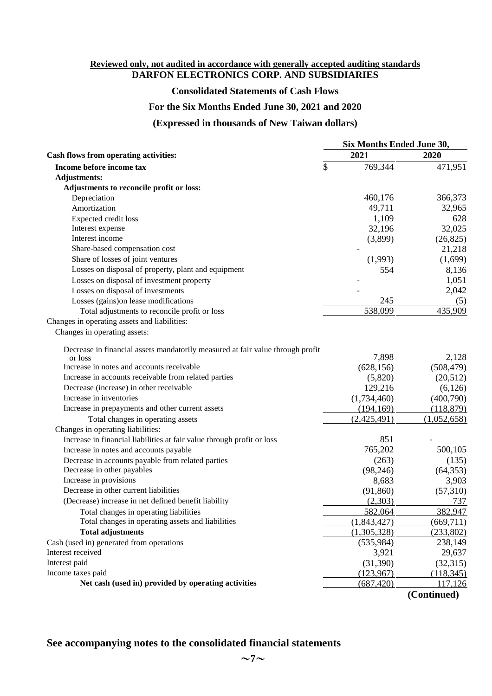#### **Reviewed only, not audited in accordance with generally accepted auditing standards DARFON ELECTRONICS CORP. AND SUBSIDIARIES**

#### **Consolidated Statements of Cash Flows**

### **For the Six Months Ended June 30, 2021 and 2020**

#### **(Expressed in thousands of New Taiwan dollars)**

|                                                                                             | <b>Six Months Ended June 30,</b> |             |
|---------------------------------------------------------------------------------------------|----------------------------------|-------------|
| Cash flows from operating activities:                                                       | 2021                             | 2020        |
| Income before income tax                                                                    | \$<br>769,344                    | 471,951     |
| <b>Adjustments:</b>                                                                         |                                  |             |
| Adjustments to reconcile profit or loss:                                                    |                                  |             |
| Depreciation                                                                                | 460,176                          | 366,373     |
| Amortization                                                                                | 49,711                           | 32,965      |
| Expected credit loss                                                                        | 1,109                            | 628         |
| Interest expense                                                                            | 32,196                           | 32,025      |
| Interest income                                                                             | (3,899)                          | (26, 825)   |
| Share-based compensation cost                                                               |                                  | 21,218      |
| Share of losses of joint ventures                                                           | (1,993)                          | (1,699)     |
| Losses on disposal of property, plant and equipment                                         | 554                              | 8,136       |
| Losses on disposal of investment property                                                   |                                  | 1,051       |
| Losses on disposal of investments                                                           |                                  | 2,042       |
| Losses (gains) on lease modifications                                                       | 245                              | (5)         |
| Total adjustments to reconcile profit or loss                                               | 538,099                          | 435,909     |
| Changes in operating assets and liabilities:                                                |                                  |             |
| Changes in operating assets:                                                                |                                  |             |
| Decrease in financial assets mandatorily measured at fair value through profit              |                                  |             |
| or loss                                                                                     | 7,898                            | 2,128       |
| Increase in notes and accounts receivable                                                   | (628, 156)                       | (508, 479)  |
| Increase in accounts receivable from related parties                                        | (5,820)                          | (20,512)    |
| Decrease (increase) in other receivable                                                     | 129,216                          | (6,126)     |
| Increase in inventories                                                                     | (1,734,460)                      | (400,790)   |
| Increase in prepayments and other current assets                                            | (194, 169)                       | (118, 879)  |
| Total changes in operating assets                                                           | (2,425,491)                      | (1,052,658) |
| Changes in operating liabilities:                                                           |                                  |             |
| Increase in financial liabilities at fair value through profit or loss                      | 851                              |             |
| Increase in notes and accounts payable                                                      | 765,202                          | 500,105     |
| Decrease in accounts payable from related parties                                           | (263)                            | (135)       |
| Decrease in other payables                                                                  | (98, 246)                        | (64, 353)   |
| Increase in provisions<br>Decrease in other current liabilities                             | 8,683                            | 3,903       |
|                                                                                             | (91, 860)                        | (57,310)    |
| (Decrease) increase in net defined benefit liability                                        | (2,303)                          | 737         |
| Total changes in operating liabilities<br>Total changes in operating assets and liabilities | 582,064                          | 382,947     |
|                                                                                             | (1,843,427)                      | (669,711)   |
| <b>Total adjustments</b>                                                                    | (1,305,328)                      | (233,802)   |
| Cash (used in) generated from operations<br>Interest received                               | (535,984)                        | 238,149     |
|                                                                                             | 3,921                            | 29,637      |
| Interest paid<br>Income taxes paid                                                          | (31,390)                         | (32,315)    |
|                                                                                             | (123,967)                        | (118, 345)  |
| Net cash (used in) provided by operating activities                                         | (687, 420)                       | 117,126     |
|                                                                                             |                                  | (Continued) |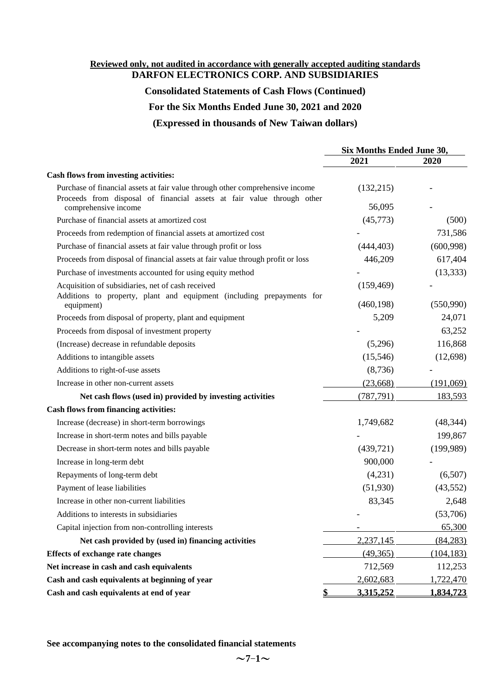#### **Reviewed only, not audited in accordance with generally accepted auditing standards DARFON ELECTRONICS CORP. AND SUBSIDIARIES**

#### **Consolidated Statements of Cash Flows (Continued)**

### **For the Six Months Ended June 30, 2021 and 2020**

#### **(Expressed in thousands of New Taiwan dollars)**

|                                                                                                                                                         | <b>Six Months Ended June 30,</b> |            |  |
|---------------------------------------------------------------------------------------------------------------------------------------------------------|----------------------------------|------------|--|
|                                                                                                                                                         | 2021                             | 2020       |  |
| Cash flows from investing activities:                                                                                                                   |                                  |            |  |
| Purchase of financial assets at fair value through other comprehensive income<br>Proceeds from disposal of financial assets at fair value through other | (132,215)                        |            |  |
| comprehensive income                                                                                                                                    | 56,095                           |            |  |
| Purchase of financial assets at amortized cost                                                                                                          | (45,773)                         | (500)      |  |
| Proceeds from redemption of financial assets at amortized cost                                                                                          |                                  | 731,586    |  |
| Purchase of financial assets at fair value through profit or loss                                                                                       | (444, 403)                       | (600, 998) |  |
| Proceeds from disposal of financial assets at fair value through profit or loss                                                                         | 446,209                          | 617,404    |  |
| Purchase of investments accounted for using equity method                                                                                               |                                  | (13, 333)  |  |
| Acquisition of subsidiaries, net of cash received<br>Additions to property, plant and equipment (including prepayments for                              | (159, 469)                       |            |  |
| equipment)                                                                                                                                              | (460, 198)                       | (550,990)  |  |
| Proceeds from disposal of property, plant and equipment                                                                                                 | 5,209                            | 24,071     |  |
| Proceeds from disposal of investment property                                                                                                           |                                  | 63,252     |  |
| (Increase) decrease in refundable deposits                                                                                                              | (5,296)                          | 116,868    |  |
| Additions to intangible assets                                                                                                                          | (15,546)                         | (12,698)   |  |
| Additions to right-of-use assets                                                                                                                        | (8,736)                          |            |  |
| Increase in other non-current assets                                                                                                                    | (23, 668)                        | (191,069)  |  |
| Net cash flows (used in) provided by investing activities                                                                                               | (787, 791)                       | 183,593    |  |
| <b>Cash flows from financing activities:</b>                                                                                                            |                                  |            |  |
| Increase (decrease) in short-term borrowings                                                                                                            | 1,749,682                        | (48, 344)  |  |
| Increase in short-term notes and bills payable                                                                                                          |                                  | 199,867    |  |
| Decrease in short-term notes and bills payable                                                                                                          | (439,721)                        | (199, 989) |  |
| Increase in long-term debt                                                                                                                              | 900,000                          |            |  |
| Repayments of long-term debt                                                                                                                            | (4,231)                          | (6,507)    |  |
| Payment of lease liabilities                                                                                                                            | (51,930)                         | (43, 552)  |  |
| Increase in other non-current liabilities                                                                                                               | 83,345                           | 2,648      |  |
| Additions to interests in subsidiaries                                                                                                                  |                                  | (53,706)   |  |
| Capital injection from non-controlling interests                                                                                                        |                                  | 65,300     |  |
| Net cash provided by (used in) financing activities                                                                                                     | 2,237,145                        | (84, 283)  |  |
| <b>Effects of exchange rate changes</b>                                                                                                                 | (49,365)                         | (104, 183) |  |
| Net increase in cash and cash equivalents                                                                                                               | 712,569                          | 112,253    |  |
| Cash and cash equivalents at beginning of year                                                                                                          | 2,602,683                        | 1,722,470  |  |
| \$<br>Cash and cash equivalents at end of year                                                                                                          | 3,315,252                        | 1,834,723  |  |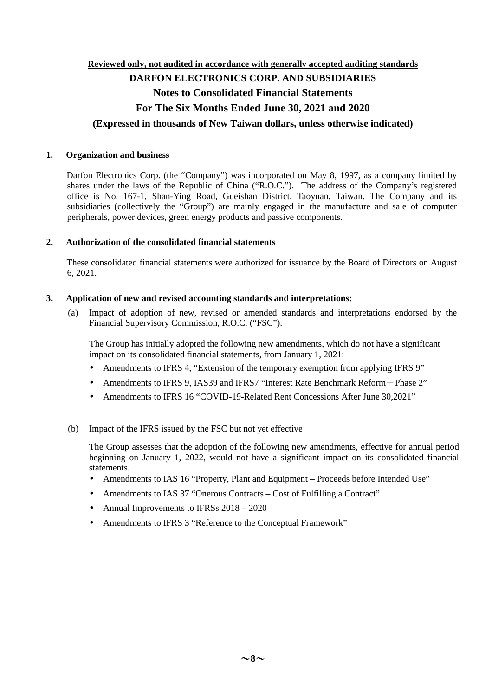# **Reviewed only, not audited in accordance with generally accepted auditing standards DARFON ELECTRONICS CORP. AND SUBSIDIARIES Notes to Consolidated Financial Statements For The Six Months Ended June 30, 2021 and 2020**

## **(Expressed in thousands of New Taiwan dollars, unless otherwise indicated)**

#### **1. Organization and business**

Darfon Electronics Corp. (the "Company") was incorporated on May 8, 1997, as a company limited by shares under the laws of the Republic of China ("R.O.C."). The address of the Company's registered office is No. 167-1, Shan-Ying Road, Gueishan District, Taoyuan, Taiwan. The Company and its subsidiaries (collectively the "Group") are mainly engaged in the manufacture and sale of computer peripherals, power devices, green energy products and passive components.

#### **2. Authorization of the consolidated financial statements**

These consolidated financial statements were authorized for issuance by the Board of Directors on August 6, 2021.

#### **3. Application of new and revised accounting standards and interpretations:**

(a) Impact of adoption of new, revised or amended standards and interpretations endorsed by the Financial Supervisory Commission, R.O.C. ("FSC").

The Group has initially adopted the following new amendments, which do not have a significant impact on its consolidated financial statements, from January 1, 2021:

- Amendments to IFRS 4, "Extension of the temporary exemption from applying IFRS 9"
- Amendments to IFRS 9, IAS39 and IFRS7 "Interest Rate Benchmark Reform-Phase 2"
- Amendments to IFRS 16 "COVID-19-Related Rent Concessions After June 30,2021"

#### (b) Impact of the IFRS issued by the FSC but not yet effective

The Group assesses that the adoption of the following new amendments, effective for annual period beginning on January 1, 2022, would not have a significant impact on its consolidated financial statements.

- Amendments to IAS 16 "Property, Plant and Equipment Proceeds before Intended Use"
- Amendments to IAS 37 "Onerous Contracts Cost of Fulfilling a Contract"
- Annual Improvements to IFRSs 2018 2020
- Amendments to IFRS 3 "Reference to the Conceptual Framework"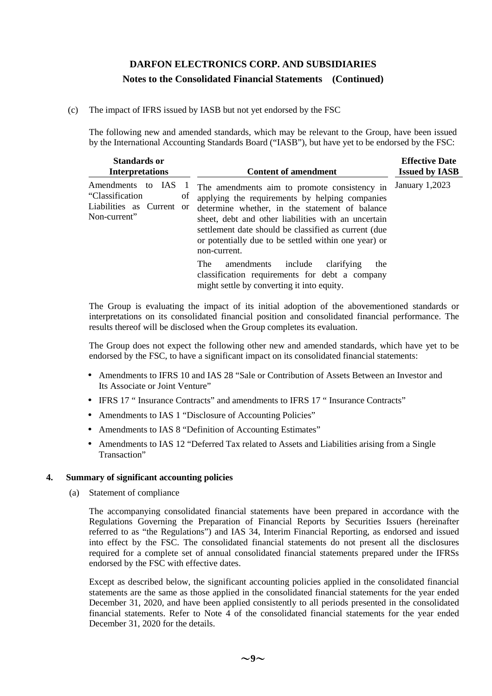(c) The impact of IFRS issued by IASB but not yet endorsed by the FSC

The following new and amended standards, which may be relevant to the Group, have been issued by the International Accounting Standards Board ("IASB"), but have yet to be endorsed by the FSC:

| <b>Standards or</b><br><b>Interpretations</b>                                                             | <b>Content of amendment</b>                                                                                                                                                                                                                                                                                                                                                                                                                                                                          | <b>Effective Date</b><br><b>Issued by IASB</b> |
|-----------------------------------------------------------------------------------------------------------|------------------------------------------------------------------------------------------------------------------------------------------------------------------------------------------------------------------------------------------------------------------------------------------------------------------------------------------------------------------------------------------------------------------------------------------------------------------------------------------------------|------------------------------------------------|
| Amendments<br>to IAS<br>"Classification"<br>οf<br>Liabilities as Current<br><sub>or</sub><br>Non-current" | The amendments aim to promote consistency in<br>applying the requirements by helping companies<br>determine whether, in the statement of balance<br>sheet, debt and other liabilities with an uncertain<br>settlement date should be classified as current (due)<br>or potentially due to be settled within one year) or<br>non-current.<br>amendments<br>include<br><b>The</b><br>clarifying<br>the<br>classification requirements for debt a company<br>might settle by converting it into equity. | January 1,2023                                 |

The Group is evaluating the impact of its initial adoption of the abovementioned standards or interpretations on its consolidated financial position and consolidated financial performance. The results thereof will be disclosed when the Group completes its evaluation.

The Group does not expect the following other new and amended standards, which have yet to be endorsed by the FSC, to have a significant impact on its consolidated financial statements:

- Amendments to IFRS 10 and IAS 28 "Sale or Contribution of Assets Between an Investor and Its Associate or Joint Venture"
- IFRS 17 " Insurance Contracts" and amendments to IFRS 17 " Insurance Contracts"
- Amendments to IAS 1 "Disclosure of Accounting Policies"
- Amendments to IAS 8 "Definition of Accounting Estimates"
- Amendments to IAS 12 "Deferred Tax related to Assets and Liabilities arising from a Single Transaction"

#### **4. Summary of significant accounting policies**

(a) Statement of compliance

The accompanying consolidated financial statements have been prepared in accordance with the Regulations Governing the Preparation of Financial Reports by Securities Issuers (hereinafter referred to as "the Regulations") and IAS 34, Interim Financial Reporting, as endorsed and issued into effect by the FSC. The consolidated financial statements do not present all the disclosures required for a complete set of annual consolidated financial statements prepared under the IFRSs endorsed by the FSC with effective dates.

Except as described below, the significant accounting policies applied in the consolidated financial statements are the same as those applied in the consolidated financial statements for the year ended December 31, 2020, and have been applied consistently to all periods presented in the consolidated financial statements. Refer to Note 4 of the consolidated financial statements for the year ended December 31, 2020 for the details.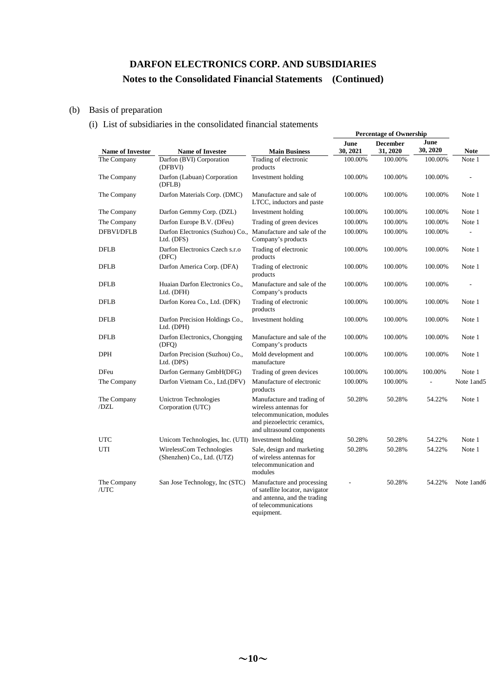### (b) Basis of preparation

### (i) List of subsidiaries in the consolidated financial statements

|                         |                                                                            |                                                                                                                                               | <b>Percentage of Ownership</b> |                             |                  |              |
|-------------------------|----------------------------------------------------------------------------|-----------------------------------------------------------------------------------------------------------------------------------------------|--------------------------------|-----------------------------|------------------|--------------|
| <b>Name of Investor</b> | <b>Name of Investee</b>                                                    | <b>Main Business</b>                                                                                                                          | June<br>30, 2021               | <b>December</b><br>31, 2020 | June<br>30, 2020 | <b>Note</b>  |
| The Company             | Darfon (BVI) Corporation<br>(DFBVI)                                        | Trading of electronic<br>products                                                                                                             | 100.00%                        | 100.00%                     | 100.00%          | Note 1       |
| The Company             | Darfon (Labuan) Corporation<br>(DFLB)                                      | Investment holding                                                                                                                            | 100.00%                        | 100.00%                     | 100.00%          | L,           |
| The Company             | Darfon Materials Corp. (DMC)                                               | Manufacture and sale of<br>LTCC, inductors and paste                                                                                          | 100.00%                        | 100.00%                     | 100.00%          | Note 1       |
| The Company             | Darfon Gemmy Corp. (DZL)                                                   | Investment holding                                                                                                                            | 100.00%                        | 100.00%                     | 100.00%          | Note 1       |
| The Company             | Darfon Europe B.V. (DFeu)                                                  | Trading of green devices                                                                                                                      | 100.00%                        | 100.00%                     | 100.00%          | Note 1       |
| <b>DFBVI/DFLB</b>       | Darfon Electronics (Suzhou) Co., Manufacture and sale of the<br>Ltd. (DFS) | Company's products                                                                                                                            | 100.00%                        | 100.00%                     | 100.00%          |              |
| <b>DFLB</b>             | Darfon Electronics Czech s.r.o<br>(DFC)                                    | Trading of electronic<br>products                                                                                                             | 100.00%                        | 100.00%                     | 100.00%          | Note 1       |
| <b>DFLB</b>             | Darfon America Corp. (DFA)                                                 | Trading of electronic<br>products                                                                                                             | 100.00%                        | 100.00%                     | 100.00%          | Note 1       |
| <b>DFLB</b>             | Huaian Darfon Electronics Co.,<br>Ltd. (DFH)                               | Manufacture and sale of the<br>Company's products                                                                                             | 100.00%                        | 100.00%                     | 100.00%          |              |
| <b>DFLB</b>             | Darfon Korea Co., Ltd. (DFK)                                               | Trading of electronic<br>products                                                                                                             | 100.00%                        | 100.00%                     | 100.00%          | Note 1       |
| <b>DFLB</b>             | Darfon Precision Holdings Co.,<br>Ltd. (DPH)                               | Investment holding                                                                                                                            | 100.00%                        | 100.00%                     | 100.00%          | Note 1       |
| <b>DFLB</b>             | Darfon Electronics, Chongqing<br>(DFQ)                                     | Manufacture and sale of the<br>Company's products                                                                                             | 100.00%                        | 100.00%                     | 100.00%          | Note 1       |
| <b>DPH</b>              | Darfon Precision (Suzhou) Co.,<br>Ltd. (DPS)                               | Mold development and<br>manufacture                                                                                                           | 100.00%                        | 100.00%                     | 100.00%          | Note 1       |
| <b>DFeu</b>             | Darfon Germany GmbH(DFG)                                                   | Trading of green devices                                                                                                                      | 100.00%                        | 100.00%                     | 100.00%          | Note 1       |
| The Company             | Darfon Vietnam Co., Ltd.(DFV)                                              | Manufacture of electronic<br>products                                                                                                         | 100.00%                        | 100.00%                     |                  | Note 1 and 5 |
| The Company<br>/DZL     | <b>Unictron Technologies</b><br>Corporation (UTC)                          | Manufacture and trading of<br>wireless antennas for<br>telecommunication, modules<br>and piezoelectric ceramics,<br>and ultrasound components | 50.28%                         | 50.28%                      | 54.22%           | Note 1       |
| <b>UTC</b>              | Unicom Technologies, Inc. (UTI) Investment holding                         |                                                                                                                                               | 50.28%                         | 50.28%                      | 54.22%           | Note 1       |
| UTI                     | WirelessCom Technologies<br>(Shenzhen) Co., Ltd. (UTZ)                     | Sale, design and marketing<br>of wireless antennas for<br>telecommunication and<br>modules                                                    | 50.28%                         | 50.28%                      | 54.22%           | Note 1       |
| The Company<br>/UTC     | San Jose Technology, Inc (STC)                                             | Manufacture and processing<br>of satellite locator, navigator<br>and antenna, and the trading<br>of telecommunications<br>equipment.          |                                | 50.28%                      | 54.22%           | Note 1 and 6 |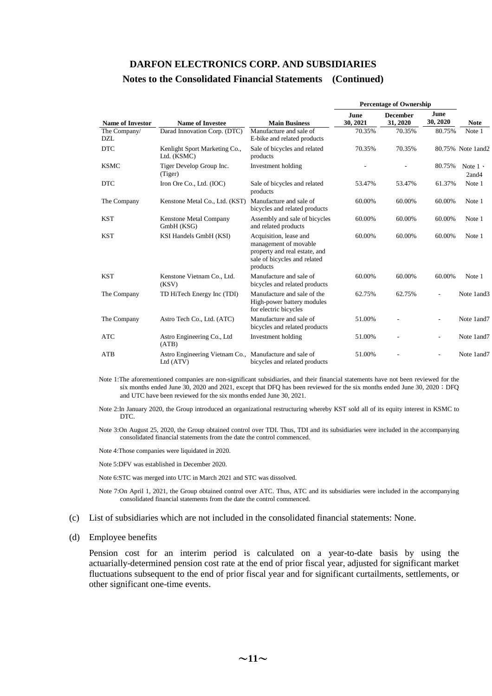### **Notes to the Consolidated Financial Statements (Continued)**

|                            |                                                                     |                                                                                                                              | <b>Percentage of Ownership</b> |                             |                  |                               |
|----------------------------|---------------------------------------------------------------------|------------------------------------------------------------------------------------------------------------------------------|--------------------------------|-----------------------------|------------------|-------------------------------|
| <b>Name of Investor</b>    | <b>Name of Investee</b>                                             | <b>Main Business</b>                                                                                                         | <b>June</b><br>30, 2021        | <b>December</b><br>31, 2020 | June<br>30, 2020 | <b>Note</b>                   |
| The Company/<br><b>DZL</b> | Darad Innovation Corp. (DTC)                                        | Manufacture and sale of<br>E-bike and related products                                                                       | 70.35%                         | 70.35%                      | 80.75%           | Note 1                        |
| <b>DTC</b>                 | Kenlight Sport Marketing Co.,<br>Ltd. (KSMC)                        | Sale of bicycles and related<br>products                                                                                     | 70.35%                         | 70.35%                      |                  | 80.75% Note 1 and 2           |
| <b>KSMC</b>                | Tiger Develop Group Inc.<br>(Tiger)                                 | Investment holding                                                                                                           |                                |                             | 80.75%           | Note $1 \cdot$<br>$2$ and $4$ |
| <b>DTC</b>                 | Iron Ore Co., Ltd. (IOC)                                            | Sale of bicycles and related<br>products                                                                                     | 53.47%                         | 53.47%                      | 61.37%           | Note 1                        |
| The Company                | Kenstone Metal Co., Ltd. (KST)                                      | Manufacture and sale of<br>bicycles and related products                                                                     | 60.00%                         | 60.00%                      | 60.00%           | Note 1                        |
| <b>KST</b>                 | Kenstone Metal Company<br>GmbH (KSG)                                | Assembly and sale of bicycles<br>and related products                                                                        | 60.00%                         | 60.00%                      | 60.00%           | Note 1                        |
| <b>KST</b>                 | KSI Handels GmbH (KSI)                                              | Acquisition, lease and<br>management of movable<br>property and real estate, and<br>sale of bicycles and related<br>products | 60.00%                         | 60.00%                      | 60.00%           | Note 1                        |
| <b>KST</b>                 | Kenstone Vietnam Co., Ltd.<br>(KSV)                                 | Manufacture and sale of<br>bicycles and related products                                                                     | 60.00%                         | 60.00%                      | 60.00%           | Note 1                        |
| The Company                | TD HiTech Energy Inc (TDI)                                          | Manufacture and sale of the<br>High-power battery modules<br>for electric bicycles                                           | 62.75%                         | 62.75%                      | ÷                | Note 1 and 3                  |
| The Company                | Astro Tech Co., Ltd. (ATC)                                          | Manufacture and sale of<br>bicycles and related products                                                                     | 51.00%                         |                             | ٠                | Note 1and7                    |
| <b>ATC</b>                 | Astro Engineering Co., Ltd.<br>(ATB)                                | Investment holding                                                                                                           | 51.00%                         | $\overline{a}$              | ٠                | Note 1and7                    |
| <b>ATB</b>                 | Astro Engineering Vietnam Co., Manufacture and sale of<br>Ltd (ATV) | bicycles and related products                                                                                                | 51.00%                         |                             | ٠                | Note 1and7                    |

Note 1:The aforementioned companies are non-significant subsidiaries, and their financial statements have not been reviewed for the six months ended June 30, 2020 and 2021, except that DFQ has been reviewed for the six months ended June 30, 2020; DFQ and UTC have been reviewed for the six months ended June 30, 2021.

Note 2:In January 2020, the Group introduced an organizational restructuring whereby KST sold all of its equity interest in KSMC to DTC.

Note 3:On August 25, 2020, the Group obtained control over TDI. Thus, TDI and its subsidiaries were included in the accompanying consolidated financial statements from the date the control commenced.

Note 4:Those companies were liquidated in 2020.

Note 5:DFV was established in December 2020.

Note 6:STC was merged into UTC in March 2021 and STC was dissolved.

Note 7:On April 1, 2021, the Group obtained control over ATC. Thus, ATC and its subsidiaries were included in the accompanying consolidated financial statements from the date the control commenced.

- (c) List of subsidiaries which are not included in the consolidated financial statements: None.
- (d) Employee benefits

Pension cost for an interim period is calculated on a year-to-date basis by using the actuarially-determined pension cost rate at the end of prior fiscal year, adjusted for significant market fluctuations subsequent to the end of prior fiscal year and for significant curtailments, settlements, or other significant one-time events.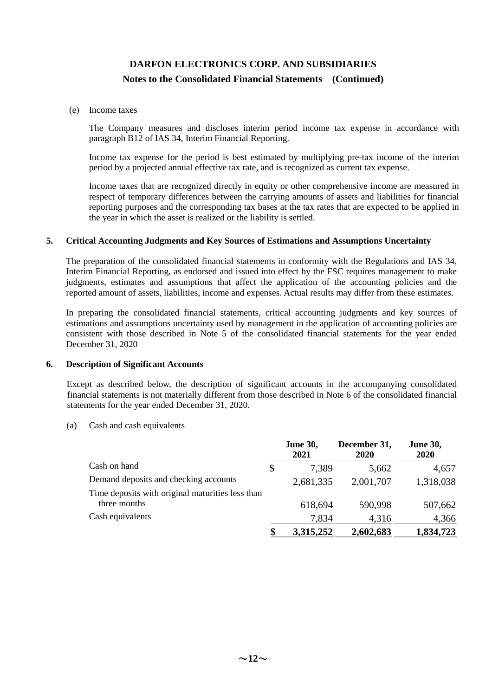#### (e) Income taxes

The Company measures and discloses interim period income tax expense in accordance with paragraph B12 of IAS 34, Interim Financial Reporting.

Income tax expense for the period is best estimated by multiplying pre-tax income of the interim period by a projected annual effective tax rate, and is recognized as current tax expense.

Income taxes that are recognized directly in equity or other comprehensive income are measured in respect of temporary differences between the carrying amounts of assets and liabilities for financial reporting purposes and the corresponding tax bases at the tax rates that are expected to be applied in the year in which the asset is realized or the liability is settled.

#### **5. Critical Accounting Judgments and Key Sources of Estimations and Assumptions Uncertainty**

The preparation of the consolidated financial statements in conformity with the Regulations and IAS 34, Interim Financial Reporting, as endorsed and issued into effect by the FSC requires management to make judgments, estimates and assumptions that affect the application of the accounting policies and the reported amount of assets, liabilities, income and expenses. Actual results may differ from these estimates.

In preparing the consolidated financial statements, critical accounting judgments and key sources of estimations and assumptions uncertainty used by management in the application of accounting policies are consistent with those described in Note 5 of the consolidated financial statements for the year ended December 31, 2020

#### **6. Description of Significant Accounts**

Except as described below, the description of significant accounts in the accompanying consolidated financial statements is not materially different from those described in Note 6 of the consolidated financial statements for the year ended December 31, 2020.

(a) Cash and cash equivalents

|                                                  | <b>June 30,</b><br>2021 | December 31,<br>2020 | <b>June 30,</b><br><b>2020</b> |
|--------------------------------------------------|-------------------------|----------------------|--------------------------------|
| Cash on hand                                     | \$<br>7,389             | 5,662                | 4,657                          |
| Demand deposits and checking accounts            | 2,681,335               | 2,001,707            | 1,318,038                      |
| Time deposits with original maturities less than |                         |                      |                                |
| three months                                     | 618,694                 | 590,998              | 507,662                        |
| Cash equivalents                                 | 7,834                   | 4,316                | 4,366                          |
|                                                  | 3,315,252               | <u>2,602,683</u>     | 1,834,723                      |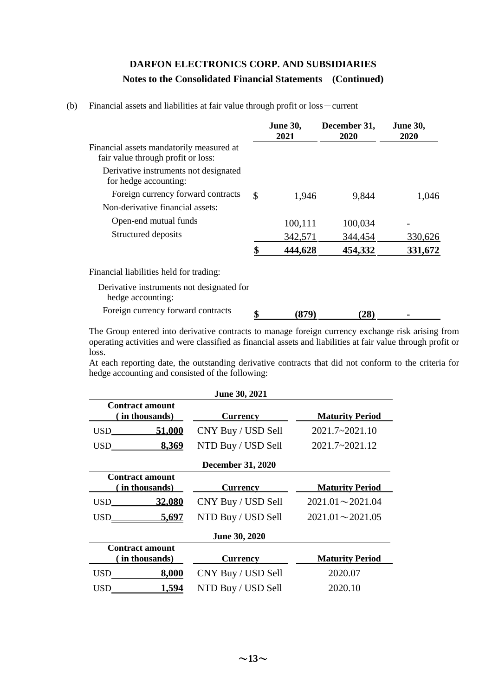(b) Financial assets and liabilities at fair value through profit or loss-current

|                                                                                | <b>June 30,</b><br>2021 | December 31,<br>2020 | <b>June 30,</b><br>2020 |
|--------------------------------------------------------------------------------|-------------------------|----------------------|-------------------------|
| Financial assets mandatorily measured at<br>fair value through profit or loss: |                         |                      |                         |
| Derivative instruments not designated<br>for hedge accounting:                 |                         |                      |                         |
| Foreign currency forward contracts                                             | \$<br>1,946             | 9,844                | 1,046                   |
| Non-derivative financial assets:                                               |                         |                      |                         |
| Open-end mutual funds                                                          | 100,111                 | 100,034              |                         |
| Structured deposits                                                            | 342,571                 | 344,454              | 330,626                 |
|                                                                                | 444,628                 | 454,332              | 331,672                 |
| Financial liabilities held for trading:                                        |                         |                      |                         |
| Derivative instruments not designated for<br>hedge accounting:                 |                         |                      |                         |
| Foreign currency forward contracts                                             | \$<br>(879)             | (28)                 |                         |

The Group entered into derivative contracts to manage foreign currency exchange risk arising from operating activities and were classified as financial assets and liabilities at fair value through profit or loss.

At each reporting date, the outstanding derivative contracts that did not conform to the criteria for hedge accounting and consisted of the following:

| June 30, 2021                                                                         |                    |                        |  |  |  |  |
|---------------------------------------------------------------------------------------|--------------------|------------------------|--|--|--|--|
| <b>Contract amount</b><br>(in thousands)                                              | <b>Currency</b>    | <b>Maturity Period</b> |  |  |  |  |
| $\overline{0.51,000}$                                                                 | CNY Buy / USD Sell | 2021.7~2021.10         |  |  |  |  |
| 8,369<br>USD FOR THE USD TO THE THE T                                                 | NTD Buy / USD Sell | $2021.7 - 2021.12$     |  |  |  |  |
| <b>December 31, 2020</b>                                                              |                    |                        |  |  |  |  |
| <b>Contract amount</b><br><b>Maturity Period</b><br>(in thousands)<br><b>Currency</b> |                    |                        |  |  |  |  |
| USD <sub>2080</sub> 32,080                                                            | CNY Buy / USD Sell | $2021.01 \sim 2021.04$ |  |  |  |  |
| 5,697<br><b>USD</b>                                                                   | NTD Buy / USD Sell | $2021.01 \sim 2021.05$ |  |  |  |  |
| <b>June 30, 2020</b>                                                                  |                    |                        |  |  |  |  |
| <b>Contract amount</b><br>(in thousands)<br><b>Currency</b>                           |                    | <b>Maturity Period</b> |  |  |  |  |
| 8,000<br>USD                                                                          | CNY Buy / USD Sell | 2020.07                |  |  |  |  |
| 1,594<br>USD.                                                                         | NTD Buy / USD Sell | 2020.10                |  |  |  |  |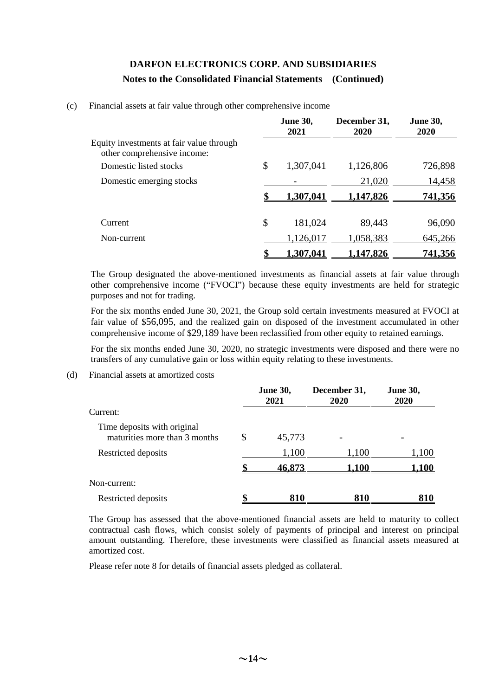| (c) |  |  | Financial assets at fair value through other comprehensive income |  |
|-----|--|--|-------------------------------------------------------------------|--|
|     |  |  |                                                                   |  |
|     |  |  |                                                                   |  |
|     |  |  |                                                                   |  |

|                                                                         | <b>June 30,</b><br>2021 | December 31,<br><b>2020</b> | <b>June 30,</b><br>2020 |
|-------------------------------------------------------------------------|-------------------------|-----------------------------|-------------------------|
| Equity investments at fair value through<br>other comprehensive income: |                         |                             |                         |
| Domestic listed stocks                                                  | \$<br>1,307,041         | 1,126,806                   | 726,898                 |
| Domestic emerging stocks                                                |                         | 21,020                      | 14,458                  |
|                                                                         | 1,307,041               | <u>1,147,826</u>            | <u>741,356</u>          |
| Current                                                                 | \$<br>181,024           | 89,443                      | 96,090                  |
| Non-current                                                             | 1,126,017               | 1,058,383                   | 645,266                 |
|                                                                         | 1,307,041               | 147,826                     | <u>741,356</u>          |

The Group designated the above-mentioned investments as financial assets at fair value through other comprehensive income ("FVOCI") because these equity investments are held for strategic purposes and not for trading.

For the six months ended June 30, 2021, the Group sold certain investments measured at FVOCI at fair value of \$56,095, and the realized gain on disposed of the investment accumulated in other comprehensive income of \$29,189 have been reclassified from other equity to retained earnings.

For the six months ended June 30, 2020, no strategic investments were disposed and there were no transfers of any cumulative gain or loss within equity relating to these investments.

#### (d) Financial assets at amortized costs

|                                                              | <b>June 30,</b><br>2021 | December 31,<br>2020 | <b>June 30,</b><br><b>2020</b> |
|--------------------------------------------------------------|-------------------------|----------------------|--------------------------------|
| Current:                                                     |                         |                      |                                |
| Time deposits with original<br>maturities more than 3 months | \$<br>45,773            |                      |                                |
| Restricted deposits                                          | 1,100                   | 1,100                | 1,100                          |
|                                                              | 46,873                  | 1.100                | 1,100                          |
| Non-current:                                                 |                         |                      |                                |
| Restricted deposits                                          | 810                     | 810                  | <u>810</u>                     |

The Group has assessed that the above-mentioned financial assets are held to maturity to collect contractual cash flows, which consist solely of payments of principal and interest on principal amount outstanding. Therefore, these investments were classified as financial assets measured at amortized cost.

Please refer note 8 for details of financial assets pledged as collateral.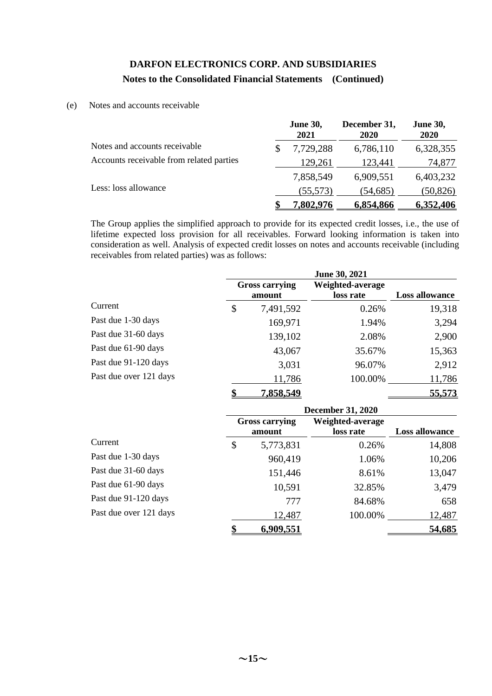#### (e) Notes and accounts receivable

|                                          |   | <b>June 30,</b><br>2021 | December 31,<br><b>2020</b> | <b>June 30,</b><br>2020 |
|------------------------------------------|---|-------------------------|-----------------------------|-------------------------|
| Notes and accounts receivable.           | S | 7,729,288               | 6,786,110                   | 6,328,355               |
| Accounts receivable from related parties |   | 129,261                 | 123,441                     | 74,877                  |
|                                          |   | 7,858,549               | 6,909,551                   | 6,403,232               |
| Less: loss allowance                     |   | (55, 573)               | (54, 685)                   | (50, 826)               |
|                                          |   | 7,802,976               | 6,854,866                   | 6,352,406               |

The Group applies the simplified approach to provide for its expected credit losses, i.e., the use of lifetime expected loss provision for all receivables. Forward looking information is taken into consideration as well. Analysis of expected credit losses on notes and accounts receivable (including receivables from related parties) was as follows:

|                        | June 30, 2021                                                    |           |         |                       |  |
|------------------------|------------------------------------------------------------------|-----------|---------|-----------------------|--|
|                        | Weighted-average<br><b>Gross carrying</b><br>loss rate<br>amount |           |         | <b>Loss allowance</b> |  |
| Current                | \$                                                               | 7,491,592 | 0.26%   | 19,318                |  |
| Past due 1-30 days     |                                                                  | 169,971   | 1.94%   | 3,294                 |  |
| Past due 31-60 days    |                                                                  | 139,102   | 2.08%   | 2,900                 |  |
| Past due 61-90 days    |                                                                  | 43,067    | 35.67%  | 15,363                |  |
| Past due 91-120 days   |                                                                  | 3,031     | 96.07%  | 2,912                 |  |
| Past due over 121 days |                                                                  | 11,786    | 100.00% | 11,786                |  |
|                        |                                                                  | 7,858,549 |         | <u>55,573</u>         |  |

|                        | <b>December 31, 2020</b> |                                 |                               |                       |
|------------------------|--------------------------|---------------------------------|-------------------------------|-----------------------|
|                        |                          | <b>Gross carrying</b><br>amount | Weighted-average<br>loss rate | <b>Loss allowance</b> |
| Current                | \$                       | 5,773,831                       | 0.26%                         | 14,808                |
| Past due 1-30 days     |                          | 960,419                         | 1.06%                         | 10,206                |
| Past due 31-60 days    |                          | 151,446                         | 8.61%                         | 13,047                |
| Past due 61-90 days    |                          | 10,591                          | 32.85%                        | 3,479                 |
| Past due 91-120 days   |                          | 777                             | 84.68%                        | 658                   |
| Past due over 121 days |                          | 12,487                          | 100.00%                       | 12,487                |
|                        |                          | 6,909,551                       |                               | 54,685                |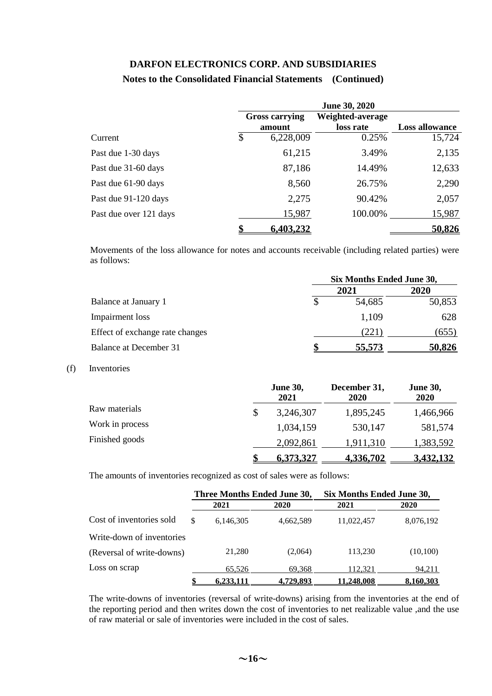|                        |    | <b>Gross carrying</b><br>amount | Weighted-average<br>loss rate | <b>Loss allowance</b> |
|------------------------|----|---------------------------------|-------------------------------|-----------------------|
| Current                | \$ | 6,228,009                       | 0.25%                         | 15,724                |
| Past due 1-30 days     |    | 61,215                          | 3.49%                         | 2,135                 |
| Past due 31-60 days    |    | 87,186                          | 14.49%                        | 12,633                |
| Past due 61-90 days    |    | 8,560                           | 26.75%                        | 2,290                 |
| Past due 91-120 days   |    | 2,275                           | 90.42%                        | 2,057                 |
| Past due over 121 days |    | 15,987                          | 100.00%                       | 15,987                |
|                        |    | 6,403,232                       |                               | 50,826                |

Movements of the loss allowance for notes and accounts receivable (including related parties) were as follows:

|                                 | Six Months Ended June 30, |        |        |  |
|---------------------------------|---------------------------|--------|--------|--|
|                                 |                           | 2021   | 2020   |  |
| Balance at January 1            |                           | 54,685 | 50,853 |  |
| Impairment loss                 |                           | 1,109  | 628    |  |
| Effect of exchange rate changes |                           | 221    | (655)  |  |
| Balance at December 31          |                           | 55,573 | 50,826 |  |

#### (f) Inventories

|                 | <b>June 30,</b><br>2021 | December 31,<br>2020 | <b>June 30,</b><br><b>2020</b> |
|-----------------|-------------------------|----------------------|--------------------------------|
| Raw materials   | \$<br>3,246,307         | 1,895,245            | 1,466,966                      |
| Work in process | 1,034,159               | 530,147              | 581,574                        |
| Finished goods  | 2,092,861               | 1,911,310            | 1,383,592                      |
|                 | 6,373,327               | 4,336,702            | <u>3,432,132</u>               |

The amounts of inventories recognized as cost of sales were as follows:

|                           | Three Months Ended June 30, |                  | Six Months Ended June 30, |           |
|---------------------------|-----------------------------|------------------|---------------------------|-----------|
|                           | 2021                        | 2020             | 2021                      | 2020      |
| Cost of inventories sold  | \$<br>6,146,305             | 4,662,589        | 11,022,457                | 8,076,192 |
| Write-down of inventories |                             |                  |                           |           |
| (Reversal of write-downs) | 21,280                      | (2,064)          | 113,230                   | (10,100)  |
| Loss on scrap             | 65.526                      | 69.368           | 112.321                   | 94,211    |
|                           | 6.233.111                   | <u>4.729.893</u> | 1.248.008                 | 8.160.303 |

The write-downs of inventories (reversal of write-downs) arising from the inventories at the end of the reporting period and then writes down the cost of inventories to net realizable value ,and the use of raw material or sale of inventories were included in the cost of sales.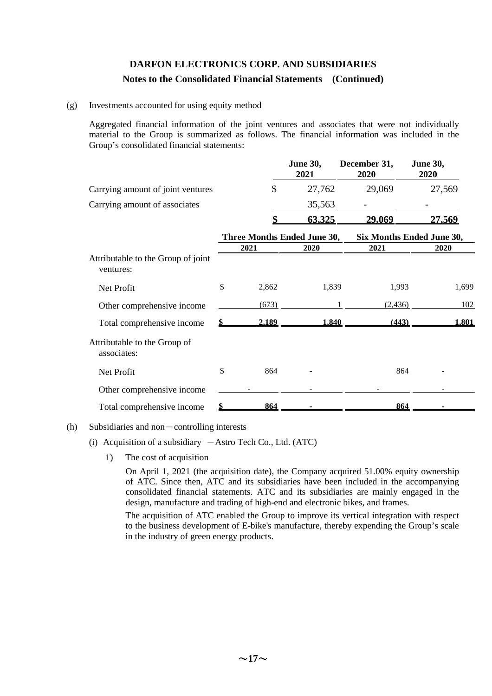#### (g) Investments accounted for using equity method

Aggregated financial information of the joint ventures and associates that were not individually material to the Group is summarized as follows. The financial information was included in the Group's consolidated financial statements:

|                                                 |             | <b>June 30,</b><br>2021     | December 31,<br>2020     | <b>June 30,</b><br>2020   |
|-------------------------------------------------|-------------|-----------------------------|--------------------------|---------------------------|
| Carrying amount of joint ventures               | \$          | 27,762                      | 29,069                   | 27,569                    |
| Carrying amount of associates                   |             | 35,563                      | $\overline{\phantom{0}}$ |                           |
|                                                 |             | 63,325                      | <u>29,069</u>            | <u>27,569</u>             |
|                                                 |             | Three Months Ended June 30, |                          | Six Months Ended June 30, |
| Attributable to the Group of joint<br>ventures: | 2021        | 2020                        | 2021                     | 2020                      |
| Net Profit                                      | \$<br>2,862 | 1,839                       | 1,993                    | 1,699                     |
| Other comprehensive income                      | (673)       |                             | (2, 436)                 | 102                       |
| Total comprehensive income                      | 2,189       | 1,840                       | (443)                    | 1,801                     |
| Attributable to the Group of<br>associates:     |             |                             |                          |                           |
| Net Profit                                      | \$<br>864   |                             | 864                      |                           |
| Other comprehensive income                      |             |                             |                          |                           |
| Total comprehensive income                      | 864         |                             | 864                      |                           |

#### (h) Subsidiaries and non-controlling interests

#### (i) Acquisition of a subsidiary  $-Astro$  Tech Co., Ltd. (ATC)

1) The cost of acquisition

On April 1, 2021 (the acquisition date), the Company acquired 51.00% equity ownership of ATC. Since then, ATC and its subsidiaries have been included in the accompanying consolidated financial statements. ATC and its subsidiaries are mainly engaged in the design, manufacture and trading of high-end and electronic bikes, and frames.

The acquisition of ATC enabled the Group to improve its vertical integration with respect to the business development of E-bike's manufacture, thereby expending the Group's scale in the industry of green energy products.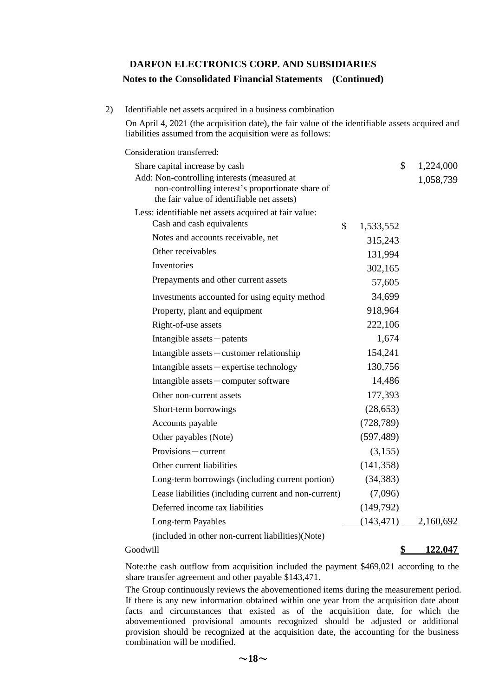#### **Notes to the Consolidated Financial Statements (Continued)**

2) Identifiable net assets acquired in a business combination

On April 4, 2021 (the acquisition date), the fair value of the identifiable assets acquired and liabilities assumed from the acquisition were as follows:

Consideration transferred:

| Share capital increase by cash                                                                   |               |            | \$<br>1,224,000 |
|--------------------------------------------------------------------------------------------------|---------------|------------|-----------------|
| Add: Non-controlling interests (measured at<br>non-controlling interest's proportionate share of |               |            | 1,058,739       |
| the fair value of identifiable net assets)                                                       |               |            |                 |
| Less: identifiable net assets acquired at fair value:                                            |               |            |                 |
| Cash and cash equivalents                                                                        | $\mathcal{S}$ | 1,533,552  |                 |
| Notes and accounts receivable, net                                                               |               | 315,243    |                 |
| Other receivables                                                                                |               | 131,994    |                 |
| Inventories                                                                                      |               | 302,165    |                 |
| Prepayments and other current assets                                                             |               | 57,605     |                 |
| Investments accounted for using equity method                                                    |               | 34,699     |                 |
| Property, plant and equipment                                                                    |               | 918,964    |                 |
| Right-of-use assets                                                                              |               | 222,106    |                 |
| Intangible assets – patents                                                                      |               | 1,674      |                 |
| Intangible assets - customer relationship                                                        |               | 154,241    |                 |
| Intangible assets - expertise technology                                                         |               | 130,756    |                 |
| Intangible assets-computer software                                                              |               | 14,486     |                 |
| Other non-current assets                                                                         |               | 177,393    |                 |
| Short-term borrowings                                                                            |               | (28, 653)  |                 |
| Accounts payable                                                                                 |               | (728, 789) |                 |
| Other payables (Note)                                                                            |               | (597, 489) |                 |
| Provisions – current                                                                             |               | (3,155)    |                 |
| Other current liabilities                                                                        |               | (141, 358) |                 |
| Long-term borrowings (including current portion)                                                 |               | (34, 383)  |                 |
| Lease liabilities (including current and non-current)                                            |               | (7,096)    |                 |
| Deferred income tax liabilities                                                                  |               | (149,792)  |                 |
| Long-term Payables                                                                               |               | (143, 471) | 2,160,692       |
|                                                                                                  |               |            |                 |

(included in other non-current liabilities)(Note)

Goodwill **\$ 122,047** 

Note:the cash outflow from acquisition included the payment \$469,021 according to the share transfer agreement and other payable \$143,471.

The Group continuously reviews the abovementioned items during the measurement period. If there is any new information obtained within one year from the acquisition date about facts and circumstances that existed as of the acquisition date, for which the abovementioned provisional amounts recognized should be adjusted or additional provision should be recognized at the acquisition date, the accounting for the business combination will be modified.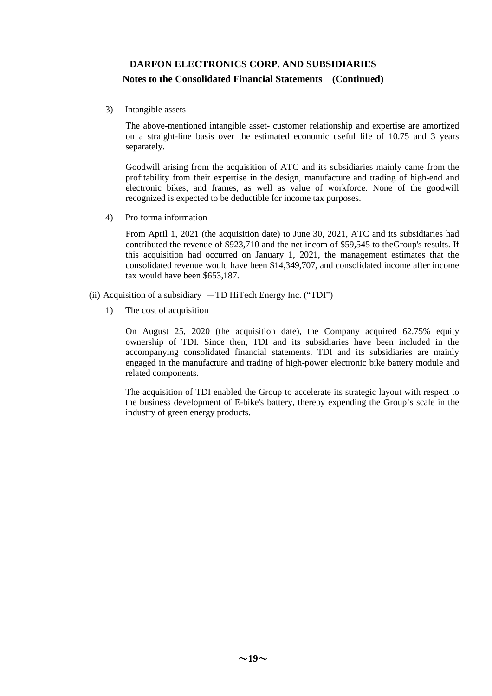3) Intangible assets

The above-mentioned intangible asset- customer relationship and expertise are amortized on a straight-line basis over the estimated economic useful life of 10.75 and 3 years separately.

Goodwill arising from the acquisition of ATC and its subsidiaries mainly came from the profitability from their expertise in the design, manufacture and trading of high-end and electronic bikes, and frames, as well as value of workforce. None of the goodwill recognized is expected to be deductible for income tax purposes.

4) Pro forma information

From April 1, 2021 (the acquisition date) to June 30, 2021, ATC and its subsidiaries had contributed the revenue of \$923,710 and the net incom of \$59,545 to theGroup's results. If this acquisition had occurred on January 1, 2021, the management estimates that the consolidated revenue would have been \$14,349,707, and consolidated income after income tax would have been \$653,187.

- (ii) Acquisition of a subsidiary  $-TD$  HiTech Energy Inc. ("TDI")
	- 1) The cost of acquisition

On August 25, 2020 (the acquisition date), the Company acquired 62.75% equity ownership of TDI. Since then, TDI and its subsidiaries have been included in the accompanying consolidated financial statements. TDI and its subsidiaries are mainly engaged in the manufacture and trading of high-power electronic bike battery module and related components.

The acquisition of TDI enabled the Group to accelerate its strategic layout with respect to the business development of E-bike's battery, thereby expending the Group's scale in the industry of green energy products.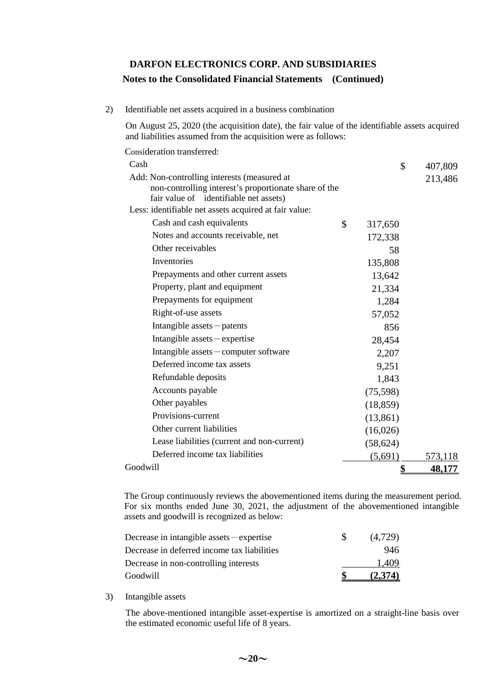### **Notes to the Consolidated Financial Statements (Continued)**

2) Identifiable net assets acquired in a business combination

On August 25, 2020 (the acquisition date), the fair value of the identifiable assets acquired and liabilities assumed from the acquisition were as follows:

Consideration transferred:

| Cash                                                                                                                                           |               | \$        | 407,809       |
|------------------------------------------------------------------------------------------------------------------------------------------------|---------------|-----------|---------------|
| Add: Non-controlling interests (measured at<br>non-controlling interest's proportionate share of the<br>fair value of identifiable net assets) |               |           | 213,486       |
| Less: identifiable net assets acquired at fair value:                                                                                          |               |           |               |
| Cash and cash equivalents                                                                                                                      | $\mathcal{S}$ | 317,650   |               |
| Notes and accounts receivable, net                                                                                                             |               | 172,338   |               |
| Other receivables                                                                                                                              |               | 58        |               |
| Inventories                                                                                                                                    |               | 135,808   |               |
| Prepayments and other current assets                                                                                                           |               | 13,642    |               |
| Property, plant and equipment                                                                                                                  |               | 21,334    |               |
| Prepayments for equipment                                                                                                                      |               | 1,284     |               |
| Right-of-use assets                                                                                                                            |               | 57,052    |               |
| Intangible assets $-$ patents                                                                                                                  |               | 856       |               |
| Intangible $assertise$                                                                                                                         |               | 28,454    |               |
| Intangible assets – computer software                                                                                                          |               | 2,207     |               |
| Deferred income tax assets                                                                                                                     |               | 9,251     |               |
| Refundable deposits                                                                                                                            |               | 1,843     |               |
| Accounts payable                                                                                                                               |               | (75, 598) |               |
| Other payables                                                                                                                                 |               | (18, 859) |               |
| Provisions-current                                                                                                                             |               | (13, 861) |               |
| Other current liabilities                                                                                                                      |               | (16,026)  |               |
| Lease liabilities (current and non-current)                                                                                                    |               | (58, 624) |               |
| Deferred income tax liabilities                                                                                                                |               | (5,691)   | 573,118       |
| Goodwill                                                                                                                                       |               | \$        | <u>48,177</u> |

The Group continuously reviews the abovementioned items during the measurement period. For six months ended June 30, 2021, the adjustment of the abovementioned intangible assets and goodwill is recognized as below:

| Decrease in intangible assets $-\text{expertise}$ | (4,729) |
|---------------------------------------------------|---------|
| Decrease in deferred income tax liabilities       | 946.    |
| Decrease in non-controlling interests             | 1.409   |
| Goodwill                                          | (2,374) |

3) Intangible assets

The above-mentioned intangible asset-expertise is amortized on a straight-line basis over the estimated economic useful life of 8 years.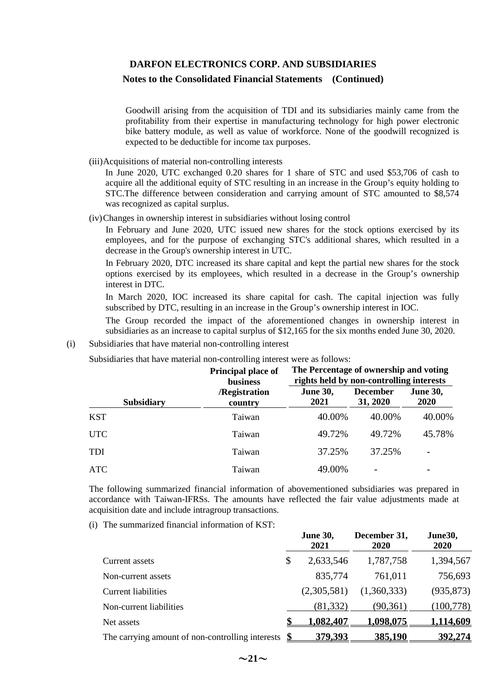#### **Notes to the Consolidated Financial Statements (Continued)**

Goodwill arising from the acquisition of TDI and its subsidiaries mainly came from the profitability from their expertise in manufacturing technology for high power electronic bike battery module, as well as value of workforce. None of the goodwill recognized is expected to be deductible for income tax purposes.

(iii)Acquisitions of material non-controlling interests

In June 2020, UTC exchanged 0.20 shares for 1 share of STC and used \$53,706 of cash to acquire all the additional equity of STC resulting in an increase in the Group's equity holding to STC.The difference between consideration and carrying amount of STC amounted to \$8,574 was recognized as capital surplus.

(iv)Changes in ownership interest in subsidiaries without losing control

In February and June 2020, UTC issued new shares for the stock options exercised by its employees, and for the purpose of exchanging STC's additional shares, which resulted in a decrease in the Group's ownership interest in UTC.

In February 2020, DTC increased its share capital and kept the partial new shares for the stock options exercised by its employees, which resulted in a decrease in the Group's ownership interest in DTC.

In March 2020, IOC increased its share capital for cash. The capital injection was fully subscribed by DTC, resulting in an increase in the Group's ownership interest in IOC.

The Group recorded the impact of the aforementioned changes in ownership interest in subsidiaries as an increase to capital surplus of \$12,165 for the six months ended June 30, 2020.

(i) Subsidiaries that have material non-controlling interest

|                   | <b>Principal place of</b><br><b>business</b> | The Percentage of ownership and voting<br>rights held by non-controlling interests |                             |                                |  |  |
|-------------------|----------------------------------------------|------------------------------------------------------------------------------------|-----------------------------|--------------------------------|--|--|
| <b>Subsidiary</b> | /Registration<br>country                     | <b>June 30,</b><br>2021                                                            | <b>December</b><br>31, 2020 | <b>June 30,</b><br><b>2020</b> |  |  |
| KST               | Taiwan                                       | 40.00%                                                                             | 40.00%                      | 40.00%                         |  |  |
| UTC               | Taiwan                                       | 49.72%                                                                             | 49.72%                      | 45.78%                         |  |  |
| TDI               | Taiwan                                       | 37.25%                                                                             | 37.25%                      |                                |  |  |
| ATC               | Taiwan                                       | 49.00%                                                                             | $\overline{\phantom{0}}$    |                                |  |  |

Subsidiaries that have material non-controlling interest were as follows:

The following summarized financial information of abovementioned subsidiaries was prepared in accordance with Taiwan-IFRSs. The amounts have reflected the fair value adjustments made at acquisition date and include intragroup transactions.

(i) The summarized financial information of KST:

|                                                  | <b>June 30,</b><br>2021 | December 31,<br><b>2020</b> | June30,<br>2020 |
|--------------------------------------------------|-------------------------|-----------------------------|-----------------|
| Current assets                                   | \$<br>2,633,546         | 1,787,758                   | 1,394,567       |
| Non-current assets                               | 835,774                 | 761,011                     | 756,693         |
| <b>Current liabilities</b>                       | (2,305,581)             | (1,360,333)                 | (935, 873)      |
| Non-current liabilities                          | (81, 332)               | (90, 361)                   | (100, 778)      |
| Net assets                                       | .082,407                | 1,098,075                   | <u>114,609</u>  |
| The carrying amount of non-controlling interests | 379,393                 | 385,190                     | <u>392,274</u>  |

**December 31,** 

**June30,**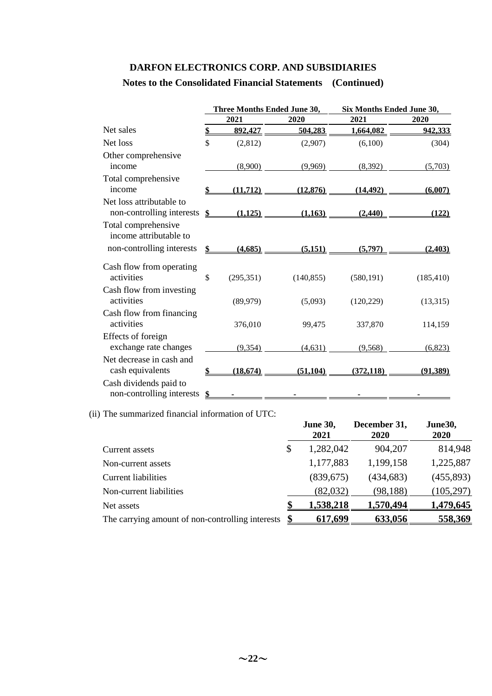## **Notes to the Consolidated Financial Statements (Continued)**

|                                                       | Three Months Ended June 30, |            | Six Months Ended June 30, |                 |  |
|-------------------------------------------------------|-----------------------------|------------|---------------------------|-----------------|--|
|                                                       | 2021                        | 2020       | 2021                      | 2020            |  |
| Net sales                                             | \$<br>892,427               | 504,283    | 1,664,082                 | 942,333         |  |
| Net loss                                              | \$<br>(2,812)               | (2,907)    | (6,100)                   | (304)           |  |
| Other comprehensive<br>income                         | (8,900)                     | (9,969)    | (8,392)                   | (5,703)         |  |
| Total comprehensive<br>income                         | (11.712)                    | (12, 876)  | (14, 492)                 | (6.007)         |  |
| Net loss attributable to<br>non-controlling interests | \$<br>(1.125)               | (1.163)    | (2,440)                   | (122)           |  |
| Total comprehensive<br>income attributable to         |                             |            |                           |                 |  |
| non-controlling interests                             | \$<br>(4.685)               | (5.151)    | (5,797)                   | (2.403)         |  |
| Cash flow from operating<br>activities                | \$<br>(295, 351)            | (140, 855) | (580, 191)                | (185, 410)      |  |
| Cash flow from investing<br>activities                | (89,979)                    | (5,093)    | (120, 229)                | (13,315)        |  |
| Cash flow from financing<br>activities                | 376,010                     | 99,475     | 337,870                   | 114,159         |  |
| Effects of foreign<br>exchange rate changes           | (9,354)                     | (4,631)    | (9,568)                   | (6,823)         |  |
| Net decrease in cash and<br>cash equivalents          | \$<br>(18, 674)             | (51, 104)  | (372, 118)                | <u>(91,389)</u> |  |
| Cash dividends paid to<br>non-controlling interests   | \$                          |            |                           |                 |  |

(ii) The summarized financial information of UTC:

|                                                  | <b>June 30,</b><br>2021 | December 31,<br><b>2020</b> | June30,<br>2020 |
|--------------------------------------------------|-------------------------|-----------------------------|-----------------|
| Current assets                                   | \$<br>1,282,042         | 904,207                     | 814,948         |
| Non-current assets                               | 1,177,883               | 1,199,158                   | 1,225,887       |
| <b>Current liabilities</b>                       | (839, 675)              | (434, 683)                  | (455, 893)      |
| Non-current liabilities                          | (82,032)                | (98, 188)                   | (105, 297)      |
| Net assets                                       | 1,538,218               | 1,570,494                   | <u>.479,645</u> |
| The carrying amount of non-controlling interests | 617,699                 | <u>633,056</u>              | 558,369         |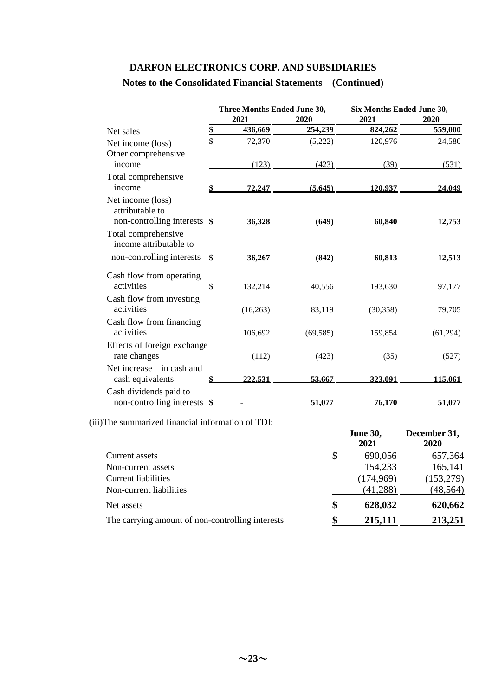### **Notes to the Consolidated Financial Statements (Continued)**

|                                                                                             |               | Three Months Ended June 30, |           | Six Months Ended June 30, |           |  |
|---------------------------------------------------------------------------------------------|---------------|-----------------------------|-----------|---------------------------|-----------|--|
|                                                                                             |               | 2021                        | 2020      | 2021                      | 2020      |  |
| Net sales                                                                                   | $\frac{1}{2}$ | 436,669                     | 254,239   | 824,262                   | 559,000   |  |
| Net income (loss)<br>Other comprehensive                                                    | \$            | 72,370                      | (5,222)   | 120,976                   | 24,580    |  |
| income                                                                                      |               | (123)                       | (423)     | (39)                      | (531)     |  |
| Total comprehensive<br>income                                                               |               | 72,247                      | (5,645)   | 120.937                   | 24,049    |  |
| Net income (loss)<br>attributable to                                                        |               |                             |           |                           |           |  |
| non-controlling interests $\underline{\$}$<br>Total comprehensive<br>income attributable to |               | 36,328                      | (649)     | 60,840                    | 12,753    |  |
| non-controlling interests                                                                   | \$            | 36,267                      | (842)     | 60.813                    | 12,513    |  |
| Cash flow from operating<br>activities                                                      | \$            | 132,214                     | 40,556    | 193,630                   | 97,177    |  |
| Cash flow from investing<br>activities                                                      |               | (16, 263)                   | 83,119    | (30, 358)                 | 79,705    |  |
| Cash flow from financing<br>activities                                                      |               | 106,692                     | (69, 585) | 159,854                   | (61, 294) |  |
| Effects of foreign exchange<br>rate changes                                                 |               | (112)                       | (423)     | (35)                      | (527)     |  |
| Net increase<br>in cash and<br>cash equivalents                                             |               | 222.531                     | 53.667    | 323.091                   | 115,061   |  |
| Cash dividends paid to<br>non-controlling interests                                         | \$            |                             | 51,077    | 76.170                    | 51,077    |  |

(iii)The summarized financial information of TDI:

| <b>June 30,</b><br>2021 | December 31,<br><b>2020</b> |
|-------------------------|-----------------------------|
| \$<br>690,056           | 657,364                     |
| 154,233                 | 165,141                     |
| (174,969)               | (153, 279)                  |
| (41, 288)               | (48, 564)                   |
| 628,032                 | 620,662                     |
| 215,111                 | 213,251                     |
|                         |                             |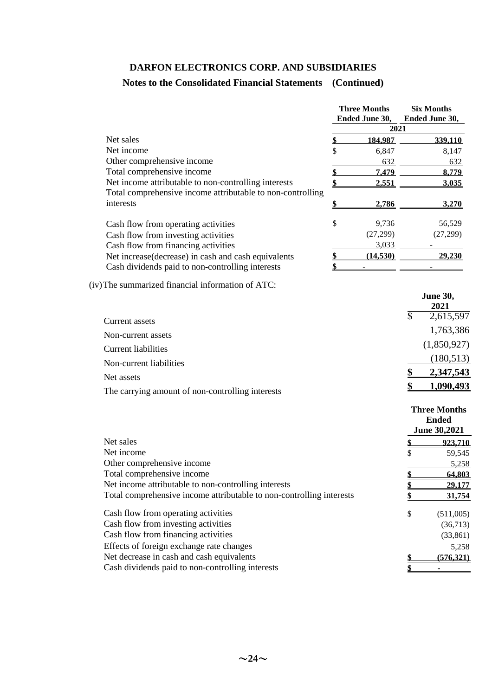## **Notes to the Consolidated Financial Statements (Continued)**

|                                                                                                                              | <b>Three Months</b><br>Ended June 30, |          | <b>Six Months</b><br>Ended June 30,                        |
|------------------------------------------------------------------------------------------------------------------------------|---------------------------------------|----------|------------------------------------------------------------|
| Net sales                                                                                                                    | 2021                                  |          |                                                            |
| Net income                                                                                                                   | \$<br>184,987<br>6,847                |          | 339,110<br>8,147                                           |
| Other comprehensive income                                                                                                   | 632                                   |          | 632                                                        |
| Total comprehensive income                                                                                                   | 7,479                                 |          | 8,779                                                      |
| Net income attributable to non-controlling interests                                                                         | 2,551                                 |          | <u>3,035</u>                                               |
| Total comprehensive income attributable to non-controlling                                                                   |                                       |          |                                                            |
| interests                                                                                                                    | 2,786                                 |          | 3,270                                                      |
| Cash flow from operating activities                                                                                          | \$<br>9,736                           |          | 56,529                                                     |
| Cash flow from investing activities                                                                                          | (27, 299)                             |          | (27,299)                                                   |
| Cash flow from financing activities                                                                                          | 3,033                                 |          |                                                            |
| Net increase (decrease) in cash and cash equivalents                                                                         | (14, 530)                             |          | 29,230                                                     |
| Cash dividends paid to non-controlling interests                                                                             |                                       |          |                                                            |
| (iv) The summarized financial information of ATC:                                                                            |                                       |          |                                                            |
|                                                                                                                              |                                       |          | <b>June 30,</b>                                            |
|                                                                                                                              |                                       | \$       | 2021<br>2,615,597                                          |
| Current assets                                                                                                               |                                       |          |                                                            |
| Non-current assets                                                                                                           |                                       |          | 1,763,386                                                  |
| <b>Current liabilities</b>                                                                                                   |                                       |          | (1,850,927)                                                |
| Non-current liabilities                                                                                                      |                                       |          | (180, 513)                                                 |
| Net assets                                                                                                                   |                                       | \$       | 2,347,543                                                  |
| The carrying amount of non-controlling interests                                                                             |                                       | \$       | 1,090,493                                                  |
|                                                                                                                              |                                       |          | <b>Three Months</b><br><b>Ended</b><br><b>June 30,2021</b> |
| Net sales                                                                                                                    |                                       | \$       | 923,710                                                    |
| Net income                                                                                                                   |                                       | \$       | 59,545                                                     |
| Other comprehensive income                                                                                                   |                                       |          | 5,258                                                      |
| Total comprehensive income                                                                                                   |                                       | \$       | 64,803                                                     |
| Net income attributable to non-controlling interests<br>Total comprehensive income attributable to non-controlling interests |                                       | \$<br>\$ | 29,177<br>31,754                                           |
|                                                                                                                              |                                       |          |                                                            |
| Cash flow from operating activities                                                                                          |                                       | \$       | (511,005)                                                  |
| Cash flow from investing activities                                                                                          |                                       |          | (36,713)                                                   |
| Cash flow from financing activities                                                                                          |                                       |          | (33, 861)                                                  |
| Effects of foreign exchange rate changes                                                                                     |                                       |          | 5,258                                                      |
| Net decrease in cash and cash equivalents                                                                                    |                                       | Ъ        | (576, 321)                                                 |
| Cash dividends paid to non-controlling interests                                                                             |                                       | \$       |                                                            |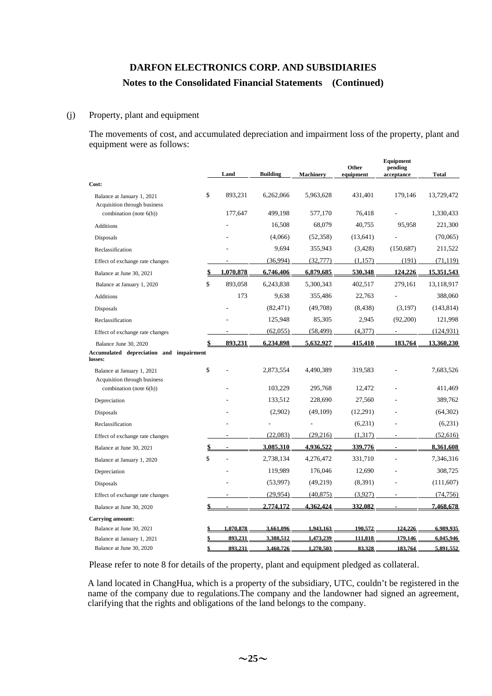### (j) Property, plant and equipment

The movements of cost, and accumulated depreciation and impairment loss of the property, plant and equipment were as follows:

|                                                                             | Land                 | <b>Building</b> | <b>Machinery</b> | Other<br>equipment | Equipment<br>pending<br>acceptance | <b>Total</b>      |
|-----------------------------------------------------------------------------|----------------------|-----------------|------------------|--------------------|------------------------------------|-------------------|
| Cost:                                                                       |                      |                 |                  |                    |                                    |                   |
| Balance at January 1, 2021<br>Acquisition through business                  | \$<br>893.231        | 6,262,066       | 5,963,628        | 431.401            | 179,146                            | 13,729,472        |
| combination (note 6(h))                                                     | 177,647              | 499,198         | 577,170          | 76,418             |                                    | 1,330,433         |
| Additions                                                                   |                      | 16,508          | 68,079           | 40.755             | 95,958                             | 221,300           |
| Disposals                                                                   |                      | (4,066)         | (52,358)         | (13, 641)          |                                    | (70,065)          |
| Reclassification                                                            |                      | 9,694           | 355,943          | (3,428)            | (150, 687)                         | 211,522           |
| Effect of exchange rate changes                                             |                      | (36,994)        | (32,777)         | (1, 157)           | (191)                              | (71, 119)         |
| Balance at June 30, 2021                                                    | \$<br>1,070,878      | 6,746,406       | 6,879,685        | 530,348            | 124,226                            | <u>15,351,543</u> |
| Balance at January 1, 2020                                                  | \$<br>893,058        | 6,243,838       | 5,300,343        | 402,517            | 279,161                            | 13,118,917        |
| Additions                                                                   | 173                  | 9,638           | 355,486          | 22,763             |                                    | 388,060           |
| Disposals                                                                   |                      | (82, 471)       | (49,708)         | (8, 438)           | (3,197)                            | (143, 814)        |
| Reclassification                                                            |                      | 125,948         | 85,305           | 2,945              | (92,200)                           | 121,998           |
| Effect of exchange rate changes                                             |                      | (62,055)        | (58, 499)        | (4, 377)           |                                    | (124, 931)        |
| Balance June 30, 2020<br>Accumulated depreciation and impairment<br>losses: | 893,231              | 6,234,898       | 5,632,927        | 415,410            | 183,764                            | 13,360,230        |
| Balance at January 1, 2021<br>Acquisition through business                  | \$                   | 2,873,554       | 4,490,389        | 319,583            |                                    | 7,683,526         |
| combination (note 6(h))                                                     |                      | 103.229         | 295.768          | 12.472             |                                    | 411.469           |
| Depreciation                                                                |                      | 133,512         | 228,690          | 27,560             |                                    | 389,762           |
| Disposals                                                                   |                      | (2,902)         | (49,109)         | (12,291)           |                                    | (64, 302)         |
| Reclassification                                                            |                      |                 |                  | (6,231)            |                                    | (6,231)           |
| Effect of exchange rate changes                                             |                      | (22,083)        | (29,216)         | (1,317)            |                                    | (52, 616)         |
| Balance at June 30, 2021                                                    | \$<br>$\overline{a}$ | 3,085,310       | 4,936,522        | 339,776            |                                    | 8,361,608         |
| Balance at January 1, 2020                                                  | \$                   | 2,738,134       | 4,276,472        | 331,710            |                                    | 7,346,316         |
| Depreciation                                                                |                      | 119,989         | 176,046          | 12,690             |                                    | 308,725           |
| Disposals                                                                   |                      | (53,997)        | (49,219)         | (8,391)            |                                    | (111,607)         |
| Effect of exchange rate changes                                             |                      | (29.954)        | (40, 875)        | (3,927)            |                                    | (74, 756)         |
| Balance at June 30, 2020                                                    | \$                   | 2,774,172       | 4,362,424        | 332,082            |                                    | 7,468,678         |
| Carrying amount:                                                            |                      |                 |                  |                    |                                    |                   |
| Balance at June 30, 2021                                                    | 1,070,878            | 3,661,096       | 1,943,163        | 190,572            | 124,226                            | 6,989,935         |
| Balance at January 1, 2021                                                  | 893.231              | 3,388,512       | 1.473.239        | 111,818            | 179,146                            | 6,045,946         |
| Balance at June 30, 2020                                                    | \$<br>893,231        | 3,460,726       | 1,270,503        | 83,328             | 183,764                            | 5,891,552         |

Please refer to note 8 for details of the property, plant and equipment pledged as collateral.

A land located in ChangHua, which is a property of the subsidiary, UTC, couldn't be registered in the name of the company due to regulations.The company and the landowner had signed an agreement, clarifying that the rights and obligations of the land belongs to the company.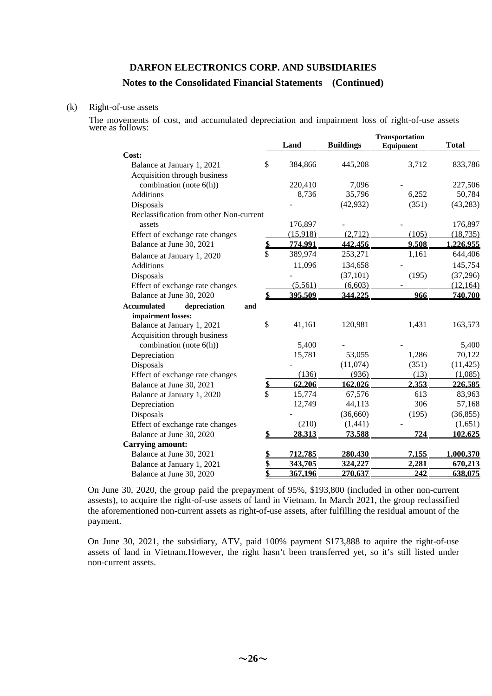#### **Notes to the Consolidated Financial Statements (Continued)**

#### (k) Right-of-use assets

The movements of cost, and accumulated depreciation and impairment loss of right-of-use assets were as follows:

|                                           | Land          | <b>Buildings</b> | <b>Transportation</b><br>Equipment | <b>Total</b> |
|-------------------------------------------|---------------|------------------|------------------------------------|--------------|
| Cost:                                     |               |                  |                                    |              |
| Balance at January 1, 2021                | \$<br>384,866 | 445,208          | 3,712                              | 833,786      |
| Acquisition through business              |               |                  |                                    |              |
| combination (note $6(h)$ )                | 220,410       | 7,096            |                                    | 227,506      |
| <b>Additions</b>                          | 8,736         | 35,796           | 6,252                              | 50,784       |
| Disposals                                 |               | (42, 932)        | (351)                              | (43,283)     |
| Reclassification from other Non-current   |               |                  |                                    |              |
| assets                                    | 176,897       |                  |                                    | 176,897      |
| Effect of exchange rate changes           | (15,918)      | (2,712)          | (105)                              | (18, 735)    |
| Balance at June 30, 2021                  | \$<br>774.991 | 442.456          | 9.508                              | 1,226,955    |
| Balance at January 1, 2020                | \$<br>389,974 | 253,271          | 1,161                              | 644,406      |
| <b>Additions</b>                          | 11,096        | 134,658          |                                    | 145,754      |
| Disposals                                 |               | (37, 101)        | (195)                              | (37,296)     |
| Effect of exchange rate changes           | (5,561)       | (6,603)          |                                    | (12, 164)    |
| Balance at June 30, 2020                  | 395.509       | 344,225          | 966                                | 740,700      |
| <b>Accumulated</b><br>depreciation<br>and |               |                  |                                    |              |
| impairment losses:                        |               |                  |                                    |              |
| Balance at January 1, 2021                | \$<br>41,161  | 120,981          | 1,431                              | 163,573      |
| Acquisition through business              |               |                  |                                    |              |
| combination (note 6(h))                   | 5,400         |                  |                                    | 5,400        |
| Depreciation                              | 15,781        | 53,055           | 1,286                              | 70,122       |
| Disposals                                 |               | (11,074)         | (351)                              | (11, 425)    |
| Effect of exchange rate changes           | (136)         | (936)            | (13)                               | (1,085)      |
| Balance at June 30, 2021                  | \$<br>62.206  | <u>162.026</u>   | 2,353                              | 226,585      |
| Balance at January 1, 2020                | \$<br>15,774  | 67,576           | 613                                | 83,963       |
| Depreciation                              | 12,749        | 44,113           | 306                                | 57,168       |
| Disposals                                 |               | (36,660)         | (195)                              | (36, 855)    |
| Effect of exchange rate changes           | (210)         | (1, 441)         |                                    | (1,651)      |
| Balance at June 30, 2020                  | \$<br>28,313  | 73,588           | 724                                | 102,625      |
| <b>Carrying amount:</b>                   |               |                  |                                    |              |
| Balance at June 30, 2021                  | 712,785       | 280,430          | 7,155                              | 1,000,370    |
| Balance at January 1, 2021                | 343,705       | 324,227          | 2.281                              | 670,213      |
| Balance at June 30, 2020                  | \$<br>367.196 | 270.637          | 242                                | 638,075      |

On June 30, 2020, the group paid the prepayment of 95%, \$193,800 (included in other non-current assests), to acquire the right-of-use assets of land in Vietnam. In March 2021, the group reclassified the aforementioned non-current assets as right-of-use assets, after fulfilling the residual amount of the payment.

On June 30, 2021, the subsidiary, ATV, paid 100% payment \$173,888 to aquire the right-of-use assets of land in Vietnam.However, the right hasn't been transferred yet, so it's still listed under non-current assets.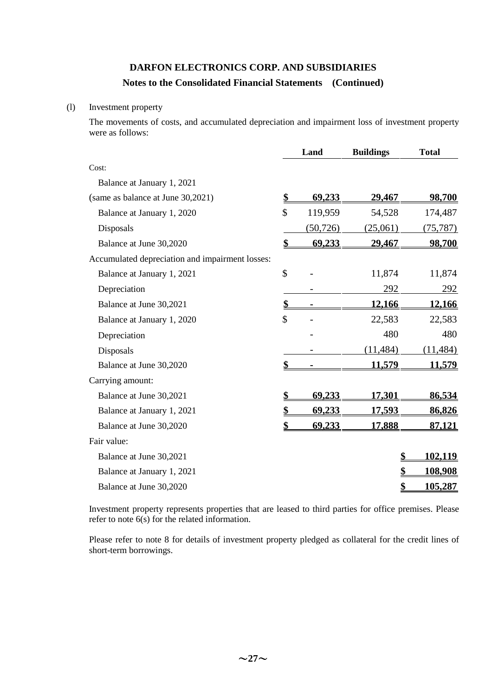### **Notes to the Consolidated Financial Statements (Continued)**

### (l) Investment property

The movements of costs, and accumulated depreciation and impairment loss of investment property were as follows:

|                                                 | Land                | <b>Buildings</b> | <b>Total</b>  |
|-------------------------------------------------|---------------------|------------------|---------------|
| Cost:                                           |                     |                  |               |
| Balance at January 1, 2021                      |                     |                  |               |
| (same as balance at June 30,2021)               | \$<br>69,233        | 29,467           | 98,700        |
| Balance at January 1, 2020                      | \$<br>119,959       | 54,528           | 174,487       |
| Disposals                                       | (50, 726)           | (25,061)         | (75, 787)     |
| Balance at June 30,2020                         | \$<br>69,233        | 29,467           | 98,700        |
| Accumulated depreciation and impairment losses: |                     |                  |               |
| Balance at January 1, 2021                      | \$                  | 11,874           | 11,874        |
| Depreciation                                    |                     | 292              | 292           |
| Balance at June 30,2021                         | \$                  | 12,166           | 12,166        |
| Balance at January 1, 2020                      | \$                  | 22,583           | 22,583        |
| Depreciation                                    |                     | 480              | 480           |
| Disposals                                       |                     | (11, 484)        | (11, 484)     |
| Balance at June 30,2020                         | \$                  | 11,579           | <u>11,579</u> |
| Carrying amount:                                |                     |                  |               |
| Balance at June 30,2021                         | \$<br>69,233        | 17,301           | 86,534        |
| Balance at January 1, 2021                      | \$<br><u>69,233</u> | <u>17,593</u>    | 86,826        |
| Balance at June 30,2020                         | \$<br>69,233        | 17,888           | <u>87,121</u> |
| Fair value:                                     |                     |                  |               |
| Balance at June 30,2021                         |                     |                  | 102,119       |
| Balance at January 1, 2021                      |                     | \$               | 108,908       |
| Balance at June 30,2020                         |                     | \$               | 105,287       |

Investment property represents properties that are leased to third parties for office premises. Please refer to note  $6(s)$  for the related information.

Please refer to note 8 for details of investment property pledged as collateral for the credit lines of short-term borrowings.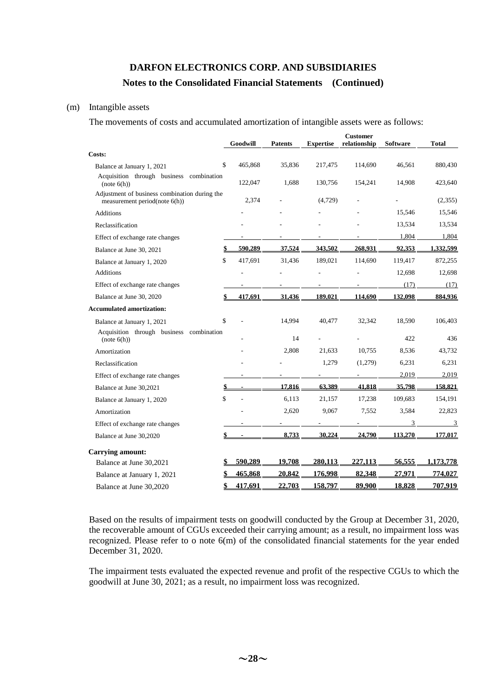### **Notes to the Consolidated Financial Statements (Continued)**

#### (m) Intangible assets

The movements of costs and accumulated amortization of intangible assets were as follows:

|                                                                                | Goodwill      | <b>Patents</b> | <b>Expertise</b>         | <b>Customer</b><br>relationship | <b>Software</b> | <b>Total</b>    |
|--------------------------------------------------------------------------------|---------------|----------------|--------------------------|---------------------------------|-----------------|-----------------|
| Costs:                                                                         |               |                |                          |                                 |                 |                 |
| Balance at January 1, 2021                                                     | \$<br>465,868 | 35,836         | 217,475                  | 114,690                         | 46,561          | 880,430         |
| Acquisition through business combination<br>(note(6(h))                        | 122,047       | 1,688          | 130,756                  | 154,241                         | 14,908          | 423,640         |
| Adjustment of business combination during the<br>measurement period(note 6(h)) | 2,374         |                | (4,729)                  |                                 |                 | (2,355)         |
| <b>Additions</b>                                                               |               |                |                          |                                 | 15.546          | 15,546          |
| Reclassification                                                               |               |                |                          |                                 | 13.534          | 13,534          |
| Effect of exchange rate changes                                                |               |                |                          |                                 | 1,804           | 1,804           |
| Balance at June 30, 2021                                                       | 590,289       | 37,524         | 343,502                  | 268,931                         | 92,353          | 1,332,599       |
| Balance at January 1, 2020                                                     | \$<br>417,691 | 31,436         | 189,021                  | 114,690                         | 119,417         | 872,255         |
| <b>Additions</b>                                                               |               |                |                          |                                 | 12,698          | 12,698          |
| Effect of exchange rate changes                                                |               |                |                          |                                 | (17)            | (17)            |
| Balance at June 30, 2020                                                       | 417,691       | 31,436         | 189.021                  | 114.690                         | 132,098         | 884,936         |
| <b>Accumulated amortization:</b>                                               |               |                |                          |                                 |                 |                 |
| Balance at January 1, 2021                                                     | \$            | 14,994         | 40,477                   | 32,342                          | 18,590          | 106,403         |
| Acquisition through business combination<br>(note (h))                         |               | 14             |                          |                                 | 422             | 436             |
| Amortization                                                                   |               | 2,808          | 21,633                   | 10,755                          | 8,536           | 43,732          |
| Reclassification                                                               |               |                | 1,279                    | (1,279)                         | 6,231           | 6,231           |
| Effect of exchange rate changes                                                |               |                | $\overline{\phantom{a}}$ | $\overline{\phantom{a}}$        | 2,019           | 2,019           |
| Balance at June 30,2021                                                        | \$            | 17.816         | 63.389                   | 41.818                          | 35,798          | 158.821         |
| Balance at January 1, 2020                                                     | \$            | 6,113          | 21,157                   | 17,238                          | 109,683         | 154,191         |
| Amortization                                                                   |               | 2,620          | 9,067                    | 7,552                           | 3,584           | 22,823          |
| Effect of exchange rate changes                                                |               |                | $\overline{\phantom{a}}$ | ٠                               | 3               | 3               |
| Balance at June 30,2020                                                        |               | 8.733          | 30.224                   | 24.790                          | 113,270         | 177,017         |
| <b>Carrying amount:</b>                                                        |               |                |                          |                                 |                 |                 |
| Balance at June 30,2021                                                        | 590.289       | 19.708         | 280.113                  | 227,113                         | 56,555          | 1,173,778       |
| Balance at January 1, 2021                                                     | 465,868       | 20,842         | 176,998                  | 82,348                          | 27.971          | <u>774.027 </u> |
| Balance at June 30,2020                                                        | \$<br>417,691 | 22.703         | 158,797                  | 89.900                          | 18,828          | 707.919         |

Based on the results of impairment tests on goodwill conducted by the Group at December 31, 2020, the recoverable amount of CGUs exceeded their carrying amount; as a result, no impairment loss was recognized. Please refer to o note 6(m) of the consolidated financial statements for the year ended December 31, 2020.

The impairment tests evaluated the expected revenue and profit of the respective CGUs to which the goodwill at June 30, 2021; as a result, no impairment loss was recognized.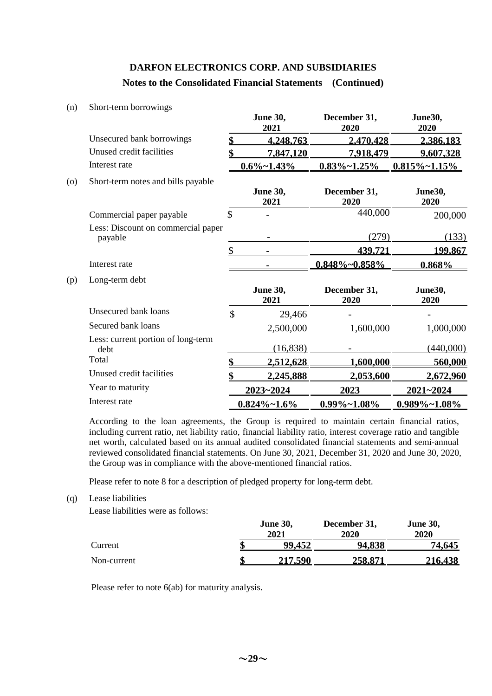### **Notes to the Consolidated Financial Statements (Continued)**

#### (n) Short-term borrowings

|     |                                               |               | <b>June 30,</b><br>2021 | December 31,<br>2020 | June30,<br>2020    |
|-----|-----------------------------------------------|---------------|-------------------------|----------------------|--------------------|
|     | Unsecured bank borrowings                     | \$            | 4,248,763               | 2,470,428            | <u>2,386,183</u>   |
|     | Unused credit facilities                      | \$            | 7,847,120               | <u>7,918,479</u>     | 9,607,328          |
|     | Interest rate                                 |               | $0.6\%$ ~1.43%          | $0.83\%$ ~1.25%      | $0.815\% - 1.15\%$ |
| (0) | Short-term notes and bills payable            |               | <b>June 30,</b><br>2021 | December 31,<br>2020 | June30,<br>2020    |
|     | Commercial paper payable                      | \$            |                         | 440,000              | 200,000            |
|     | Less: Discount on commercial paper<br>payable |               |                         | (279)                | (133)              |
|     |                                               | \$            |                         | 439,721              | 199,867            |
|     | Interest rate                                 |               |                         | $0.848\% - 0.858\%$  | 0.868%             |
| (p) | Long-term debt                                |               | <b>June 30,</b><br>2021 | December 31,<br>2020 | June30,<br>2020    |
|     | Unsecured bank loans                          | $\mathcal{S}$ | 29,466                  |                      |                    |
|     | Secured bank loans                            |               | 2,500,000               | 1,600,000            | 1,000,000          |
|     | Less: current portion of long-term<br>debt    |               | (16, 838)               |                      | (440,000)          |
|     | Total                                         |               | <u>2,512,628</u>        | 1,600,000            | 560,000            |
|     | Unused credit facilities                      |               | 2,245,888               | <u>2,053,600</u>     | 2,672,960          |
|     | Year to maturity                              |               | <u>2023~2024</u>        | 2023                 | <u>2021~2024</u>   |
|     | Interest rate                                 |               | $0.824\% - 1.6\%$       | $0.99\%$ ~1.08%      | $0.989\%$ ~1.08%   |

According to the loan agreements, the Group is required to maintain certain financial ratios, including current ratio, net liability ratio, financial liability ratio, interest coverage ratio and tangible net worth, calculated based on its annual audited consolidated financial statements and semi-annual reviewed consolidated financial statements. On June 30, 2021, December 31, 2020 and June 30, 2020, the Group was in compliance with the above-mentioned financial ratios.

Please refer to note 8 for a description of pledged property for long-term debt.

(q) Lease liabilities

Lease liabilities were as follows:

|             | <b>June 30,</b><br>2021 | December 31,<br>2020 | <b>June 30,</b><br>2020 |  |
|-------------|-------------------------|----------------------|-------------------------|--|
| Current     | 99,452                  | 94,838               | 74,645                  |  |
| Non-current | 217.590                 | 258,871              | 216,438                 |  |

Please refer to note 6(ab) for maturity analysis.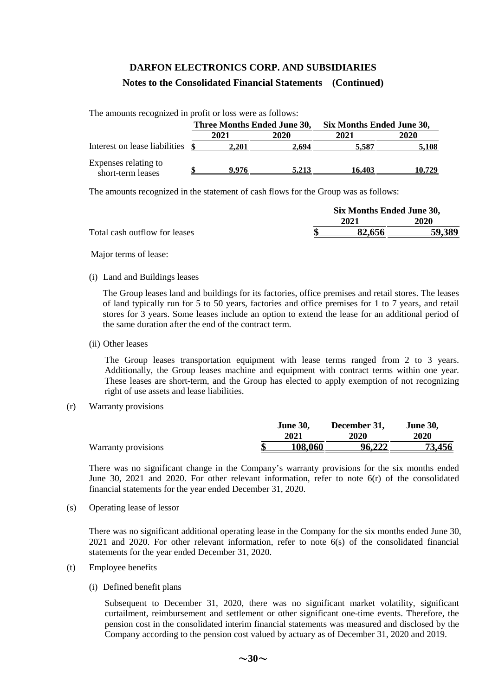### **Notes to the Consolidated Financial Statements (Continued)**

| The amounts recognized in profit or loss were as follows: |                             |       |                           |        |  |
|-----------------------------------------------------------|-----------------------------|-------|---------------------------|--------|--|
|                                                           | Three Months Ended June 30, |       | Six Months Ended June 30, |        |  |
|                                                           | 2021                        | 2020  | 2021                      | 2020   |  |
| Interest on lease liabilities                             | 2.201                       | 2.694 | 5.587                     | 5.108  |  |
| Expenses relating to<br>short-term leases                 | 9.976                       | 5.213 | 16.403                    | 10.729 |  |

The amounts recognized in the statement of cash flows for the Group was as follows:

|                               | Six Months Ended June 30, |        |
|-------------------------------|---------------------------|--------|
|                               | 2021                      | 2020   |
| Total cash outflow for leases | 82,656                    | 59,389 |

Major terms of lease:

(i) Land and Buildings leases

The Group leases land and buildings for its factories, office premises and retail stores. The leases of land typically run for 5 to 50 years, factories and office premises for 1 to 7 years, and retail stores for 3 years. Some leases include an option to extend the lease for an additional period of the same duration after the end of the contract term.

(ii) Other leases

The Group leases transportation equipment with lease terms ranged from 2 to 3 years. Additionally, the Group leases machine and equipment with contract terms within one year. These leases are short-term, and the Group has elected to apply exemption of not recognizing right of use assets and lease liabilities.

(r) Warranty provisions

|                     |  | <b>June 30,</b> | December 31, | <b>June 30,</b> |
|---------------------|--|-----------------|--------------|-----------------|
|                     |  | 2021            | 2020         | <b>2020</b>     |
| Warranty provisions |  | 108,060         | 96,222       | <b>73,456</b>   |

There was no significant change in the Company's warranty provisions for the six months ended June 30, 2021 and 2020. For other relevant information, refer to note 6(r) of the consolidated financial statements for the year ended December 31, 2020.

(s) Operating lease of lessor

There was no significant additional operating lease in the Company for the six months ended June 30, 2021 and 2020. For other relevant information, refer to note 6(s) of the consolidated financial statements for the year ended December 31, 2020.

- (t) Employee benefits
	- (i) Defined benefit plans

Subsequent to December 31, 2020, there was no significant market volatility, significant curtailment, reimbursement and settlement or other significant one-time events. Therefore, the pension cost in the consolidated interim financial statements was measured and disclosed by the Company according to the pension cost valued by actuary as of December 31, 2020 and 2019.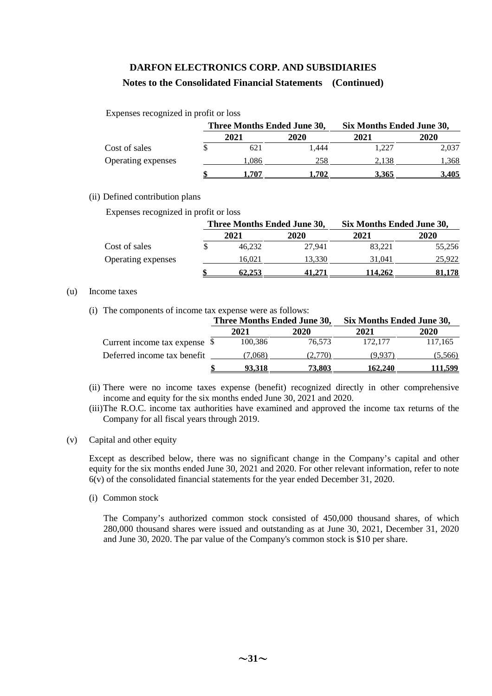### **Notes to the Consolidated Financial Statements (Continued)**

Expenses recognized in profit or loss

|                    |      | Three Months Ended June 30, | Six Months Ended June 30, |             |  |  |
|--------------------|------|-----------------------------|---------------------------|-------------|--|--|
|                    | 2021 | 2020                        | 2021                      | <b>2020</b> |  |  |
| Cost of sales      | 621  | 1.444                       | 1.227                     | 2,037       |  |  |
| Operating expenses | .086 | 258                         | 2.138                     | 1,368       |  |  |
|                    | .707 | l.702                       | 3.365                     | 3.405       |  |  |

#### (ii) Defined contribution plans

Expenses recognized in profit or loss

|                    | Three Months Ended June 30, |        | Six Months Ended June 30, |        |  |
|--------------------|-----------------------------|--------|---------------------------|--------|--|
|                    | 2021                        | 2020   | 2021                      | 2020   |  |
| Cost of sales      | 46.232                      | 27.941 | 83.221                    | 55,256 |  |
| Operating expenses | 16.021                      | 13.330 | 31.041                    | 25.922 |  |
|                    | 62,253                      | 41.271 | 114.262                   | 81.178 |  |

#### (u) Income taxes

(i) The components of income tax expense were as follows:

|                                          | Three Months Ended June 30, |         | Six Months Ended June 30, |         |  |
|------------------------------------------|-----------------------------|---------|---------------------------|---------|--|
|                                          | 2021                        | 2020    | 2021                      | 2020    |  |
| Current income tax expense $\frac{1}{2}$ | 100.386                     | 76.573  | 172.177                   | 117.165 |  |
| Deferred income tax benefit              | (7.068)                     | (2,770) | (9.937)                   | (5,566) |  |
|                                          | 93.318                      | 73,803  | 162,240                   | 111.599 |  |

- (ii) There were no income taxes expense (benefit) recognized directly in other comprehensive income and equity for the six months ended June 30, 2021 and 2020.
- (iii)The R.O.C. income tax authorities have examined and approved the income tax returns of the Company for all fiscal years through 2019.
- (v) Capital and other equity

Except as described below, there was no significant change in the Company's capital and other equity for the six months ended June 30, 2021 and 2020. For other relevant information, refer to note 6(v) of the consolidated financial statements for the year ended December 31, 2020.

(i) Common stock

The Company's authorized common stock consisted of 450,000 thousand shares, of which 280,000 thousand shares were issued and outstanding as at June 30, 2021, December 31, 2020 and June 30, 2020. The par value of the Company's common stock is \$10 per share.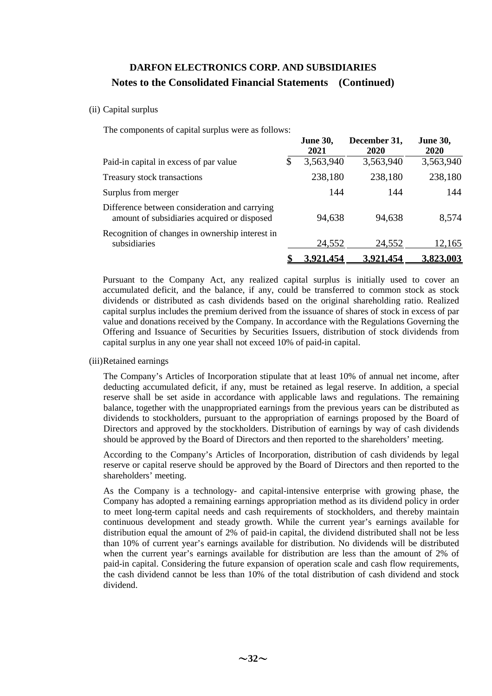#### (ii) Capital surplus

The components of capital surplus were as follows:

|                                                                                              | <b>June 30,</b><br>2021 | December 31,<br>2020 | <b>June 30,</b><br><b>2020</b> |
|----------------------------------------------------------------------------------------------|-------------------------|----------------------|--------------------------------|
| Paid-in capital in excess of par value                                                       | \$<br>3,563,940         | 3,563,940            | 3,563,940                      |
| Treasury stock transactions                                                                  | 238,180                 | 238,180              | 238,180                        |
| Surplus from merger                                                                          | 144                     | 144                  | 144                            |
| Difference between consideration and carrying<br>amount of subsidiaries acquired or disposed | 94,638                  | 94,638               | 8,574                          |
| Recognition of changes in ownership interest in<br>subsidiaries                              | 24,552                  | 24,552               | 12,165                         |
|                                                                                              | 3,921,454               | 3,921,454            | 3,823,003                      |

Pursuant to the Company Act, any realized capital surplus is initially used to cover an accumulated deficit, and the balance, if any, could be transferred to common stock as stock dividends or distributed as cash dividends based on the original shareholding ratio. Realized capital surplus includes the premium derived from the issuance of shares of stock in excess of par value and donations received by the Company. In accordance with the Regulations Governing the Offering and Issuance of Securities by Securities Issuers, distribution of stock dividends from capital surplus in any one year shall not exceed 10% of paid-in capital.

#### (iii)Retained earnings

The Company's Articles of Incorporation stipulate that at least 10% of annual net income, after deducting accumulated deficit, if any, must be retained as legal reserve. In addition, a special reserve shall be set aside in accordance with applicable laws and regulations. The remaining balance, together with the unappropriated earnings from the previous years can be distributed as dividends to stockholders, pursuant to the appropriation of earnings proposed by the Board of Directors and approved by the stockholders. Distribution of earnings by way of cash dividends should be approved by the Board of Directors and then reported to the shareholders' meeting.

According to the Company's Articles of Incorporation, distribution of cash dividends by legal reserve or capital reserve should be approved by the Board of Directors and then reported to the shareholders' meeting.

As the Company is a technology- and capital-intensive enterprise with growing phase, the Company has adopted a remaining earnings appropriation method as its dividend policy in order to meet long-term capital needs and cash requirements of stockholders, and thereby maintain continuous development and steady growth. While the current year's earnings available for distribution equal the amount of 2% of paid-in capital, the dividend distributed shall not be less than 10% of current year's earnings available for distribution. No dividends will be distributed when the current year's earnings available for distribution are less than the amount of 2% of paid-in capital. Considering the future expansion of operation scale and cash flow requirements, the cash dividend cannot be less than 10% of the total distribution of cash dividend and stock dividend.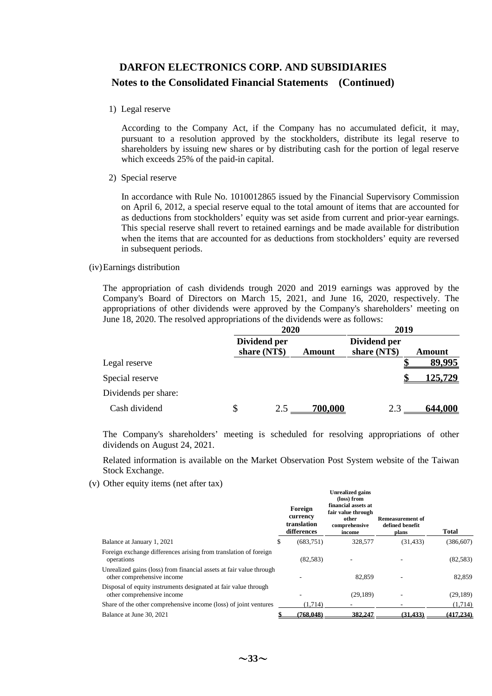### **Notes to the Consolidated Financial Statements (Continued)**

1) Legal reserve

According to the Company Act, if the Company has no accumulated deficit, it may, pursuant to a resolution approved by the stockholders, distribute its legal reserve to shareholders by issuing new shares or by distributing cash for the portion of legal reserve which exceeds 25% of the paid-in capital.

#### 2) Special reserve

In accordance with Rule No. 1010012865 issued by the Financial Supervisory Commission on April 6, 2012, a special reserve equal to the total amount of items that are accounted for as deductions from stockholders' equity was set aside from current and prior-year earnings. This special reserve shall revert to retained earnings and be made available for distribution when the items that are accounted for as deductions from stockholders' equity are reversed in subsequent periods.

#### (iv)Earnings distribution

The appropriation of cash dividends trough 2020 and 2019 earnings was approved by the Company's Board of Directors on March 15, 2021, and June 16, 2020, respectively. The appropriations of other dividends were approved by the Company's shareholders' meeting on June 18, 2020. The resolved appropriations of the dividends were as follows:

|                      | 2020                         |     |         | 2019                         |               |  |
|----------------------|------------------------------|-----|---------|------------------------------|---------------|--|
|                      | Dividend per<br>share (NT\$) |     | Amount  | Dividend per<br>share (NT\$) | <b>Amount</b> |  |
| Legal reserve        |                              |     |         |                              | 89,995        |  |
| Special reserve      |                              |     |         |                              | 125.729       |  |
| Dividends per share: |                              |     |         |                              |               |  |
| Cash dividend        | \$                           | 2.5 | 700,000 | 2.3                          | 644,000       |  |

The Company's shareholders' meeting is scheduled for resolving appropriations of other dividends on August 24, 2021.

Related information is available on the Market Observation Post System website of the Taiwan Stock Exchange.

(v) Other equity items (net after tax)

|                                                                                                   | Foreign<br>currency<br>translation<br>differences | <b>Unrealized gains</b><br>(loss) from<br>financial assets at<br>fair value through<br>other<br>comprehensive<br>income | <b>Remeasurement of</b><br>defined benefit<br>plans | <b>Total</b> |
|---------------------------------------------------------------------------------------------------|---------------------------------------------------|-------------------------------------------------------------------------------------------------------------------------|-----------------------------------------------------|--------------|
| Balance at January 1, 2021                                                                        | \$<br>(683,751)                                   | 328,577                                                                                                                 | (31, 433)                                           | (386,607)    |
| Foreign exchange differences arising from translation of foreign<br>operations                    | (82, 583)                                         |                                                                                                                         |                                                     | (82, 583)    |
| Unrealized gains (loss) from financial assets at fair value through<br>other comprehensive income |                                                   | 82,859                                                                                                                  |                                                     | 82.859       |
| Disposal of equity instruments designated at fair value through<br>other comprehensive income     |                                                   | (29, 189)                                                                                                               |                                                     | (29, 189)    |
| Share of the other comprehensive income (loss) of joint ventures                                  | (1.714)                                           |                                                                                                                         |                                                     | (1,714)      |
| Balance at June 30, 2021                                                                          | (768.048)                                         | 382,247                                                                                                                 | (31.433)                                            | (417.234)    |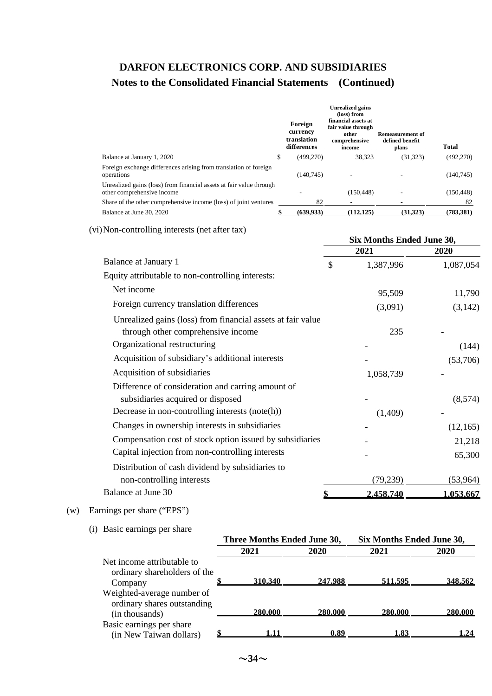## **Notes to the Consolidated Financial Statements (Continued)**

|                                                                                                   | Foreign<br>currency<br>translation<br>differences | <b>Unrealized gains</b><br>(loss) from<br>financial assets at<br>fair value through<br>other<br>comprehensive<br>income | <b>Remeasurement of</b><br>defined benefit<br>plans | Total      |
|---------------------------------------------------------------------------------------------------|---------------------------------------------------|-------------------------------------------------------------------------------------------------------------------------|-----------------------------------------------------|------------|
| Balance at January 1, 2020                                                                        | \$<br>(499,270)                                   | 38.323                                                                                                                  | (31, 323)                                           | (492, 270) |
| Foreign exchange differences arising from translation of foreign<br>operations                    | (140.745)                                         |                                                                                                                         |                                                     | (140, 745) |
| Unrealized gains (loss) from financial assets at fair value through<br>other comprehensive income |                                                   | (150.448)                                                                                                               |                                                     | (150, 448) |
| Share of the other comprehensive income (loss) of joint ventures                                  | 82                                                |                                                                                                                         |                                                     | 82         |
| Balance at June 30, 2020                                                                          | (639.933)                                         | (112.125)                                                                                                               | (31.323)                                            | (783, 381) |

(vi)Non-controlling interests (net after tax)

|                                                                                        | Six Months Ended June 30, |           |           |  |  |
|----------------------------------------------------------------------------------------|---------------------------|-----------|-----------|--|--|
|                                                                                        |                           | 2021      | 2020      |  |  |
| Balance at January 1                                                                   | \$                        | 1,387,996 | 1,087,054 |  |  |
| Equity attributable to non-controlling interests:                                      |                           |           |           |  |  |
| Net income                                                                             |                           | 95,509    | 11,790    |  |  |
| Foreign currency translation differences                                               |                           | (3,091)   | (3, 142)  |  |  |
| Unrealized gains (loss) from financial assets at fair value                            |                           |           |           |  |  |
| through other comprehensive income                                                     |                           | 235       |           |  |  |
| Organizational restructuring                                                           |                           |           | (144)     |  |  |
| Acquisition of subsidiary's additional interests                                       |                           |           | (53,706)  |  |  |
| Acquisition of subsidiaries                                                            |                           | 1,058,739 |           |  |  |
| Difference of consideration and carring amount of<br>subsidiaries acquired or disposed |                           |           | (8,574)   |  |  |
| Decrease in non-controlling interests (note(h))                                        |                           | (1,409)   |           |  |  |
| Changes in ownership interests in subsidiaries                                         |                           |           | (12, 165) |  |  |
| Compensation cost of stock option issued by subsidiaries                               |                           |           | 21,218    |  |  |
| Capital injection from non-controlling interests                                       |                           |           | 65,300    |  |  |
| Distribution of cash dividend by subsidiaries to                                       |                           |           |           |  |  |
| non-controlling interests                                                              |                           | (79, 239) | (53,964)  |  |  |
| Balance at June 30                                                                     | \$                        | 2,458,740 | 1,053,667 |  |  |

### (w) Earnings per share ("EPS")

(i) Basic earnings per share

|                              | Three Months Ended June 30, |                | <b>Six Months Ended June 30,</b> |                |  |
|------------------------------|-----------------------------|----------------|----------------------------------|----------------|--|
|                              | 2021                        | <b>2020</b>    | 2021                             | 2020           |  |
| Net income attributable to   |                             |                |                                  |                |  |
| ordinary shareholders of the |                             |                |                                  |                |  |
| Company                      | <b>310.340</b>              | <u>247.988</u> | 511,595                          | 348,562        |  |
| Weighted-average number of   |                             |                |                                  |                |  |
| ordinary shares outstanding  |                             |                |                                  |                |  |
| (in thousands)               | 280.000                     | <u>280.000</u> | 280,000                          | <u>280.000</u> |  |
| Basic earnings per share     |                             |                |                                  |                |  |
| (in New Taiwan dollars)      | 1.11                        | 0.89           | 1.83                             | 1.24           |  |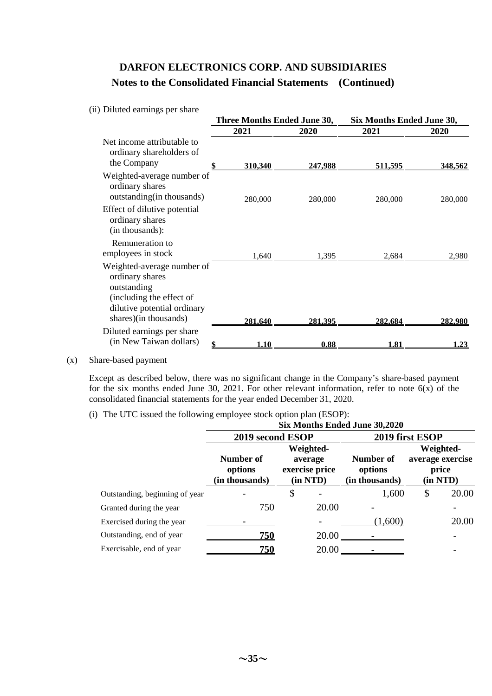(ii) Diluted earnings per share

|                                                                                                                                                  | <b>Three Months Ended June 30,</b> |         | <b>Six Months Ended June 30,</b> |              |  |
|--------------------------------------------------------------------------------------------------------------------------------------------------|------------------------------------|---------|----------------------------------|--------------|--|
|                                                                                                                                                  | 2021                               | 2020    | 2021                             | 2020         |  |
| Net income attributable to<br>ordinary shareholders of<br>the Company                                                                            | 310.340                            | 247.988 | <u>511.595</u>                   | 348,562      |  |
| Weighted-average number of<br>ordinary shares<br>outstanding (in thousands)                                                                      | 280,000                            | 280,000 | 280,000                          | 280,000      |  |
| Effect of dilutive potential<br>ordinary shares<br>(in thousands):                                                                               |                                    |         |                                  |              |  |
| Remuneration to<br>employees in stock                                                                                                            | 1.640                              | 1,395   | 2,684                            | 2,980        |  |
| Weighted-average number of<br>ordinary shares<br>outstanding<br>(including the effect of<br>dilutive potential ordinary<br>shares)(in thousands) | 281.640                            | 281.395 | 282.684                          | 282,980      |  |
| Diluted earnings per share<br>(in New Taiwan dollars)                                                                                            | \$<br>1.10                         | 0.88    | 1.81                             | <u>1.23 </u> |  |

(x) Share-based payment

Except as described below, there was no significant change in the Company's share-based payment for the six months ended June 30, 2021. For other relevant information, refer to note  $6(x)$  of the consolidated financial statements for the year ended December 31, 2020.

#### (i) The UTC issued the following employee stock option plan (ESOP):

|                                | <b>Six Months Ended June 30,2020</b>   |    |                                                    |                                        |                                                    |       |  |
|--------------------------------|----------------------------------------|----|----------------------------------------------------|----------------------------------------|----------------------------------------------------|-------|--|
|                                | 2019 second ESOP                       |    |                                                    |                                        | 2019 first ESOP                                    |       |  |
|                                | Number of<br>options<br>(in thousands) |    | Weighted-<br>average<br>exercise price<br>(in NTD) | Number of<br>options<br>(in thousands) | Weighted-<br>average exercise<br>price<br>(in NTD) |       |  |
| Outstanding, beginning of year |                                        | \$ |                                                    | 1,600                                  | \$                                                 | 20.00 |  |
| Granted during the year        | 750                                    |    | 20.00                                              |                                        |                                                    |       |  |
| Exercised during the year      |                                        |    |                                                    | (1,600)                                |                                                    | 20.00 |  |
| Outstanding, end of year       | <u>750</u>                             |    | 20.00                                              |                                        |                                                    |       |  |
| Exercisable, end of year       | 750                                    |    | 20.00                                              |                                        |                                                    |       |  |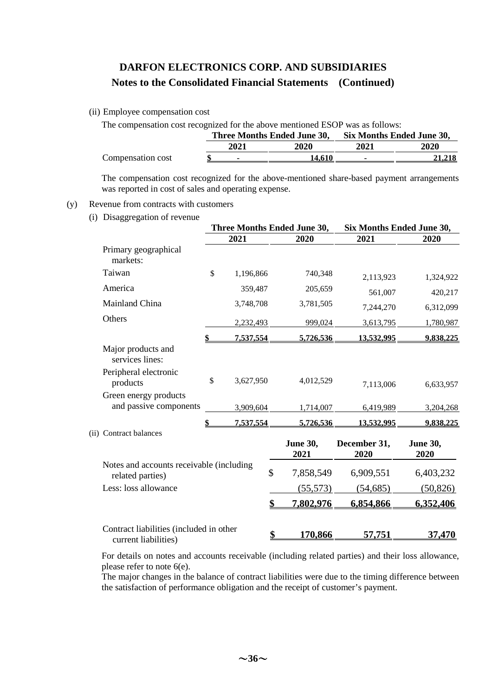#### (ii) Employee compensation cost

The compensation cost recognized for the above mentioned ESOP was as follows:

|                   |      | Three Months Ended June 30, | Six Months Ended June 30, |        |  |
|-------------------|------|-----------------------------|---------------------------|--------|--|
|                   | 2021 | <b>2020</b>                 | 2021                      | 2020   |  |
| Compensation cost |      | 14.610                      |                           | 21,218 |  |

The compensation cost recognized for the above-mentioned share-based payment arrangements was reported in cost of sales and operating expense.

#### (y) Revenue from contracts with customers

(i) Disaggregation of revenue

|                                                                 | Three Months Ended June 30, |           |                         | <b>Six Months Ended June 30,</b> |                         |
|-----------------------------------------------------------------|-----------------------------|-----------|-------------------------|----------------------------------|-------------------------|
|                                                                 |                             | 2021      | 2020                    | 2021                             | 2020                    |
| Primary geographical<br>markets:                                |                             |           |                         |                                  |                         |
| Taiwan                                                          | $\mathbb{S}$                | 1,196,866 | 740,348                 | 2,113,923                        | 1,324,922               |
| America                                                         |                             | 359,487   | 205,659                 | 561,007                          | 420,217                 |
| Mainland China                                                  |                             | 3,748,708 | 3,781,505               | 7,244,270                        | 6,312,099               |
| Others                                                          |                             | 2,232,493 | 999,024                 | 3,613,795                        | 1,780,987               |
|                                                                 |                             | 7.537.554 | 5.726.536               | 13,532,995                       | 9,838,225               |
| Major products and<br>services lines:                           |                             |           |                         |                                  |                         |
| Peripheral electronic<br>products                               | \$                          | 3,627,950 | 4,012,529               | 7,113,006                        | 6,633,957               |
| Green energy products<br>and passive components                 |                             | 3,909,604 | 1,714,007               | 6,419,989                        | 3,204,268               |
|                                                                 |                             | 7,537,554 | 5,726,536               | 13.532.995                       | 9,838,225               |
| (ii) Contract balances                                          |                             |           | <b>June 30,</b><br>2021 | December 31,<br>2020             | <b>June 30,</b><br>2020 |
| Notes and accounts receivable (including<br>related parties)    |                             |           | \$<br>7,858,549         | 6,909,551                        | 6,403,232               |
| Less: loss allowance                                            |                             |           | (55,573)                | (54, 685)                        | (50, 826)               |
|                                                                 |                             |           | <u>7,802,976</u>        | 6,854,866                        | 6,352,406               |
| Contract liabilities (included in other<br>current liabilities) |                             |           | 170,866                 | 57,751                           | 37,470                  |

For details on notes and accounts receivable (including related parties) and their loss allowance, please refer to note 6(e).

The major changes in the balance of contract liabilities were due to the timing difference between the satisfaction of performance obligation and the receipt of customer's payment.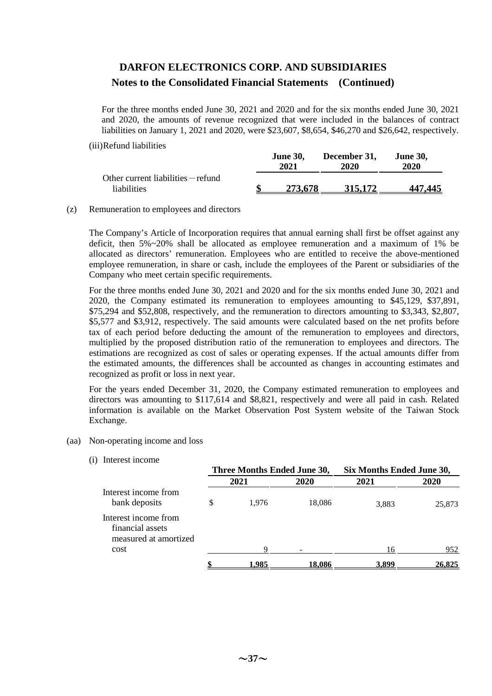### **Notes to the Consolidated Financial Statements (Continued)**

For the three months ended June 30, 2021 and 2020 and for the six months ended June 30, 2021 and 2020, the amounts of revenue recognized that were included in the balances of contract liabilities on January 1, 2021 and 2020, were \$23,607, \$8,654, \$46,270 and \$26,642, respectively.

(iii)Refund liabilities

|                                                   | <b>June 30.</b><br>2021 | December 31,<br>2020 | <b>June 30,</b><br>2020 |
|---------------------------------------------------|-------------------------|----------------------|-------------------------|
| Other current liabilities – refund<br>liabilities | 273,678                 | 315,172              | 447,445                 |

#### (z) Remuneration to employees and directors

The Company's Article of Incorporation requires that annual earning shall first be offset against any deficit, then 5%~20% shall be allocated as employee remuneration and a maximum of 1% be allocated as directors' remuneration. Employees who are entitled to receive the above-mentioned employee remuneration, in share or cash, include the employees of the Parent or subsidiaries of the Company who meet certain specific requirements.

For the three months ended June 30, 2021 and 2020 and for the six months ended June 30, 2021 and 2020, the Company estimated its remuneration to employees amounting to \$45,129, \$37,891, \$75,294 and \$52,808, respectively, and the remuneration to directors amounting to \$3,343, \$2,807, \$5,577 and \$3,912, respectively. The said amounts were calculated based on the net profits before tax of each period before deducting the amount of the remuneration to employees and directors, multiplied by the proposed distribution ratio of the remuneration to employees and directors. The estimations are recognized as cost of sales or operating expenses. If the actual amounts differ from the estimated amounts, the differences shall be accounted as changes in accounting estimates and recognized as profit or loss in next year.

For the years ended December 31, 2020, the Company estimated remuneration to employees and directors was amounting to \$117,614 and \$8,821, respectively and were all paid in cash. Related information is available on the Market Observation Post System website of the Taiwan Stock Exchange.

- (aa) Non-operating income and loss
	- (i) Interest income

|                                                                   | Three Months Ended June 30, |        | Six Months Ended June 30, |        |  |
|-------------------------------------------------------------------|-----------------------------|--------|---------------------------|--------|--|
|                                                                   | 2021                        | 2020   | 2021                      | 2020   |  |
| Interest income from<br>bank deposits                             | \$<br>1,976                 | 18,086 | 3,883                     | 25,873 |  |
| Interest income from<br>financial assets<br>measured at amortized | Q                           |        |                           |        |  |
| cost                                                              |                             |        | 16                        | 952    |  |
|                                                                   | .985                        | 18.086 | 3.899                     | 26.825 |  |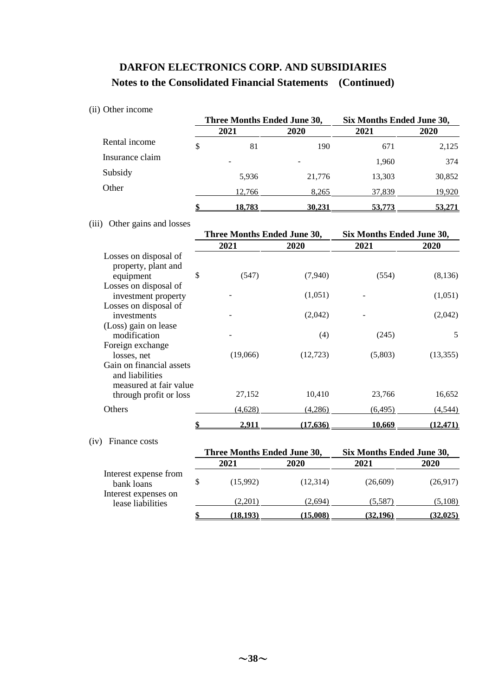(ii) Other income

|                 | Three Months Ended June 30, |        | Six Months Ended June 30, |        |  |
|-----------------|-----------------------------|--------|---------------------------|--------|--|
|                 | 2021                        | 2020   | 2021                      | 2020   |  |
| Rental income   | 81                          | 190    | 671                       | 2,125  |  |
| Insurance claim |                             |        | 1.960                     | 374    |  |
| Subsidy         | 5,936                       | 21,776 | 13,303                    | 30,852 |  |
| Other           | 12,766                      | 8,265  | 37,839                    | 19,920 |  |
|                 | 18.783                      | 30.231 | 53,773                    | 53.271 |  |

(iii) Other gains and losses

| 2021<br>(547) | 2020      | 2021           | 2020     |
|---------------|-----------|----------------|----------|
|               |           |                |          |
|               |           |                |          |
|               | (7,940)   | (554)          | (8, 136) |
|               |           |                |          |
|               | (1,051)   |                | (1,051)  |
|               |           |                |          |
|               | (2,042)   |                | (2,042)  |
|               |           |                |          |
|               | (4)       | (245)          | 5        |
|               |           |                |          |
| (19,066)      | (12, 723) |                | (13,355) |
|               |           |                |          |
| 27,152        | 10,410    | 23,766         | 16,652   |
| (4,628)       | (4,286)   | (6, 495)       | (4,544)  |
| <u>2,911</u>  | (17, 636) | <u> 10.669</u> | (12.471) |
|               |           |                | (5,803)  |

|                                                             | 2021     | 2020      | 2021     | 2020     |
|-------------------------------------------------------------|----------|-----------|----------|----------|
| Interest expense from<br>bank loans<br>Interest expenses on | (15,992) | (12, 314) | (26,609) | (26,917) |
| lease liabilities                                           | (2.201)  | (2.694)   | (5.587)  | (5,108)  |
|                                                             | 18.193)  | (15.008)  | 32.1961  | (32.025) |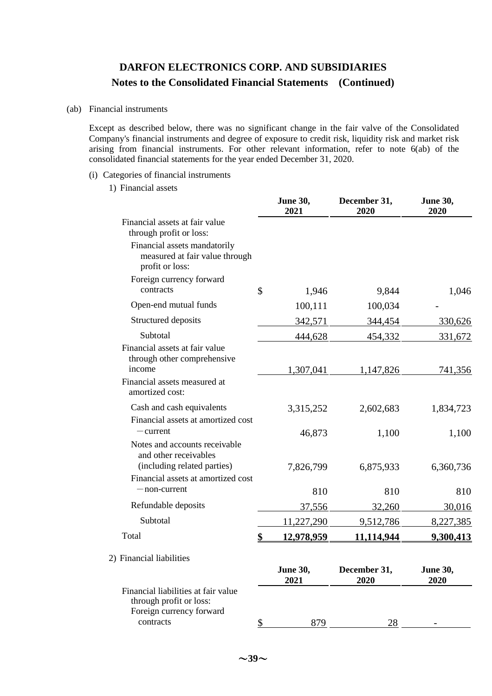#### (ab) Financial instruments

Except as described below, there was no significant change in the fair valve of the Consolidated Company's financial instruments and degree of exposure to credit risk, liquidity risk and market risk arising from financial instruments. For other relevant information, refer to note 6(ab) of the consolidated financial statements for the year ended December 31, 2020.

#### (i) Categories of financial instruments

1) Financial assets

|                                                                                                                             | <b>June 30,</b><br>2021 | December 31,<br>2020 | <b>June 30,</b><br>2020 |
|-----------------------------------------------------------------------------------------------------------------------------|-------------------------|----------------------|-------------------------|
| Financial assets at fair value<br>through profit or loss:                                                                   |                         |                      |                         |
| Financial assets mandatorily<br>measured at fair value through<br>profit or loss:                                           |                         |                      |                         |
| Foreign currency forward<br>contracts                                                                                       | \$<br>1,946             | 9,844                | 1,046                   |
| Open-end mutual funds                                                                                                       | 100,111                 | 100,034              |                         |
| Structured deposits                                                                                                         | 342,571                 | 344,454              | 330,626                 |
| Subtotal                                                                                                                    | 444,628                 | 454,332              | 331,672                 |
| Financial assets at fair value<br>through other comprehensive                                                               |                         |                      |                         |
| income<br>Financial assets measured at<br>amortized cost:                                                                   | 1,307,041               | 1,147,826            | 741,356                 |
| Cash and cash equivalents                                                                                                   | 3,315,252               | 2,602,683            | 1,834,723               |
| Financial assets at amortized cost<br>$-$ current                                                                           | 46,873                  | 1,100                | 1,100                   |
| Notes and accounts receivable<br>and other receivables<br>(including related parties)<br>Financial assets at amortized cost | 7,826,799               | 6,875,933            | 6,360,736               |
| $-$ non-current                                                                                                             | 810                     | 810                  | 810                     |
| Refundable deposits                                                                                                         | 37,556                  | 32,260               | 30,016                  |
| Subtotal                                                                                                                    | 11,227,290              | 9,512,786            | 8,227,385               |
| Total                                                                                                                       | <u>12,978,959</u>       | 11,114,944           | 9,300,413               |
| 2) Financial liabilities                                                                                                    | <b>June 30,</b>         | December 31,         | <b>June 30,</b>         |
|                                                                                                                             | 2021                    | 2020                 | 2020                    |
| Financial liabilities at fair value<br>through profit or loss:<br>Foreign currency forward                                  |                         |                      |                         |
| contracts                                                                                                                   | \$<br>879               | 28                   |                         |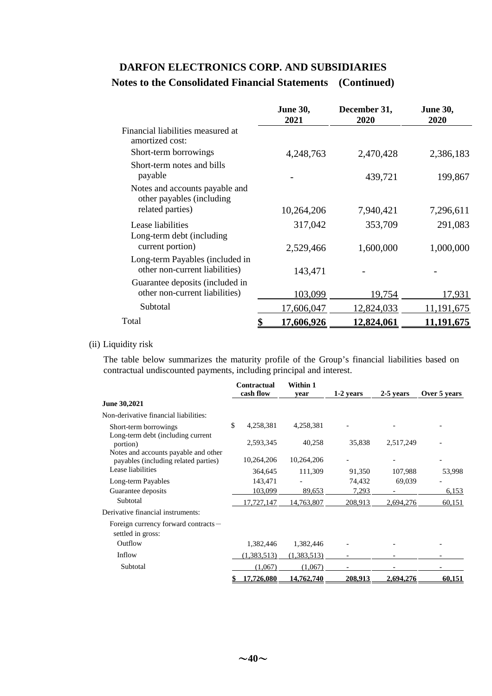## **Notes to the Consolidated Financial Statements (Continued)**

|                                                                   | <b>June 30,</b><br>2021 | December 31,<br>2020 | <b>June 30,</b><br>2020 |
|-------------------------------------------------------------------|-------------------------|----------------------|-------------------------|
| Financial liabilities measured at<br>amortized cost:              |                         |                      |                         |
| Short-term borrowings                                             | 4,248,763               | 2,470,428            | 2,386,183               |
| Short-term notes and bills<br>payable                             |                         | 439,721              | 199,867                 |
| Notes and accounts payable and<br>other payables (including       |                         |                      |                         |
| related parties)                                                  | 10,264,206              | 7,940,421            | 7,296,611               |
| Lease liabilities                                                 | 317,042                 | 353,709              | 291,083                 |
| Long-term debt (including<br>current portion)                     | 2,529,466               | 1,600,000            | 1,000,000               |
| Long-term Payables (included in<br>other non-current liabilities) | 143,471                 |                      |                         |
| Guarantee deposits (included in<br>other non-current liabilities) | 103,099                 | 19,754               | 17,931                  |
| Subtotal                                                          | 17,606,047              | 12,824,033           | 11, 191, 675            |
| Total                                                             | <u>17,606,926</u>       | <u>12,824,061</u>    | <u>11,191,675</u>       |

### (ii) Liquidity risk

The table below summarizes the maturity profile of the Group's financial liabilities based on contractual undiscounted payments, including principal and interest.

|                                                                              | <b>Contractual</b><br>cash flow | Within 1<br>vear | 1-2 years | 2-5 years | Over 5 years |
|------------------------------------------------------------------------------|---------------------------------|------------------|-----------|-----------|--------------|
| <b>June 30,2021</b>                                                          |                                 |                  |           |           |              |
| Non-derivative financial liabilities:                                        |                                 |                  |           |           |              |
| Short-term borrowings<br>Long-term debt (including current                   | \$<br>4,258,381                 | 4,258,381        |           |           |              |
| portion)                                                                     | 2,593,345                       | 40,258           | 35,838    | 2,517,249 |              |
| Notes and accounts payable and other<br>payables (including related parties) | 10,264,206                      | 10,264,206       |           |           |              |
| Lease liabilities                                                            | 364,645                         | 111,309          | 91,350    | 107,988   | 53,998       |
| Long-term Payables                                                           | 143,471                         |                  | 74,432    | 69,039    |              |
| Guarantee deposits                                                           | 103,099                         | 89,653           | 7,293     |           | 6,153        |
| Subtotal                                                                     | 17,727,147                      | 14,763,807       | 208,913   | 2,694,276 | 60,151       |
| Derivative financial instruments:                                            |                                 |                  |           |           |              |
| Foreign currency forward contracts-<br>settled in gross:                     |                                 |                  |           |           |              |
| Outflow                                                                      | 1,382,446                       | 1,382,446        |           |           |              |
| Inflow                                                                       | (1,383,513)                     | (1,383,513)      |           |           |              |
| Subtotal                                                                     | (1,067)                         | (1,067)          |           |           |              |
|                                                                              | 17.726.080                      | 14.762.740       | 208.913   | 2.694.276 | 60.151       |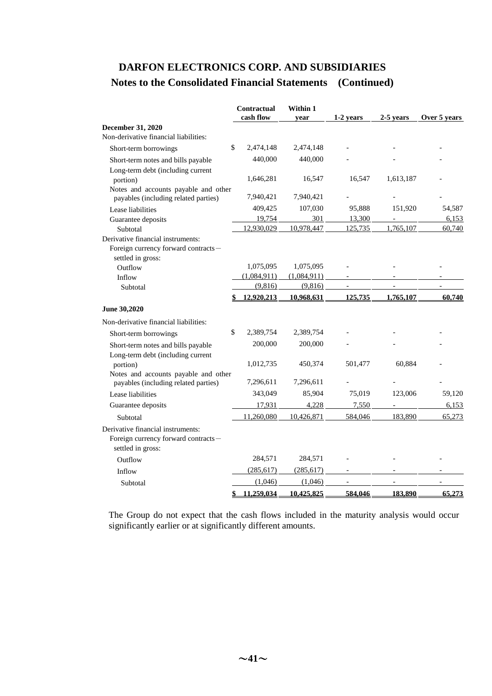|                                                                                               | Contractual<br>cash flow | Within 1<br>vear       | 1-2 years | 2-5 years | Over 5 years |
|-----------------------------------------------------------------------------------------------|--------------------------|------------------------|-----------|-----------|--------------|
| <b>December 31, 2020</b>                                                                      |                          |                        |           |           |              |
| Non-derivative financial liabilities:                                                         |                          |                        |           |           |              |
| Short-term borrowings                                                                         | \$<br>2,474,148          | 2,474,148              |           |           |              |
| Short-term notes and bills payable                                                            | 440,000                  | 440,000                |           |           |              |
| Long-term debt (including current<br>portion)                                                 | 1,646,281                | 16,547                 | 16,547    | 1,613,187 |              |
| Notes and accounts payable and other<br>payables (including related parties)                  | 7,940,421                | 7,940,421              |           |           |              |
|                                                                                               | 409,425                  | 107,030                | 95,888    | 151,920   | 54,587       |
| Lease liabilities                                                                             | 19,754                   | 301                    | 13,300    |           | 6,153        |
| Guarantee deposits<br>Subtotal                                                                | 12,930,029               | 10,978,447             | 125,735   | 1,765,107 | 60,740       |
| Derivative financial instruments:                                                             |                          |                        |           |           |              |
| Foreign currency forward contracts-                                                           |                          |                        |           |           |              |
| settled in gross:                                                                             |                          |                        |           |           |              |
| Outflow                                                                                       | 1,075,095<br>(1,084,911) | 1,075,095              |           |           |              |
| Inflow                                                                                        | (9,816)                  | (1,084,911)<br>(9,816) |           |           |              |
| Subtotal                                                                                      | 12,920,213               | 10,968,631             | 125,735   | 1,765,107 | 60,740       |
| <b>June 30,2020</b>                                                                           |                          |                        |           |           |              |
| Non-derivative financial liabilities:                                                         |                          |                        |           |           |              |
| Short-term borrowings                                                                         | \$<br>2,389,754          | 2,389,754              |           |           |              |
| Short-term notes and bills payable                                                            | 200,000                  | 200,000                |           |           |              |
| Long-term debt (including current                                                             |                          |                        |           |           |              |
| portion)                                                                                      | 1,012,735                | 450,374                | 501,477   | 60,884    |              |
| Notes and accounts payable and other                                                          |                          |                        |           |           |              |
| payables (including related parties)                                                          | 7,296,611                | 7,296,611              |           |           |              |
| Lease liabilities                                                                             | 343,049                  | 85,904                 | 75,019    | 123,006   | 59,120       |
| Guarantee deposits                                                                            | 17,931                   | 4,228                  | 7,550     |           | 6,153        |
| Subtotal                                                                                      | 11,260,080               | 10,426,871             | 584,046   | 183,890   | 65,273       |
| Derivative financial instruments:<br>Foreign currency forward contracts-<br>settled in gross: |                          |                        |           |           |              |
| Outflow                                                                                       | 284,571                  | 284,571                |           |           |              |
| Inflow                                                                                        | (285, 617)               | (285, 617)             |           |           |              |
| Subtotal                                                                                      | (1,046)                  | (1,046)                |           |           |              |
|                                                                                               | 11,259,034               | 10,425,825             | 584,046   | 183,890   | 65,273       |

### **Notes to the Consolidated Financial Statements (Continued)**

The Group do not expect that the cash flows included in the maturity analysis would occur significantly earlier or at significantly different amounts.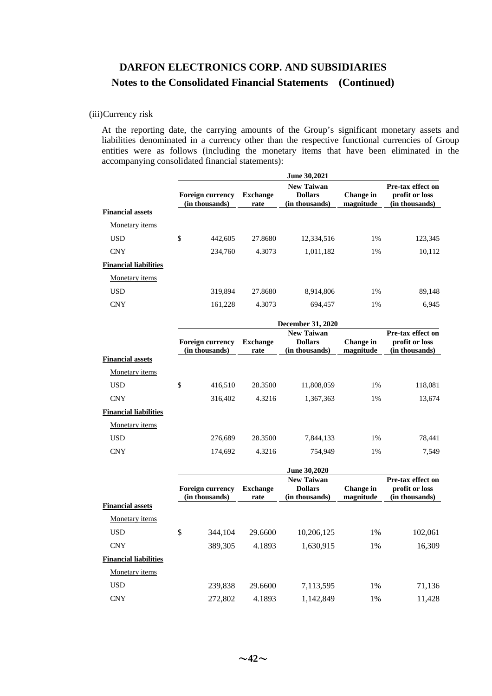#### (iii)Currency risk

At the reporting date, the carrying amounts of the Group's significant monetary assets and liabilities denominated in a currency other than the respective functional currencies of Group entities were as follows (including the monetary items that have been eliminated in the accompanying consolidated financial statements):

|                              |                                           |                         | <b>June 30,2021</b>                                   |                        |                                                       |
|------------------------------|-------------------------------------------|-------------------------|-------------------------------------------------------|------------------------|-------------------------------------------------------|
|                              | <b>Foreign currency</b><br>(in thousands) | <b>Exchange</b><br>rate | <b>New Taiwan</b><br><b>Dollars</b><br>(in thousands) | Change in<br>magnitude | Pre-tax effect on<br>profit or loss<br>(in thousands) |
| <b>Financial assets</b>      |                                           |                         |                                                       |                        |                                                       |
| Monetary <i>items</i>        |                                           |                         |                                                       |                        |                                                       |
| <b>USD</b>                   | \$<br>442,605                             | 27.8680                 | 12,334,516                                            | 1%                     | 123,345                                               |
| <b>CNY</b>                   | 234,760                                   | 4.3073                  | 1,011,182                                             | 1%                     | 10,112                                                |
| <b>Financial liabilities</b> |                                           |                         |                                                       |                        |                                                       |
| Monetary <i>items</i>        |                                           |                         |                                                       |                        |                                                       |
| <b>USD</b>                   | 319,894                                   | 27.8680                 | 8,914,806                                             | 1%                     | 89,148                                                |
| <b>CNY</b>                   | 161,228                                   | 4.3073                  | 694,457                                               | 1%                     | 6,945                                                 |
|                              |                                           |                         |                                                       |                        |                                                       |

|                              | December 31, 2020 |                                           |                         |                                                       |                        |                                                       |  |  |
|------------------------------|-------------------|-------------------------------------------|-------------------------|-------------------------------------------------------|------------------------|-------------------------------------------------------|--|--|
|                              |                   | <b>Foreign currency</b><br>(in thousands) | <b>Exchange</b><br>rate | <b>New Taiwan</b><br><b>Dollars</b><br>(in thousands) | Change in<br>magnitude | Pre-tax effect on<br>profit or loss<br>(in thousands) |  |  |
| <b>Financial assets</b>      |                   |                                           |                         |                                                       |                        |                                                       |  |  |
| Monetary items               |                   |                                           |                         |                                                       |                        |                                                       |  |  |
| <b>USD</b>                   | \$                | 416,510                                   | 28.3500                 | 11,808,059                                            | 1%                     | 118,081                                               |  |  |
| <b>CNY</b>                   |                   | 316,402                                   | 4.3216                  | 1,367,363                                             | 1%                     | 13,674                                                |  |  |
| <b>Financial liabilities</b> |                   |                                           |                         |                                                       |                        |                                                       |  |  |
| Monetary items               |                   |                                           |                         |                                                       |                        |                                                       |  |  |
| <b>USD</b>                   |                   | 276,689                                   | 28.3500                 | 7,844,133                                             | 1%                     | 78,441                                                |  |  |
| <b>CNY</b>                   |                   | 174,692                                   | 4.3216                  | 754,949                                               | 1%                     | 7,549                                                 |  |  |

|                              |                                           |                         | June 30,2020                                          |                        |                                                       |
|------------------------------|-------------------------------------------|-------------------------|-------------------------------------------------------|------------------------|-------------------------------------------------------|
|                              | <b>Foreign currency</b><br>(in thousands) | <b>Exchange</b><br>rate | <b>New Taiwan</b><br><b>Dollars</b><br>(in thousands) | Change in<br>magnitude | Pre-tax effect on<br>profit or loss<br>(in thousands) |
| <b>Financial assets</b>      |                                           |                         |                                                       |                        |                                                       |
| Monetary <i>items</i>        |                                           |                         |                                                       |                        |                                                       |
| <b>USD</b>                   | \$<br>344,104                             | 29.6600                 | 10,206,125                                            | 1%                     | 102,061                                               |
| <b>CNY</b>                   | 389,305                                   | 4.1893                  | 1,630,915                                             | 1%                     | 16,309                                                |
| <b>Financial liabilities</b> |                                           |                         |                                                       |                        |                                                       |
| Monetary items               |                                           |                         |                                                       |                        |                                                       |
| <b>USD</b>                   | 239,838                                   | 29.6600                 | 7,113,595                                             | 1%                     | 71,136                                                |
| <b>CNY</b>                   | 272,802                                   | 4.1893                  | 1,142,849                                             | 1%                     | 11,428                                                |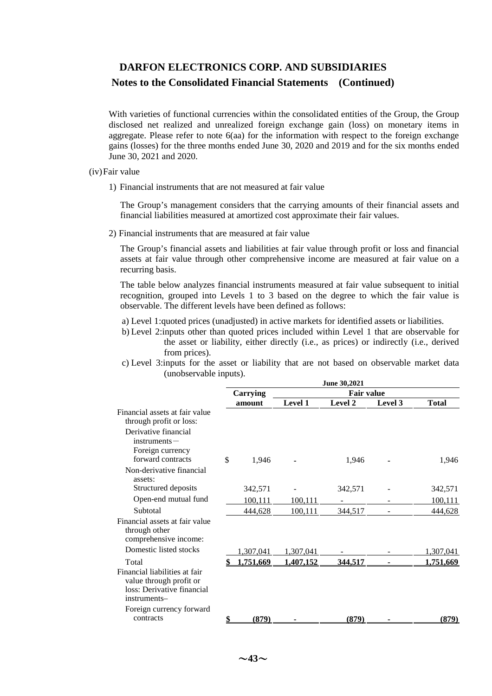### **Notes to the Consolidated Financial Statements (Continued)**

With varieties of functional currencies within the consolidated entities of the Group, the Group disclosed net realized and unrealized foreign exchange gain (loss) on monetary items in aggregate. Please refer to note 6(aa) for the information with respect to the foreign exchange gains (losses) for the three months ended June 30, 2020 and 2019 and for the six months ended June 30, 2021 and 2020.

(iv)Fair value

1) Financial instruments that are not measured at fair value

The Group's management considers that the carrying amounts of their financial assets and financial liabilities measured at amortized cost approximate their fair values.

2) Financial instruments that are measured at fair value

The Group's financial assets and liabilities at fair value through profit or loss and financial assets at fair value through other comprehensive income are measured at fair value on a recurring basis.

The table below analyzes financial instruments measured at fair value subsequent to initial recognition, grouped into Levels 1 to 3 based on the degree to which the fair value is observable. The different levels have been defined as follows:

- a) Level 1:quoted prices (unadjusted) in active markets for identified assets or liabilities.
- b) Level 2:inputs other than quoted prices included within Level 1 that are observable for the asset or liability, either directly (i.e., as prices) or indirectly (i.e., derived from prices).
- c) Level 3:inputs for the asset or liability that are not based on observable market data (unobservable inputs). **June 30,2021**

|                                                                                                        |             |                | JUNE JU,4041 |         |                   |
|--------------------------------------------------------------------------------------------------------|-------------|----------------|--------------|---------|-------------------|
|                                                                                                        | Carrying    |                |              |         |                   |
|                                                                                                        | amount      | <b>Level 1</b> | Level 2      | Level 3 | <b>Total</b>      |
| Financial assets at fair value<br>through profit or loss:                                              |             |                |              |         |                   |
| Derivative financial<br>$in$ struments $-$<br>Foreign currency                                         |             |                |              |         |                   |
| forward contracts                                                                                      | \$<br>1,946 |                | 1,946        |         | 1,946             |
| Non-derivative financial<br>assets:                                                                    |             |                |              |         |                   |
| Structured deposits                                                                                    | 342,571     |                | 342,571      |         | 342,571           |
| Open-end mutual fund                                                                                   | 100,111     | 100,111        |              |         | 100,111           |
| Subtotal                                                                                               | 444,628     | 100,111        | 344,517      |         | 444,628           |
| Financial assets at fair value<br>through other<br>comprehensive income:                               |             |                |              |         |                   |
| Domestic listed stocks                                                                                 | 1,307,041   | 1,307,041      |              |         | 1,307,041         |
| Total                                                                                                  | .751.669    | 1,407,152      | 344.517      |         | <u>1.751.669 </u> |
| Financial liabilities at fair<br>value through profit or<br>loss: Derivative financial<br>instruments- |             |                |              |         |                   |
| Foreign currency forward<br>contracts                                                                  | \$<br>(879) |                | (879)        |         | (879)             |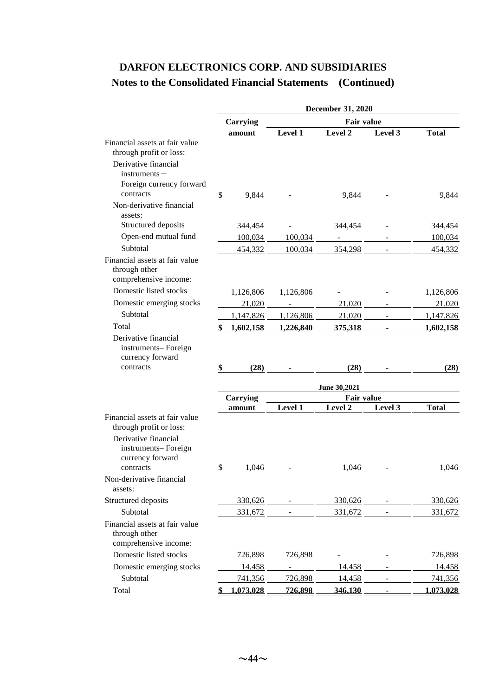## **Notes to the Consolidated Financial Statements (Continued)**

|                                                                                 |                 |                | <b>December 31, 2020</b> |         |              |
|---------------------------------------------------------------------------------|-----------------|----------------|--------------------------|---------|--------------|
|                                                                                 | Carrying        |                |                          |         |              |
|                                                                                 | amount          | Level 1        | Level 2                  | Level 3 | <b>Total</b> |
| Financial assets at fair value<br>through profit or loss:                       |                 |                |                          |         |              |
| Derivative financial<br>$instruments-$<br>Foreign currency forward<br>contracts | \$<br>9,844     |                | 9,844                    |         | 9,844        |
| Non-derivative financial<br>assets:                                             |                 |                |                          |         |              |
| Structured deposits                                                             | 344,454         |                | 344,454                  |         | 344,454      |
| Open-end mutual fund                                                            | 100,034         | 100,034        |                          |         | 100,034      |
| Subtotal                                                                        | 454,332         | 100,034        | 354,298                  |         | 454,332      |
| Financial assets at fair value<br>through other<br>comprehensive income:        |                 |                |                          |         |              |
| Domestic listed stocks                                                          | 1,126,806       | 1,126,806      |                          |         | 1,126,806    |
| Domestic emerging stocks                                                        | 21,020          |                | 21,020                   |         | 21,020       |
| Subtotal                                                                        | 1,147,826       | 1,126,806      | 21,020                   |         | 1,147,826    |
| Total                                                                           | \$<br>1,602,158 | 1,226,840      | <u>375,318</u>           |         | 1,602,158    |
| Derivative financial<br>instruments-Foreign<br>currency forward<br>contracts    | \$<br>(28)      |                | (28)                     |         | (28)         |
|                                                                                 |                 |                |                          |         |              |
|                                                                                 |                 |                | June 30,2021             |         |              |
|                                                                                 | <b>Carrying</b> |                | <b>Fair value</b>        |         |              |
| Financial assets at fair value<br>through profit or loss:                       | amount          | Level 1        | Level 2                  | Level 3 | <b>Total</b> |
| Derivative financial<br>instruments-Foreign<br>currency forward<br>contracts    | \$<br>1,046     |                | 1,046                    |         | 1,046        |
| Non-derivative financial<br>assets:                                             |                 |                |                          |         |              |
| Structured deposits                                                             | 330,626         |                | 330,626                  |         | 330,626      |
| Subtotal                                                                        | 331,672         |                | 331,672                  |         | 331,672      |
| Financial assets at fair value<br>through other<br>comprehensive income:        |                 |                |                          |         |              |
| Domestic listed stocks                                                          | 726,898         | 726,898        |                          |         | 726,898      |
| Domestic emerging stocks                                                        | 14,458          | ÷,             | 14,458                   |         | 14,458       |
| Subtotal                                                                        | 741,356         | 726,898        | 14,458                   |         | 741,356      |
| Total                                                                           | 1,073,028       | <u>726,898</u> | 346,130                  |         | 1,073,028    |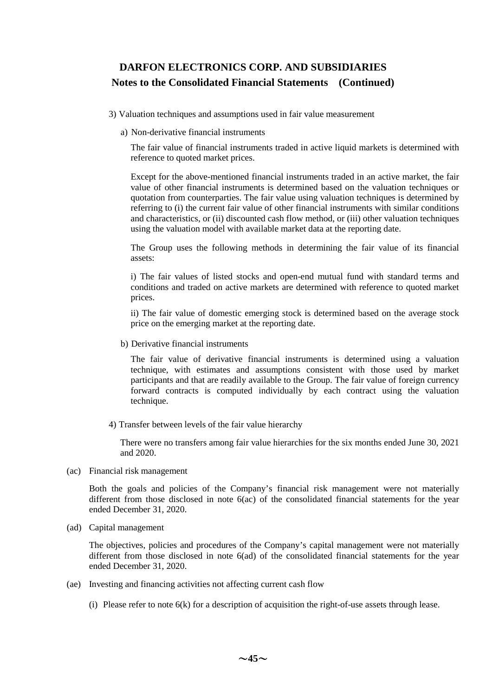- 3) Valuation techniques and assumptions used in fair value measurement
	- a) Non-derivative financial instruments

The fair value of financial instruments traded in active liquid markets is determined with reference to quoted market prices.

Except for the above-mentioned financial instruments traded in an active market, the fair value of other financial instruments is determined based on the valuation techniques or quotation from counterparties. The fair value using valuation techniques is determined by referring to (i) the current fair value of other financial instruments with similar conditions and characteristics, or (ii) discounted cash flow method, or (iii) other valuation techniques using the valuation model with available market data at the reporting date.

The Group uses the following methods in determining the fair value of its financial assets:

i) The fair values of listed stocks and open-end mutual fund with standard terms and conditions and traded on active markets are determined with reference to quoted market prices.

ii) The fair value of domestic emerging stock is determined based on the average stock price on the emerging market at the reporting date.

b) Derivative financial instruments

The fair value of derivative financial instruments is determined using a valuation technique, with estimates and assumptions consistent with those used by market participants and that are readily available to the Group. The fair value of foreign currency forward contracts is computed individually by each contract using the valuation technique.

4) Transfer between levels of the fair value hierarchy

There were no transfers among fair value hierarchies for the six months ended June 30, 2021 and 2020.

(ac) Financial risk management

Both the goals and policies of the Company's financial risk management were not materially different from those disclosed in note 6(ac) of the consolidated financial statements for the year ended December 31, 2020.

(ad) Capital management

The objectives, policies and procedures of the Company's capital management were not materially different from those disclosed in note 6(ad) of the consolidated financial statements for the year ended December 31, 2020.

- (ae) Investing and financing activities not affecting current cash flow
	- (i) Please refer to note 6(k) for a description of acquisition the right-of-use assets through lease.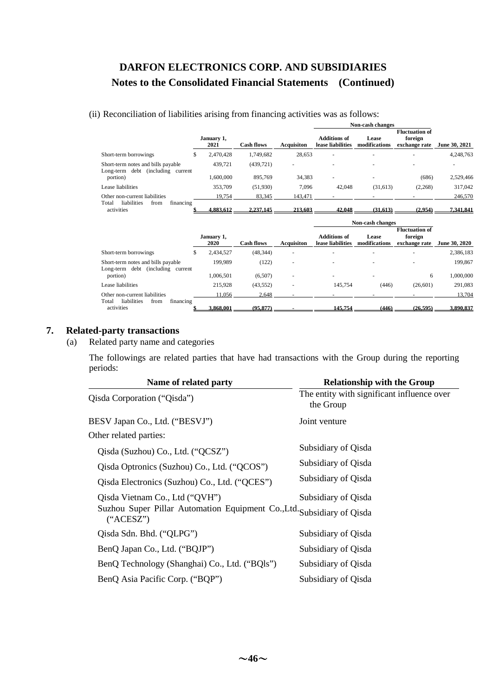(ii) Reconciliation of liabilities arising from financing activities was as follows:

|                                                                            |                    |                   |                          |                                          | Non-cash changes       |                                                   |               |
|----------------------------------------------------------------------------|--------------------|-------------------|--------------------------|------------------------------------------|------------------------|---------------------------------------------------|---------------|
|                                                                            | January 1,<br>2021 | <b>Cash flows</b> | Acquisiton               | <b>Additions of</b><br>lease liabilities | Lease<br>modifications | <b>Fluctuation of</b><br>foreign<br>exchange rate | June 30, 2021 |
| Short-term borrowings                                                      | \$<br>2,470,428    | 1,749,682         | 28,653                   |                                          |                        |                                                   | 4,248,763     |
| Short-term notes and bills payable<br>Long-term debt (including current    | 439,721            | (439, 721)        |                          |                                          |                        |                                                   |               |
| portion)                                                                   | 1,600,000          | 895,769           | 34.383                   |                                          |                        | (686)                                             | 2,529,466     |
| Lease liabilities                                                          | 353,709            | (51,930)          | 7,096                    | 42,048                                   | (31, 613)              | (2,268)                                           | 317,042       |
| Other non-current liabilities                                              | 19,754             | 83,345            | 143,471                  |                                          |                        |                                                   | 246,570       |
| liabilities<br>from<br>financing<br>Total<br>activities                    | 4.883.612          | 2.237.145         | 213,603                  | 42,048                                   | (31.613)               | (2.954)                                           | 7.341.841     |
|                                                                            |                    |                   |                          |                                          | Non-cash changes       |                                                   |               |
|                                                                            | January 1,<br>2020 | <b>Cash flows</b> | <b>Acquisiton</b>        | <b>Additions of</b><br>lease liabilities | Lease<br>modifications | <b>Fluctuation of</b><br>foreign<br>exchange rate | June 30, 2020 |
| Short-term borrowings                                                      | \$<br>2,434,527    | (48, 344)         | ×,                       |                                          |                        |                                                   | 2,386,183     |
| Short-term notes and bills payable<br>Long-term debt (including<br>current | 199.989            | (122)             | ÷                        |                                          |                        |                                                   | 199,867       |
| portion)                                                                   | 1,006,501          | (6,507)           | $\overline{\phantom{a}}$ |                                          |                        | 6                                                 | 1,000,000     |
| Lease liabilities                                                          | 215,928            | (43, 552)         |                          | 145,754                                  | (446)                  | (26,601)                                          | 291,083       |
| Other non-current liabilities                                              | 11.056             | 2,648             |                          |                                          |                        |                                                   | 13,704        |
| financing<br>liabilities<br>from<br>Total<br>activities                    | 3.868.001          | (95, 877)         |                          | 145.754                                  | (446)                  | (26.595)                                          | 3.890.837     |

### **7. Related-party transactions**

(a) Related party name and categories

The followings are related parties that have had transactions with the Group during the reporting periods:

| Name of related party                                                               | <b>Relationship with the Group</b>                      |  |  |  |
|-------------------------------------------------------------------------------------|---------------------------------------------------------|--|--|--|
| Qisda Corporation ("Qisda")                                                         | The entity with significant influence over<br>the Group |  |  |  |
| BESV Japan Co., Ltd. ("BESVJ")                                                      | Joint venture                                           |  |  |  |
| Other related parties:                                                              |                                                         |  |  |  |
| Qisda (Suzhou) Co., Ltd. ("QCSZ")                                                   | Subsidiary of Qisda                                     |  |  |  |
| Qisda Optronics (Suzhou) Co., Ltd. ("QCOS")                                         | Subsidiary of Qisda                                     |  |  |  |
| Qisda Electronics (Suzhou) Co., Ltd. ("QCES")                                       | Subsidiary of Qisda                                     |  |  |  |
| Qisda Vietnam Co., Ltd ("QVH")                                                      | Subsidiary of Qisda                                     |  |  |  |
| Suzhou Super Pillar Automation Equipment Co., Ltd. Subsidiary of Qisda<br>("ACESZ") |                                                         |  |  |  |
| Qisda Sdn. Bhd. ("QLPG")                                                            | Subsidiary of Qisda                                     |  |  |  |
| BenQ Japan Co., Ltd. ("BQJP")                                                       | Subsidiary of Qisda                                     |  |  |  |
| BenQ Technology (Shanghai) Co., Ltd. ("BQls")                                       | Subsidiary of Qisda                                     |  |  |  |
| BenQ Asia Pacific Corp. ("BQP")                                                     | Subsidiary of Qisda                                     |  |  |  |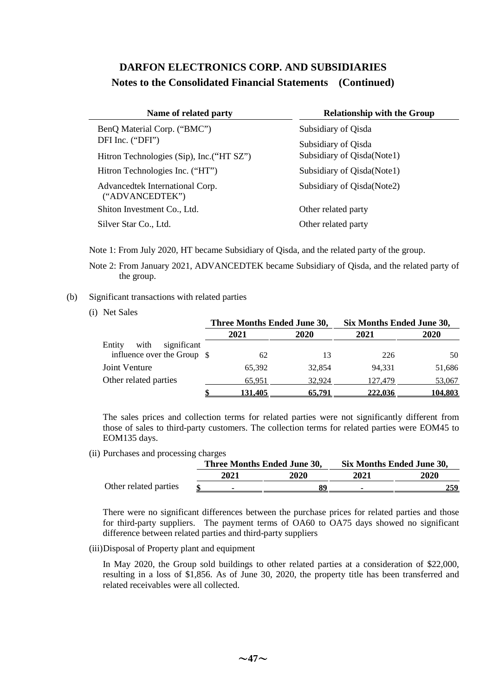| Name of related party                              | <b>Relationship with the Group</b> |  |  |  |
|----------------------------------------------------|------------------------------------|--|--|--|
| BenQ Material Corp. ("BMC")                        | Subsidiary of Qisda                |  |  |  |
| DFI Inc. ("DFI")                                   | Subsidiary of Qisda                |  |  |  |
| Hitron Technologies (Sip), Inc. ("HT SZ")          | Subsidiary of Qisda(Note1)         |  |  |  |
| Hitron Technologies Inc. ("HT")                    | Subsidiary of Qisda(Note1)         |  |  |  |
| Advancedtek International Corp.<br>("ADVANCEDTEK") | Subsidiary of Qisda(Note2)         |  |  |  |
| Shiton Investment Co., Ltd.                        | Other related party                |  |  |  |
| Silver Star Co., Ltd.                              | Other related party                |  |  |  |

Note 1: From July 2020, HT became Subsidiary of Qisda, and the related party of the group.

Note 2: From January 2021, ADVANCEDTEK became Subsidiary of Qisda, and the related party of the group.

- (b) Significant transactions with related parties
	- (i) Net Sales

|                               | Three Months Ended June 30, |        | Six Months Ended June 30, |         |  |
|-------------------------------|-----------------------------|--------|---------------------------|---------|--|
|                               | 2021                        | 2020   | 2021                      | 2020    |  |
| Entity<br>with<br>significant |                             |        |                           |         |  |
| influence over the Group \\$  | 62                          | 13     | 226                       | 50      |  |
| Joint Venture                 | 65,392                      | 32,854 | 94.331                    | 51,686  |  |
| Other related parties         | 65,951                      | 32.924 | 127,479                   | 53,067  |  |
|                               | 131.405                     | 65.791 | <u>222.036</u>            | 104,803 |  |

The sales prices and collection terms for related parties were not significantly different from those of sales to third-party customers. The collection terms for related parties were EOM45 to EOM135 days.

(ii) Purchases and processing charges

|                       |      | Three Months Ended June 30, | Six Months Ended June 30, |      |  |
|-----------------------|------|-----------------------------|---------------------------|------|--|
|                       | 2021 | 2020                        | 2021                      | 2020 |  |
| Other related parties |      |                             |                           | 259  |  |

There were no significant differences between the purchase prices for related parties and those for third-party suppliers. The payment terms of OA60 to OA75 days showed no significant difference between related parties and third-party suppliers

#### (iii)Disposal of Property plant and equipment

In May 2020, the Group sold buildings to other related parties at a consideration of \$22,000, resulting in a loss of \$1,856. As of June 30, 2020, the property title has been transferred and related receivables were all collected.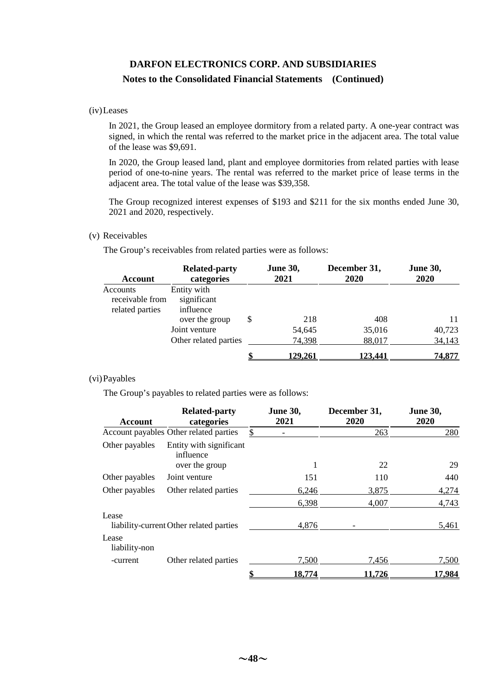### **Notes to the Consolidated Financial Statements (Continued)**

#### (iv)Leases

In 2021, the Group leased an employee dormitory from a related party. A one-year contract was signed, in which the rental was referred to the market price in the adjacent area. The total value of the lease was \$9,691.

In 2020, the Group leased land, plant and employee dormitories from related parties with lease period of one-to-nine years. The rental was referred to the market price of lease terms in the adjacent area. The total value of the lease was \$39,358.

The Group recognized interest expenses of \$193 and \$211 for the six months ended June 30, 2021 and 2020, respectively.

#### (v) Receivables

The Group's receivables from related parties were as follows:

| Account                     | <b>Related-party</b><br>categories |   | <b>June 30,</b><br>2021 | December 31,<br><b>2020</b> | <b>June 30,</b><br>2020 |
|-----------------------------|------------------------------------|---|-------------------------|-----------------------------|-------------------------|
| Accounts<br>receivable from | Entity with<br>significant         |   |                         |                             |                         |
| related parties             | influence<br>over the group        | S | 218                     | 408                         | 11                      |
|                             | Joint venture                      |   | 54,645                  | 35,016                      | 40,723                  |
|                             | Other related parties              |   | 74,398                  | 88,017                      | 34,143                  |
|                             |                                    |   | <u>129,261</u>          | <u>123,441</u>              | 74,877                  |

#### (vi)Payables

The Group's payables to related parties were as follows:

| <b>Account</b>         | <b>Related-party</b><br>categories      | <b>June 30,</b><br>2021 | December 31,<br>2020 | <b>June 30,</b><br>2020 |
|------------------------|-----------------------------------------|-------------------------|----------------------|-------------------------|
|                        | Account payables Other related parties  | \$                      | 263                  | 280                     |
| Other payables         | Entity with significant<br>influence    |                         |                      |                         |
|                        | over the group                          | 1                       | 22                   | 29                      |
| Other payables         | Joint venture                           | 151                     | 110                  | 440                     |
| Other payables         | Other related parties                   | 6,246                   | 3,875                | 4,274                   |
|                        |                                         | 6,398                   | 4,007                | 4,743                   |
| Lease                  | liability-current Other related parties | 4,876                   |                      | 5,461                   |
| Lease<br>liability-non |                                         |                         |                      |                         |
| -current               | Other related parties                   | 7,500                   | 7,456                | 7,500                   |
|                        |                                         | 18,774                  | 11.726               | 17.984                  |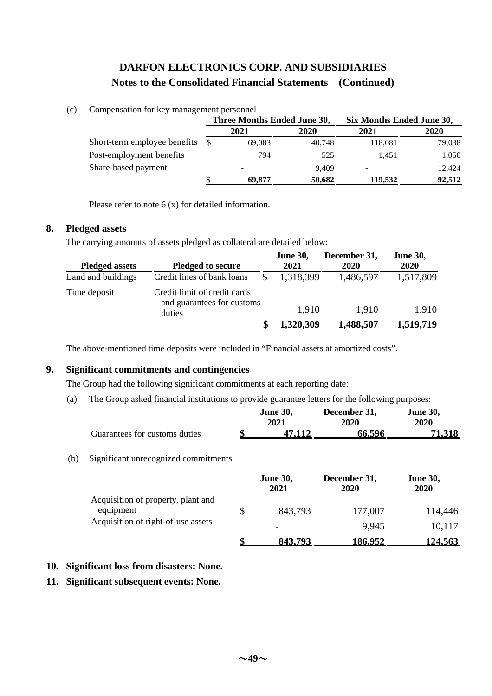| (c) | Compensation for key management personnel |  |  |
|-----|-------------------------------------------|--|--|
|     |                                           |  |  |
|     |                                           |  |  |

|                              | Three Months Ended June 30, |        | Six Months Ended June 30, |             |  |
|------------------------------|-----------------------------|--------|---------------------------|-------------|--|
|                              | 2021                        | 2020   | 2021                      | <b>2020</b> |  |
| Short-term employee benefits | 69.083                      | 40.748 | 118,081                   | 79,038      |  |
| Post-employment benefits     | 794                         | 525    | 1.451                     | 1,050       |  |
| Share-based payment          | ٠                           | 9.409  |                           | 12,424      |  |
|                              | 69,877                      | 50.682 | 119.532                   | 92,512      |  |

Please refer to note 6 (x) for detailed information.

### **8. Pledged assets**

The carrying amounts of assets pledged as collateral are detailed below:

| <b>Pledged assets</b> | <b>Pledged to secure</b>                                   | <b>June 30,</b><br>2021 | December 31,<br>2020 | <b>June 30,</b><br>2020 |
|-----------------------|------------------------------------------------------------|-------------------------|----------------------|-------------------------|
| Land and buildings    | Credit lines of bank loans                                 | 1,318,399               | 1,486,597            | 1,517,809               |
| Time deposit          | Credit limit of credit cards<br>and guarantees for customs |                         |                      |                         |
|                       | duties                                                     | 1,910                   | 1,910                | 1,910                   |
|                       |                                                            | 1,320,309               | 1,488,507            | <u>1,519,719</u>        |

The above-mentioned time deposits were included in "Financial assets at amortized costs".

### **9. Significant commitments and contingencies**

The Group had the following significant commitments at each reporting date:

(a) The Group asked financial institutions to provide guarantee letters for the following purposes:

|                               | <b>June 30,</b><br>2021 | December 31,<br>2020 | <b>June 30,</b><br>2020 |
|-------------------------------|-------------------------|----------------------|-------------------------|
| Guarantees for customs duties |                         | 66,596               | 71,318                  |

(b) Significant unrecognized commitments

|                                                 | <b>June 30,</b><br>2021 | December 31,<br>2020 | <b>June 30,</b><br>2020 |
|-------------------------------------------------|-------------------------|----------------------|-------------------------|
| Acquisition of property, plant and<br>equipment | \$<br>843,793           | 177,007              | 114,446                 |
| Acquisition of right-of-use assets              |                         | 9.945                | 10,117                  |
|                                                 | 843,793                 | <u>186,952</u>       | <u>124,563 </u>         |

### **10. Significant loss from disasters: None.**

### **11. Significant subsequent events: None.**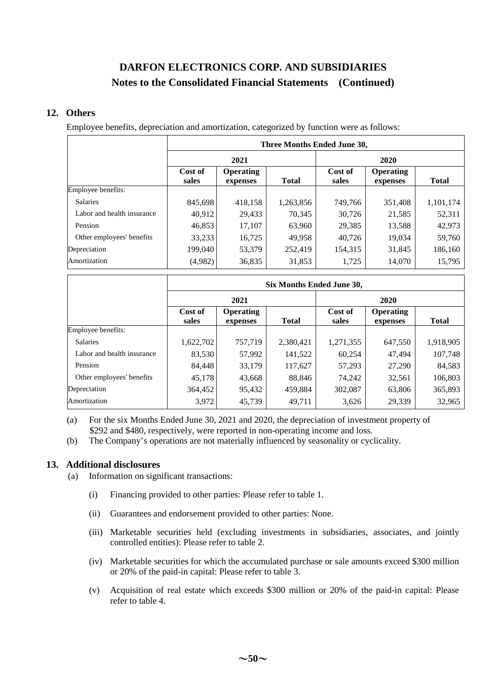### **12. Others**

Employee benefits, depreciation and amortization, categorized by function were as follows:

|                            | Three Months Ended June 30, |                              |              |                  |                              |              |  |  |  |
|----------------------------|-----------------------------|------------------------------|--------------|------------------|------------------------------|--------------|--|--|--|
|                            |                             | 2021                         |              | 2020             |                              |              |  |  |  |
|                            | Cost of<br>sales            | <b>Operating</b><br>expenses | <b>Total</b> | Cost of<br>sales | <b>Operating</b><br>expenses | <b>Total</b> |  |  |  |
| Employee benefits:         |                             |                              |              |                  |                              |              |  |  |  |
| <b>Salaries</b>            | 845.698                     | 418,158                      | 1,263,856    | 749.766          | 351,408                      | 1,101,174    |  |  |  |
| Labor and health insurance | 40,912                      | 29,433                       | 70,345       | 30,726           | 21,585                       | 52,311       |  |  |  |
| Pension                    | 46,853                      | 17,107                       | 63,960       | 29,385           | 13,588                       | 42,973       |  |  |  |
| Other employees' benefits  | 33,233                      | 16,725                       | 49,958       | 40.726           | 19,034                       | 59,760       |  |  |  |
| Depreciation               | 199.040                     | 53,379                       | 252,419      | 154,315          | 31,845                       | 186,160      |  |  |  |
| Amortization               | (4,982)                     | 36,835                       | 31,853       | 1,725            | 14,070                       | 15,795       |  |  |  |

|                            | Six Months Ended June 30, |                              |              |                  |                              |              |  |  |
|----------------------------|---------------------------|------------------------------|--------------|------------------|------------------------------|--------------|--|--|
|                            |                           | 2021                         |              |                  | 2020                         |              |  |  |
|                            | Cost of<br>sales          | <b>Operating</b><br>expenses | <b>Total</b> | Cost of<br>sales | <b>Operating</b><br>expenses | <b>Total</b> |  |  |
| Employee benefits:         |                           |                              |              |                  |                              |              |  |  |
| <b>Salaries</b>            | 1,622,702                 | 757,719                      | 2,380,421    | 1,271,355        | 647,550                      | 1,918,905    |  |  |
| Labor and health insurance | 83,530                    | 57,992                       | 141,522      | 60,254           | 47,494                       | 107,748      |  |  |
| Pension                    | 84,448                    | 33,179                       | 117,627      | 57,293           | 27,290                       | 84,583       |  |  |
| Other employees' benefits  | 45,178                    | 43,668                       | 88,846       | 74.242           | 32,561                       | 106,803      |  |  |
| Depreciation               | 364,452                   | 95,432                       | 459.884      | 302,087          | 63,806                       | 365,893      |  |  |
| Amortization               | 3,972                     | 45,739                       | 49,711       | 3,626            | 29,339                       | 32,965       |  |  |

(a) For the six Months Ended June 30, 2021 and 2020, the depreciation of investment property of \$292 and \$480, respectively, were reported in non-operating income and loss.

(b) The Company's operations are not materially influenced by seasonality or cyclicality.

### **13. Additional disclosures**

(a) Information on significant transactions:

- (i) Financing provided to other parties: Please refer to table 1.
- (ii) Guarantees and endorsement provided to other parties: None.
- (iii) Marketable securities held (excluding investments in subsidiaries, associates, and jointly controlled entities): Please refer to table 2.
- (iv) Marketable securities for which the accumulated purchase or sale amounts exceed \$300 million or 20% of the paid-in capital: Please refer to table 3.
- (v) Acquisition of real estate which exceeds \$300 million or 20% of the paid-in capital: Please refer to table 4.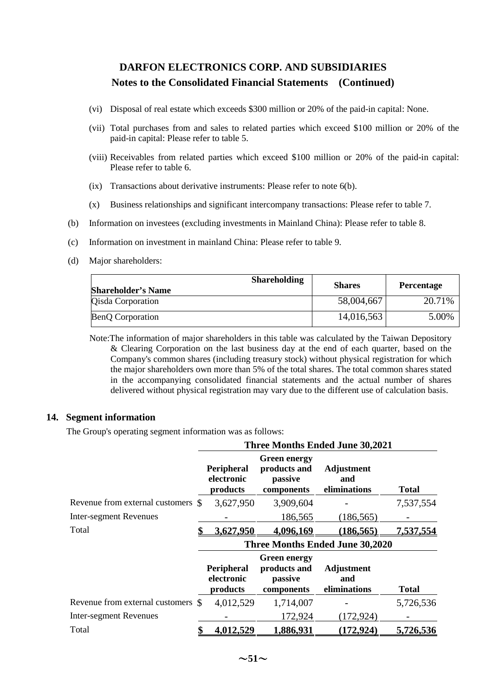- (vi) Disposal of real estate which exceeds \$300 million or 20% of the paid-in capital: None.
- (vii) Total purchases from and sales to related parties which exceed \$100 million or 20% of the paid-in capital: Please refer to table 5.
- (viii) Receivables from related parties which exceed \$100 million or 20% of the paid-in capital: Please refer to table 6.
- (ix) Transactions about derivative instruments: Please refer to note 6(b).
- (x) Business relationships and significant intercompany transactions: Please refer to table 7.
- (b) Information on investees (excluding investments in Mainland China): Please refer to table 8.
- (c) Information on investment in mainland China: Please refer to table 9.
- (d) Major shareholders:

| <b>Shareholding</b><br><b>Shareholder's Name</b> | <b>Shares</b> | <b>Percentage</b> |
|--------------------------------------------------|---------------|-------------------|
| Qisda Corporation                                | 58,004,667    | 20.71%            |
| <b>BenQ</b> Corporation                          | 14,016,563    | 5.00%             |

Note:The information of major shareholders in this table was calculated by the Taiwan Depository & Clearing Corporation on the last business day at the end of each quarter, based on the Company's common shares (including treasury stock) without physical registration for which the major shareholders own more than 5% of the total shares. The total common shares stated in the accompanying consolidated financial statements and the actual number of shares delivered without physical registration may vary due to the different use of calculation basis.

#### **14. Segment information**

The Group's operating segment information was as follows:

|                                    | Peripheral<br>electronic<br>products | <b>Green energy</b><br>products and<br>passive<br>components | <b>Adjustment</b><br>and<br>eliminations | <b>Total</b>                                                              |
|------------------------------------|--------------------------------------|--------------------------------------------------------------|------------------------------------------|---------------------------------------------------------------------------|
| Revenue from external customers \$ | 3,627,950                            | 3,909,604                                                    |                                          | 7,537,554                                                                 |
|                                    |                                      | 186,565                                                      | (186, 565)                               |                                                                           |
|                                    | 3,627,950                            | 4,096,169                                                    | (186, 565)                               | 7,537,554                                                                 |
|                                    |                                      |                                                              |                                          |                                                                           |
|                                    | Peripheral<br>electronic<br>products | <b>Green energy</b><br>products and<br>passive<br>components | <b>Adjustment</b><br>and<br>eliminations | <b>Total</b>                                                              |
| Revenue from external customers \$ | 4,012,529                            | 1,714,007                                                    |                                          | 5,726,536                                                                 |
|                                    |                                      | 172,924                                                      | (172, 924)                               |                                                                           |
|                                    | 4,012,529                            | <u>1,886,931</u>                                             | (172, 924)                               | 5,726,536                                                                 |
|                                    |                                      |                                                              |                                          | <b>Three Months Ended June 30,2021</b><br>Three Months Ended June 30,2020 |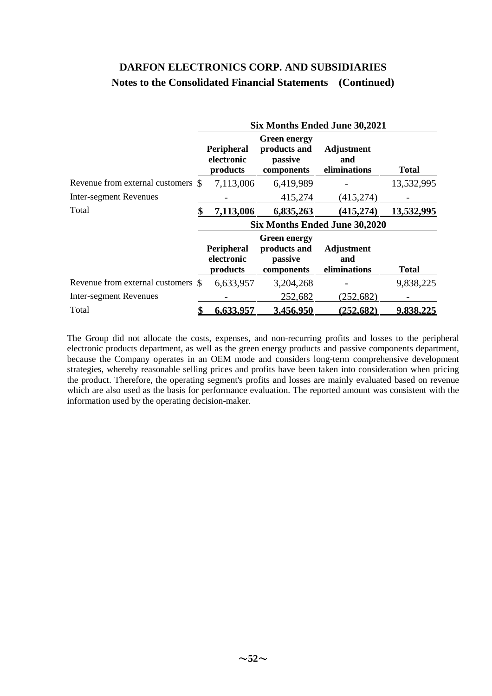|                                    |                                      |                                                              | <b>Six Months Ended June 30,2021</b> |                    |
|------------------------------------|--------------------------------------|--------------------------------------------------------------|--------------------------------------|--------------------|
|                                    | Peripheral<br>electronic<br>products | <b>Green energy</b><br>products and<br>passive<br>components | Adjustment<br>and<br>eliminations    | <b>Total</b>       |
| Revenue from external customers \$ | 7,113,006                            | 6,419,989                                                    |                                      | 13,532,995         |
| <b>Inter-segment Revenues</b>      |                                      | 415,274                                                      | (415, 274)                           |                    |
| Total                              | 7,113,006                            | 6,835,263                                                    | (415, 274)                           | <u>13,532,995 </u> |
|                                    |                                      |                                                              | <b>Six Months Ended June 30,2020</b> |                    |
|                                    | Peripheral<br>electronic<br>products | <b>Green energy</b><br>products and<br>passive<br>components | Adjustment<br>and<br>eliminations    | <b>Total</b>       |
| Revenue from external customers \$ | 6,633,957                            | 3,204,268                                                    |                                      | 9,838,225          |
| <b>Inter-segment Revenues</b>      |                                      | 252,682                                                      | (252, 682)                           |                    |
| Total                              | 6,633,957                            | 3,456,950                                                    | (252, 682)                           | 9,838,225          |

The Group did not allocate the costs, expenses, and non-recurring profits and losses to the peripheral electronic products department, as well as the green energy products and passive components department, because the Company operates in an OEM mode and considers long-term comprehensive development strategies, whereby reasonable selling prices and profits have been taken into consideration when pricing the product. Therefore, the operating segment's profits and losses are mainly evaluated based on revenue which are also used as the basis for performance evaluation. The reported amount was consistent with the information used by the operating decision-maker.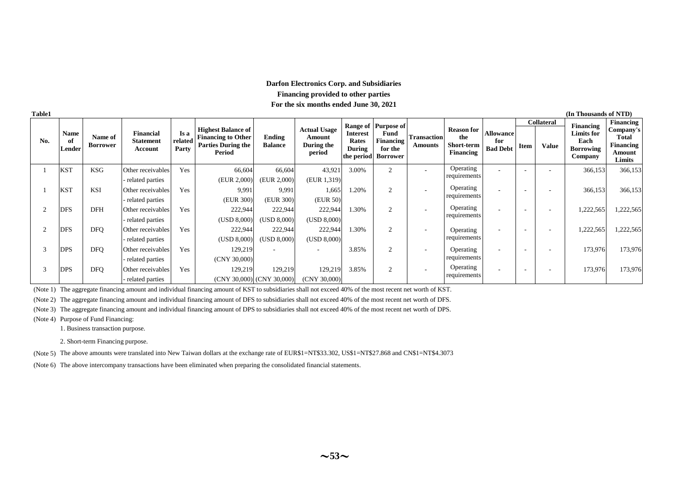#### **Darfon Electronics Corp. and SubsidiariesFinancing provided to other parties For the six months ended June 30, 2021**

| Table1        |                             |                            |                                          |                          |                                                                                               |                          |                                                       |                                           |                                                     |                               |                                                            |                                            |             |                          | (In Thousands of NTD)                             |                                                     |
|---------------|-----------------------------|----------------------------|------------------------------------------|--------------------------|-----------------------------------------------------------------------------------------------|--------------------------|-------------------------------------------------------|-------------------------------------------|-----------------------------------------------------|-------------------------------|------------------------------------------------------------|--------------------------------------------|-------------|--------------------------|---------------------------------------------------|-----------------------------------------------------|
|               |                             |                            |                                          |                          |                                                                                               |                          |                                                       |                                           | Range of Purpose of                                 |                               |                                                            |                                            |             | <b>Collateral</b>        | <b>Financing</b>                                  | Financing                                           |
| No.           | <b>Name</b><br>of<br>Lender | Name of<br><b>Borrower</b> | Financial<br><b>Statement</b><br>Account | Is a<br>related<br>Party | <b>Highest Balance of</b><br><b>Financing to Other</b><br><b>Parties During the</b><br>Period | Ending<br><b>Balance</b> | <b>Actual Usage</b><br>Amount<br>During the<br>period | <b>Interest</b><br>Rates<br><b>During</b> | Fund<br>Financing<br>for the<br>the period Borrower | Transaction<br><b>Amounts</b> | <b>Reason for</b><br>the<br>Short-term<br><b>Financing</b> | <b>Allowance</b><br>for<br><b>Bad Debt</b> | <b>Item</b> | Value                    | Limits for<br>Each<br><b>Borrowing</b><br>Company | Company's<br>Total<br>Financing<br>Amount<br>Limits |
|               | <b>KST</b>                  | <b>KSG</b>                 | Other receivables                        | Yes                      | 66,604                                                                                        | 66,604                   | 43,921                                                | 3.00%                                     | 2                                                   |                               | Operating                                                  |                                            |             |                          | 366,153                                           | 366,153                                             |
|               |                             |                            | related parties                          |                          | (EUR 2,000)                                                                                   | (EUR 2,000)              | (EUR 1,319)                                           |                                           |                                                     |                               | requirements                                               |                                            |             |                          |                                                   |                                                     |
|               | <b>KST</b>                  | <b>KSI</b>                 | Other receivables                        | Yes                      | 9,991                                                                                         | 9,991                    | 1,665                                                 | 1.20%                                     | 2                                                   |                               | Operating                                                  |                                            |             |                          | 366,153                                           | 366,153                                             |
|               |                             |                            | related parties                          |                          | (EUR 300)                                                                                     | (EUR 300)                | (EUR 50)                                              |                                           |                                                     |                               | requirements                                               |                                            |             |                          |                                                   |                                                     |
| $\mathcal{P}$ | <b>DFS</b>                  | <b>DFH</b>                 | Other receivables                        | Yes                      | 222,944                                                                                       | 222,944                  | 222,944                                               | 1.30%                                     | 2                                                   | ٠                             | Operating                                                  | ۰                                          | . .         | $\overline{\phantom{a}}$ | 1,222,565                                         | 1,222,565                                           |
|               |                             |                            | related parties                          |                          | (USD 8,000)                                                                                   | (USD 8,000)              | (USD 8,000)                                           |                                           |                                                     |                               | requirements                                               |                                            |             |                          |                                                   |                                                     |
|               | <b>DFS</b>                  | <b>DFQ</b>                 | Other receivables                        | Yes                      | 222,944                                                                                       | 222,944                  | 222,944                                               | .30%                                      | 2                                                   |                               | Operating                                                  |                                            |             | $\overline{\phantom{a}}$ | 1,222,565                                         | 1,222,565                                           |
|               |                             |                            | related parties                          |                          | (USD 8,000)                                                                                   | (USD 8,000)              | (USD 8,000)                                           |                                           |                                                     |                               | requirements                                               |                                            |             |                          |                                                   |                                                     |
|               | <b>DPS</b>                  | <b>DFQ</b>                 | Other receivables                        | Yes                      | 129,219                                                                                       |                          |                                                       | 3.85%                                     | 2                                                   |                               | Operating                                                  |                                            |             |                          | 173,976                                           | 173,976                                             |
|               |                             |                            | related parties                          |                          | (CNY 30,000)                                                                                  |                          |                                                       |                                           |                                                     |                               | requirements                                               |                                            |             |                          |                                                   |                                                     |
| 3             | <b>DPS</b>                  | <b>DFQ</b>                 | Other receivables                        | Yes                      | 129,219                                                                                       | 129,219                  | 129,219                                               | 3.85%                                     | 2                                                   |                               | Operating                                                  | ۰                                          | . .         |                          | 173,976                                           | 173,976                                             |
|               |                             |                            | related parties                          |                          | $(CNY 30,000)$ $(CNY 30,000)$                                                                 |                          | (CNY 30,000)                                          |                                           |                                                     |                               | requirements                                               |                                            |             |                          |                                                   |                                                     |

(Note 1) The aggregate financing amount and individual financing amount of KST to subsidiaries shall not exceed 40% of the most recent net worth of KST.

(Note 2) The aggregate financing amount and individual financing amount of DFS to subsidiaries shall not exceed 40% of the most recent net worth of DFS.

(Note 3) The aggregate financing amount and individual financing amount of DPS to subsidiaries shall not exceed 40% of the most recent net worth of DPS.

(Note 4) Purpose of Fund Financing:

1. Business transaction purpose.

2. Short-term Financing purpose.

(Note 5) The above amounts were translated into New Taiwan dollars at the exchange rate of EUR\$1=NT\$33.302, US\$1=NT\$27.868 and CN\$1=NT\$4.3073

(Note 6) The above intercompany transactions have been eliminated when preparing the consolidated financial statements.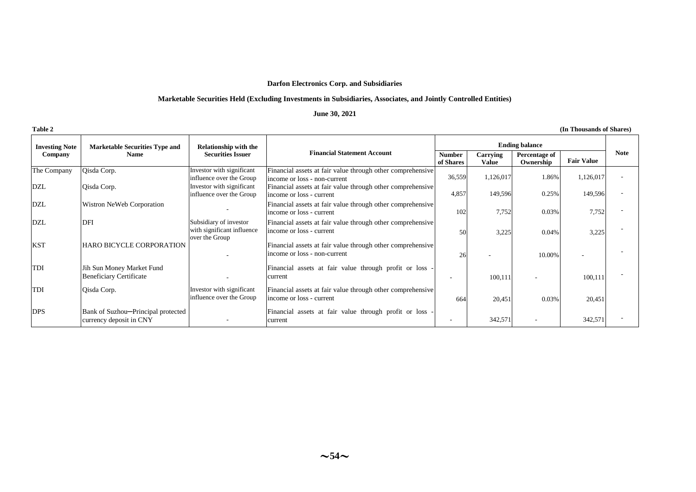#### **Marketable Securities Held (Excluding Investments in Subsidiaries, Associates, and Jointly Controlled Entities)**

#### **June 30, 2021**

| Table 2               |                                                               |                                                                        |                                                                                            |                            |                          |                            | (In Thousands of Shares) |                          |
|-----------------------|---------------------------------------------------------------|------------------------------------------------------------------------|--------------------------------------------------------------------------------------------|----------------------------|--------------------------|----------------------------|--------------------------|--------------------------|
| <b>Investing Note</b> | <b>Marketable Securities Type and</b>                         | <b>Relationship with the</b>                                           |                                                                                            |                            |                          | <b>Ending balance</b>      |                          |                          |
| Company               | <b>Name</b>                                                   | <b>Securities Issuer</b>                                               | <b>Financial Statement Account</b>                                                         | <b>Number</b><br>of Shares | Carrying<br><b>Value</b> | Percentage of<br>Ownership | <b>Fair Value</b>        | <b>Note</b>              |
| The Company           | Qisda Corp.                                                   | Investor with significant<br>influence over the Group                  | Financial assets at fair value through other comprehensive<br>income or loss - non-current | 36,559                     | 1,126,017                | 1.86%                      | 1,126,017                | $\overline{\phantom{a}}$ |
| <b>DZL</b>            | Qisda Corp.                                                   | Investor with significant<br>influence over the Group                  | Financial assets at fair value through other comprehensive<br>lincome or loss - current    | 4,857                      | 149,596                  | 0.25%                      | 149,596                  | $\overline{\phantom{a}}$ |
| <b>DZL</b>            | Wistron NeWeb Corporation                                     |                                                                        | Financial assets at fair value through other comprehensive<br>income or loss - current     | 102                        | 7,752                    | 0.03%                      | 7,752                    |                          |
| <b>DZL</b>            | <b>DFI</b>                                                    | Subsidiary of investor<br>with significant influence<br>over the Group | Financial assets at fair value through other comprehensive<br>lincome or loss - current    | 50                         | 3,225                    | 0.04%                      | 3,225                    |                          |
| <b>KST</b>            | <b>HARO BICYCLE CORPORATION</b>                               |                                                                        | Financial assets at fair value through other comprehensive<br>income or loss - non-current | 26                         |                          | 10.00%                     |                          |                          |
| <b>TDI</b>            | Jih Sun Money Market Fund<br><b>Beneficiary Certificate</b>   |                                                                        | Financial assets at fair value through profit or loss -<br>current                         | $\overline{\phantom{a}}$   | 100,111                  |                            | 100,111                  |                          |
| TDI                   | Qisda Corp.                                                   | Investor with significant<br>influence over the Group                  | Financial assets at fair value through other comprehensive<br>income or loss - current     | 664                        | 20,451                   | 0.03%                      | 20,451                   |                          |
| <b>DPS</b>            | Bank of Suzhou-Principal protected<br>currency deposit in CNY |                                                                        | Financial assets at fair value through profit or loss -<br>current                         | $\overline{\phantom{a}}$   | 342,571                  |                            | 342,571                  |                          |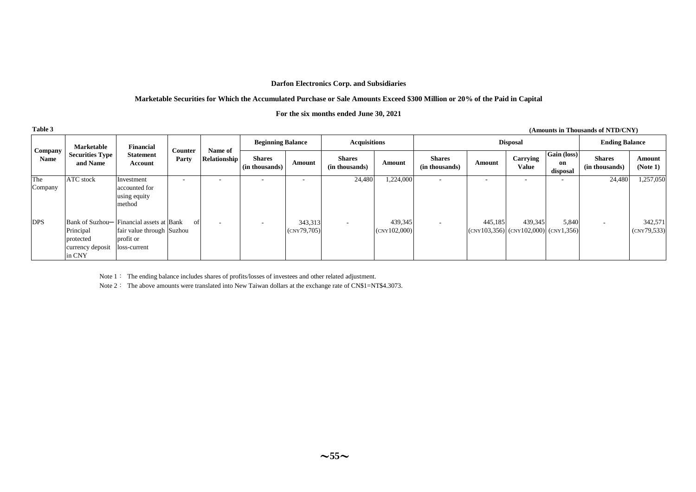#### **Marketable Securities for Which the Accumulated Purchase or Sale Amounts Exceed \$300 Million or 20% of the Paid in Capital**

#### **For the six months ended June 30, 2021**

| Table 3<br>(Amounts in Thousands of NTD/CNY) |                                                                         |                                                                                    |                  |                                |                                 |                          |                                 |                         |                                 |                                                       |                          |                                                                  |                       |                         |
|----------------------------------------------|-------------------------------------------------------------------------|------------------------------------------------------------------------------------|------------------|--------------------------------|---------------------------------|--------------------------|---------------------------------|-------------------------|---------------------------------|-------------------------------------------------------|--------------------------|------------------------------------------------------------------|-----------------------|-------------------------|
|                                              | Marketable                                                              | <b>Financial</b>                                                                   |                  |                                | <b>Beginning Balance</b>        |                          | <b>Acquisitions</b>             |                         |                                 |                                                       | <b>Disposal</b>          |                                                                  | <b>Ending Balance</b> |                         |
| Company<br>Name                              | <b>Securities Type</b><br>and Name                                      | <b>Statement</b><br>Account                                                        | Counter<br>Party | Name of<br><b>Relationship</b> | <b>Shares</b><br>(in thousands) | Amount                   | <b>Shares</b><br>(in thousands) | Amount                  | <b>Shares</b><br>(in thousands) | Amount                                                | Carrying<br><b>Value</b> | Gain (loss)<br><b>Shares</b><br>on<br>(in thousands)<br>disposal | Amount<br>(Note 1)    |                         |
| The<br>Company                               | ATC stock                                                               | Investment<br>accounted for<br>using equity<br>method                              | $\sim$           |                                |                                 | $\overline{\phantom{a}}$ | 24,480                          | 1,224,000               | $\overline{\phantom{a}}$        | . .                                                   |                          |                                                                  | 24,480                | 1,257,050               |
| <b>DPS</b>                                   | Bank of Suzhou-<br>Principal<br>protected<br>currency deposit<br>in CNY | Financial assets at Bank<br>fair value through Suzhou<br>profit or<br>loss-current | of               |                                |                                 | 343,313<br>(CNY79,705)   | $\sim$                          | 439,345<br>(CNY102,000) | ٠                               | 445.185<br>$(CNY103,356)$ $(CNY102,000)$ $(CNY1,356)$ | 439,345                  | 5,840                                                            | ٠                     | 342,571<br>(CNY79, 533) |

Note 1: The ending balance includes shares of profits/losses of investees and other related adjustment.

Note 2: The above amounts were translated into New Taiwan dollars at the exchange rate of CN\$1=NT\$4.3073.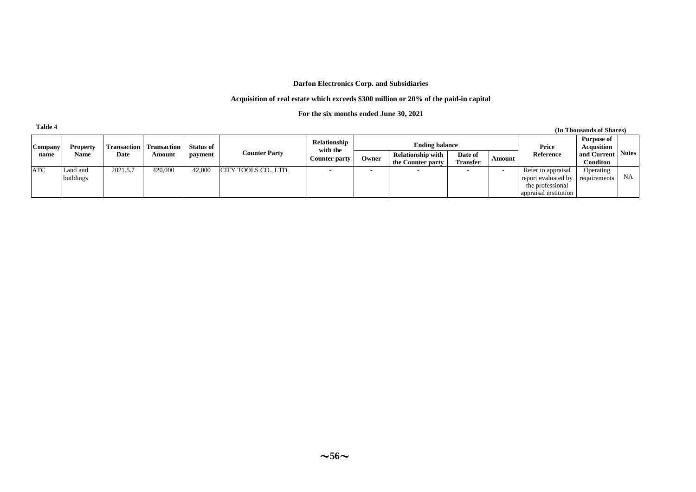#### **Acquisition of real estate which exceeds \$300 million or 20% of the paid-in capital**

#### **For the six months ended June 30, 2021**

| таріе 4    |                       |                    |                    |                                 |                      |                          |       |                                               |                            |        |                                                                                          | (In Thousands of Shares)        |           |
|------------|-----------------------|--------------------|--------------------|---------------------------------|----------------------|--------------------------|-------|-----------------------------------------------|----------------------------|--------|------------------------------------------------------------------------------------------|---------------------------------|-----------|
| Company    | <b>Property</b>       | <b>Transaction</b> | <b>Transaction</b> | <b>Status of</b>                |                      | Relationship<br>with the |       | <b>Ending balance</b>                         |                            |        | Price                                                                                    | Purpose of<br>Acqusition        |           |
| name       | Name                  |                    | Amount             | <b>Counter Party</b><br>payment |                      | <b>Counter party</b>     | Owner | <b>Relationship with</b><br>the Counter party | Date of<br><b>Transfer</b> | Amount | Reference                                                                                | and Current   Notes<br>Conditon |           |
| <b>ATC</b> | Land and<br>buildings | 2021.5.7           | 420,000            | 42,000                          | CITY TOOLS CO., LTD. |                          |       |                                               |                            |        | Refer to appraisal<br>report evaluated by<br>the professional<br>l appraisal institution | Operating<br>requirements       | <b>NA</b> |

**Table 4**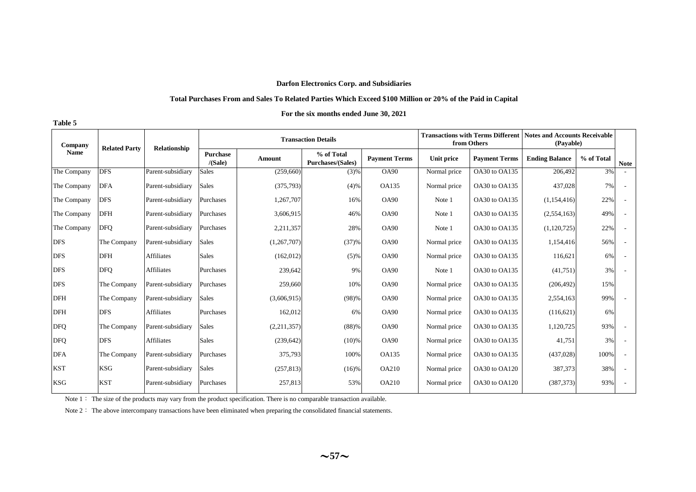#### **Total Purchases From and Sales To Related Parties Which Exceed \$100 Million or 20% of the Paid in Capital**

#### **For the six months ended June 30, 2021**

| Company     |                      | Relationship      |                     |             | <b>Transaction Details</b>             |                      |              | <b>Transactions with Terms Different</b><br>from Others | <b>Notes and Accounts Receivable</b><br>(Pavable) |            |             |
|-------------|----------------------|-------------------|---------------------|-------------|----------------------------------------|----------------------|--------------|---------------------------------------------------------|---------------------------------------------------|------------|-------------|
| <b>Name</b> | <b>Related Party</b> |                   | Purchase<br>/(Sale) | Amount      | % of Total<br><b>Purchases/(Sales)</b> | <b>Payment Terms</b> | Unit price   | <b>Payment Terms</b>                                    | <b>Ending Balance</b>                             | % of Total | <b>Note</b> |
| The Company | <b>DFS</b>           | Parent-subsidiary | <b>Sales</b>        | (259,660)   | (3)%                                   | <b>OA90</b>          | Normal price | OA30 to OA135                                           | 206,492                                           | 3%         |             |
| The Company | <b>DFA</b>           | Parent-subsidiary | <b>Sales</b>        | (375, 793)  | (4)%                                   | <b>OA135</b>         | Normal price | OA30 to OA135                                           | 437,028                                           | 7%         |             |
| The Company | <b>DFS</b>           | Parent-subsidiary | Purchases           | 1,267,707   | 16%                                    | <b>OA90</b>          | Note 1       | OA30 to OA135                                           | (1,154,416)                                       | 22%        |             |
| The Company | <b>DFH</b>           | Parent-subsidiary | Purchases           | 3,606,915   | 46%                                    | <b>OA90</b>          | Note 1       | OA30 to OA135                                           | (2,554,163)                                       | 49%        |             |
| The Company | <b>DFQ</b>           | Parent-subsidiary | Purchases           | 2,211,357   | 28%                                    | <b>OA90</b>          | Note 1       | OA30 to OA135                                           | (1,120,725)                                       | 22%        |             |
| <b>DFS</b>  | The Company          | Parent-subsidiary | <b>Sales</b>        | (1,267,707) | (37)%                                  | <b>OA90</b>          | Normal price | OA30 to OA135                                           | 1,154,416                                         | 56%        |             |
| <b>DFS</b>  | <b>DFH</b>           | <b>Affiliates</b> | <b>Sales</b>        | (162, 012)  | (5)%                                   | <b>OA90</b>          | Normal price | OA30 to OA135                                           | 116,621                                           | 6%         |             |
| <b>DFS</b>  | <b>DFQ</b>           | <b>Affiliates</b> | Purchases           | 239,642     | 9%                                     | <b>OA90</b>          | Note 1       | OA30 to OA135                                           | (41,751)                                          | 3%         |             |
| <b>DFS</b>  | The Company          | Parent-subsidiary | Purchases           | 259,660     | 10%                                    | <b>OA90</b>          | Normal price | OA30 to OA135                                           | (206, 492)                                        | 15%        |             |
| <b>DFH</b>  | The Company          | Parent-subsidiary | <b>Sales</b>        | (3,606,915) | (98)%                                  | <b>OA90</b>          | Normal price | OA30 to OA135                                           | 2,554,163                                         | 99%        |             |
| <b>DFH</b>  | <b>DFS</b>           | <b>Affiliates</b> | Purchases           | 162,012     | 6%                                     | <b>OA90</b>          | Normal price | OA30 to OA135                                           | (116, 621)                                        | 6%         |             |
| <b>DFQ</b>  | The Company          | Parent-subsidiary | <b>Sales</b>        | (2,211,357) | (88)%                                  | <b>OA90</b>          | Normal price | OA30 to OA135                                           | 1,120,725                                         | 93%        |             |
| <b>DFQ</b>  | <b>DFS</b>           | <b>Affiliates</b> | Sales               | (239, 642)  | (10)%                                  | <b>OA90</b>          | Normal price | OA30 to OA135                                           | 41,751                                            | 3%         |             |
| <b>DFA</b>  | The Company          | Parent-subsidiary | Purchases           | 375,793     | 100%                                   | <b>OA135</b>         | Normal price | OA30 to OA135                                           | (437,028)                                         | 100%       |             |
| <b>KST</b>  | <b>KSG</b>           | Parent-subsidiary | <b>Sales</b>        | (257, 813)  | $(16)$ %                               | <b>OA210</b>         | Normal price | OA30 to OA120                                           | 387,373                                           | 38%        |             |
| <b>KSG</b>  | <b>KST</b>           | Parent-subsidiary | Purchases           | 257,813     | 53%                                    | <b>OA210</b>         | Normal price | OA30 to OA120                                           | (387, 373)                                        | 93%        |             |

Note 1: The size of the products may vary from the product specification. There is no comparable transaction available.

**Table 5**

Note 2: The above intercompany transactions have been eliminated when preparing the consolidated financial statements.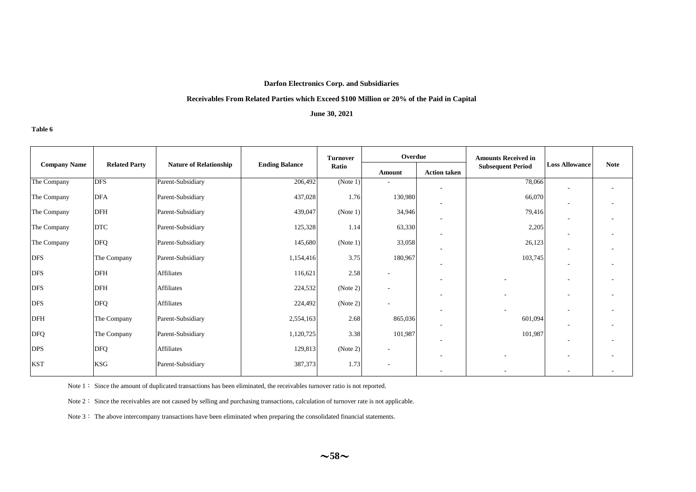#### **Receivables From Related Parties which Exceed \$100 Million or 20% of the Paid in Capital**

#### **June 30, 2021**

#### **Table 6**

|                     |                      |                               |                       | <b>Turnover</b> | Overdue                  |                          | <b>Amounts Received in</b> |                       |             |
|---------------------|----------------------|-------------------------------|-----------------------|-----------------|--------------------------|--------------------------|----------------------------|-----------------------|-------------|
| <b>Company Name</b> | <b>Related Party</b> | <b>Nature of Relationship</b> | <b>Ending Balance</b> | Ratio           | <b>Amount</b>            | <b>Action taken</b>      | <b>Subsequent Period</b>   | <b>Loss Allowance</b> | <b>Note</b> |
| The Company         | <b>DFS</b>           | Parent-Subsidiary             | 206,492               | (Note 1)        | ٠                        | ٠                        | 78,066                     |                       |             |
| The Company         | <b>DFA</b>           | Parent-Subsidiary             | 437,028               | 1.76            | 130,980                  |                          | 66,070                     |                       |             |
| The Company         | <b>DFH</b>           | Parent-Subsidiary             | 439,047               | (Note 1)        | 34,946                   |                          | 79,416                     |                       |             |
| The Company         | <b>DTC</b>           | Parent-Subsidiary             | 125,328               | 1.14            | 63,330                   |                          | 2,205                      |                       |             |
| The Company         | <b>DFQ</b>           | Parent-Subsidiary             | 145,680               | (Note 1)        | 33,058                   |                          | 26,123                     |                       |             |
| <b>DFS</b>          | The Company          | Parent-Subsidiary             | 1,154,416             | 3.75            | 180,967                  |                          | 103,745                    | ٠                     |             |
| <b>DFS</b>          | <b>DFH</b>           | Affiliates                    | 116,621               | 2.58            | ۰                        | ٠                        |                            | ٠                     |             |
| <b>DFS</b>          | <b>DFH</b>           | <b>Affiliates</b>             | 224,532               | (Note 2)        | $\overline{\phantom{a}}$ |                          |                            | ٠                     |             |
| <b>DFS</b>          | <b>DFQ</b>           | Affiliates                    | 224,492               | (Note 2)        | $\overline{\phantom{a}}$ |                          |                            |                       |             |
| <b>DFH</b>          | The Company          | Parent-Subsidiary             | 2,554,163             | 2.68            | 865,036                  | $\overline{\phantom{a}}$ | 601,094                    | ۰                     |             |
| <b>DFQ</b>          | The Company          | Parent-Subsidiary             | 1,120,725             | 3.38            | 101,987                  |                          | 101,987                    | ٠                     |             |
| <b>DPS</b>          | <b>DFQ</b>           | Affiliates                    | 129,813               | (Note 2)        | ۰                        |                          |                            |                       |             |
| <b>KST</b>          | <b>KSG</b>           | Parent-Subsidiary             | 387,373               | 1.73            | $\overline{a}$           |                          |                            |                       |             |

Note 1: Since the amount of duplicated transactions has been eliminated, the receivables turnover ratio is not reported.

Note 2: Since the receivables are not caused by selling and purchasing transactions, calculation of turnover rate is not applicable.

Note 3: The above intercompany transactions have been eliminated when preparing the consolidated financial statements.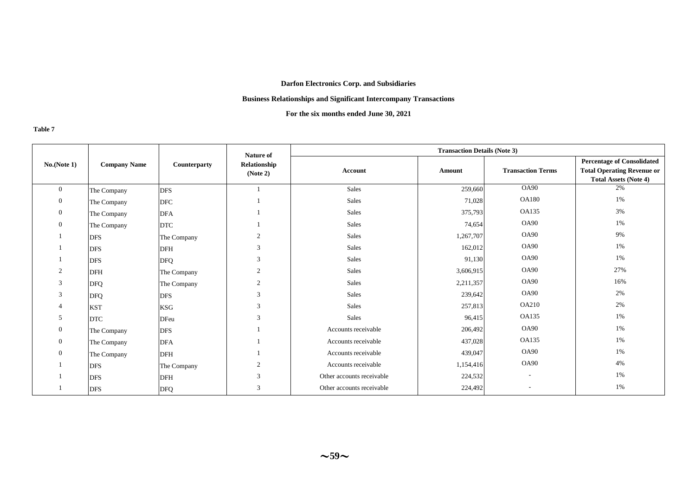#### **Business Relationships and Significant Intercompany Transactions**

**For the six months ended June 30, 2021** 

**Table 7** 

|                  |                     |              | <b>Nature of</b>         |                           | <b>Transaction Details (Note 3)</b> |                          |                                                                                                        |
|------------------|---------------------|--------------|--------------------------|---------------------------|-------------------------------------|--------------------------|--------------------------------------------------------------------------------------------------------|
| No.(Note 1)      | <b>Company Name</b> | Counterparty | Relationship<br>(Note 2) | <b>Account</b>            | Amount                              | <b>Transaction Terms</b> | <b>Percentage of Consolidated</b><br><b>Total Operating Revenue or</b><br><b>Total Assets (Note 4)</b> |
| $\overline{0}$   | The Company         | <b>DFS</b>   |                          | Sales                     | 259,660                             | <b>OA90</b>              | 2%                                                                                                     |
| $\overline{0}$   | The Company         | <b>DFC</b>   |                          | Sales                     | 71,028                              | <b>OA180</b>             | 1%                                                                                                     |
| $\boldsymbol{0}$ | The Company         | <b>DFA</b>   |                          | Sales                     | 375,793                             | <b>OA135</b>             | 3%                                                                                                     |
| $\overline{0}$   | The Company         | <b>DTC</b>   |                          | Sales                     | 74,654                              | <b>OA90</b>              | 1%                                                                                                     |
|                  | <b>DFS</b>          | The Company  | $\overline{2}$           | Sales                     | 1,267,707                           | <b>OA90</b>              | 9%                                                                                                     |
|                  | <b>DFS</b>          | <b>DFH</b>   | 3                        | Sales                     | 162,012                             | <b>OA90</b>              | 1%                                                                                                     |
|                  | <b>DFS</b>          | <b>DFQ</b>   | 3                        | Sales                     | 91,130                              | <b>OA90</b>              | 1%                                                                                                     |
| 2                | <b>DFH</b>          | The Company  | $\overline{c}$           | Sales                     | 3,606,915                           | <b>OA90</b>              | 27%                                                                                                    |
| 3                | <b>DFQ</b>          | The Company  | 2                        | Sales                     | 2,211,357                           | <b>OA90</b>              | 16%                                                                                                    |
| 3                | <b>DFQ</b>          | <b>DFS</b>   | 3                        | Sales                     | 239,642                             | <b>OA90</b>              | 2%                                                                                                     |
| $\overline{4}$   | <b>KST</b>          | <b>KSG</b>   | 3                        | Sales                     | 257,813                             | <b>OA210</b>             | 2%                                                                                                     |
| 5                | <b>DTC</b>          | <b>DFeu</b>  | 3                        | Sales                     | 96,415                              | <b>OA135</b>             | 1%                                                                                                     |
| $\overline{0}$   | The Company         | <b>DFS</b>   |                          | Accounts receivable       | 206,492                             | <b>OA90</b>              | 1%                                                                                                     |
| $\overline{0}$   | The Company         | <b>DFA</b>   |                          | Accounts receivable       | 437,028                             | <b>OA135</b>             | 1%                                                                                                     |
| $\overline{0}$   | The Company         | <b>DFH</b>   |                          | Accounts receivable       | 439,047                             | <b>OA90</b>              | 1%                                                                                                     |
|                  | <b>DFS</b>          | The Company  | $\overline{2}$           | Accounts receivable       | 1,154,416                           | <b>OA90</b>              | 4%                                                                                                     |
|                  | <b>DFS</b>          | <b>DFH</b>   | 3                        | Other accounts receivable | 224,532                             | $\overline{a}$           | 1%                                                                                                     |
|                  | <b>DFS</b>          | <b>DFQ</b>   | $\mathcal{R}$            | Other accounts receivable | 224,492                             |                          | 1%                                                                                                     |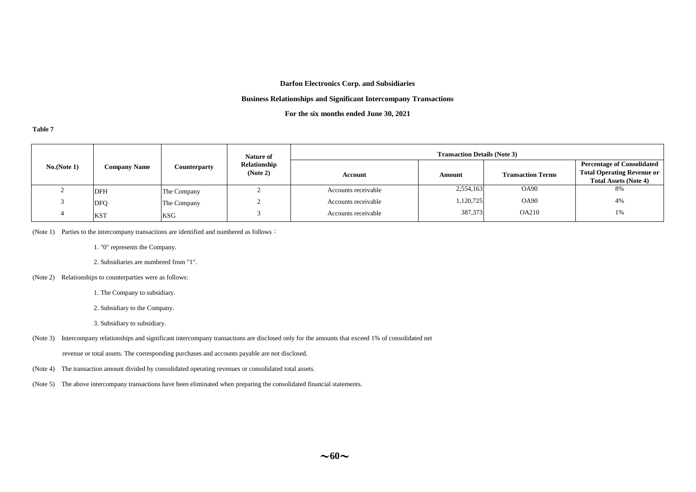#### **Business Relationships and Significant Intercompany Transactions**

**For the six months ended June 30, 2021** 

**Table 7** 

|             |                     |                     | Nature of                |                     | <b>Transaction Details (Note 3)</b> |                          |                                                                                                        |
|-------------|---------------------|---------------------|--------------------------|---------------------|-------------------------------------|--------------------------|--------------------------------------------------------------------------------------------------------|
| No.(Note 1) | <b>Company Name</b> | <b>Counterparty</b> | Relationship<br>(Note 2) | Account             | Amount                              | <b>Transaction Terms</b> | <b>Percentage of Consolidated</b><br><b>Total Operating Revenue or</b><br><b>Total Assets (Note 4)</b> |
|             | <b>DFH</b>          | The Company         |                          | Accounts receivable | 2,554,163                           | <b>OA90</b>              | 8%                                                                                                     |
|             | <b>DFQ</b>          | The Company         |                          | Accounts receivable | 1,120,725                           | <b>OA90</b>              | 4%                                                                                                     |
|             | <b>KST</b>          | <b>KSG</b>          |                          | Accounts receivable | 387,373                             | <b>OA210</b>             | 1%                                                                                                     |

(Note 1) Parties to the intercompany transactions are identified and numbered as follows:

1. "0" represents the Company.

2. Subsidiaries are numbered from "1".

(Note 2) Relationships to counterparties were as follows:

1. The Company to subsidiary.

2. Subsidiary to the Company.

3. Subsidiary to subsidiary.

(Note 3) Intercompany relationships and significant intercompany transactions are disclosed only for the amounts that exceed 1% of consolidated net

revenue or total assets. The corresponding purchases and accounts payable are not disclosed.

(Note 4) The transaction amount divided by consolidated operating revenues or consolidated total assets.

(Note 5) The above intercompany transactions have been eliminated when preparing the consolidated financial statements.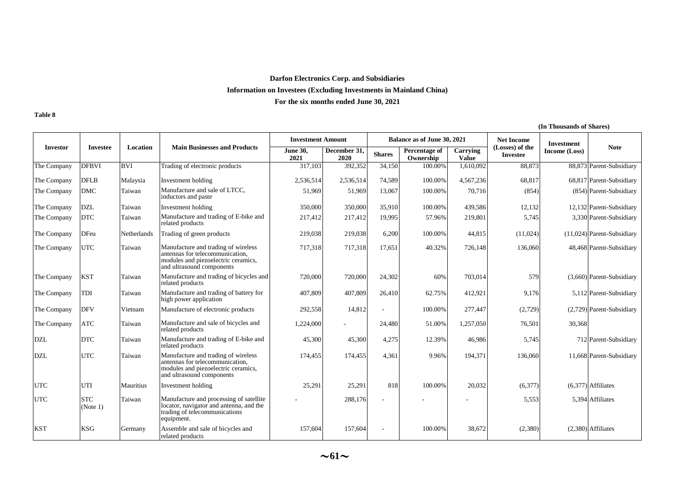### **Darfon Electronics Corp. and Subsidiaries Information on Investees (Excluding Investments in Mainland China) For the six months ended June 30, 2021**

#### **Table 8**

|                 |                        |                 |                                                                                                                                            |                          |                      |                          |                             |                          |                                    | (III Thousands of Shares) |                              |
|-----------------|------------------------|-----------------|--------------------------------------------------------------------------------------------------------------------------------------------|--------------------------|----------------------|--------------------------|-----------------------------|--------------------------|------------------------------------|---------------------------|------------------------------|
|                 |                        |                 |                                                                                                                                            | <b>Investment Amount</b> |                      |                          | Balance as of June 30, 2021 |                          | <b>Net Income</b>                  | <b>Investment</b>         |                              |
| <b>Investor</b> | <b>Investee</b>        | <b>Location</b> | <b>Main Businesses and Products</b>                                                                                                        | <b>June 30,</b><br>2021  | December 31,<br>2020 | <b>Shares</b>            | Percentage of<br>Ownership  | Carrying<br><b>Value</b> | (Losses) of the<br><b>Investee</b> | Income (Loss)             | <b>Note</b>                  |
| The Company     | <b>DFBVI</b>           | <b>BVI</b>      | Trading of electronic products                                                                                                             | 317,103                  | 392,352              | 34,150                   | 100.00%                     | 1,610,092                | 88,873                             |                           | 88,873 Parent-Subsidiary     |
| The Company     | <b>DFLB</b>            | Malaysia        | Investment holding                                                                                                                         | 2,536,514                | 2,536,514            | 74,589                   | 100.00%                     | 4,567,236                | 68,817                             |                           | 68,817 Parent-Subsidiary     |
| The Company     | <b>DMC</b>             | Taiwan          | Manufacture and sale of LTCC,<br>inductors and paste                                                                                       | 51,969                   | 51,969               | 13,067                   | 100.00%                     | 70,716                   | (854)                              |                           | $(854)$ Parent-Subsidiary    |
| The Company     | <b>DZL</b>             | Taiwan          | Investment holding                                                                                                                         | 350,000                  | 350,000              | 35,910                   | 100.00%                     | 439,586                  | 12,132                             |                           | 12,132 Parent-Subsidiary     |
| The Company     | <b>DTC</b>             | Taiwan          | Manufacture and trading of E-bike and<br>related products                                                                                  | 217,412                  | 217,412              | 19,995                   | 57.96%                      | 219,801                  | 5,745                              |                           | 3,330 Parent-Subsidiary      |
| The Company     | <b>DFeu</b>            | Netherlands     | Trading of green products                                                                                                                  | 219,038                  | 219,038              | 6,200                    | 100.00%                     | 44,815                   | (11,024)                           |                           | $(11,024)$ Parent-Subsidiary |
| The Company     | <b>UTC</b>             | Taiwan          | Manufacture and trading of wireless<br>antennas for telecommunication,<br>modules and piezoelectric ceramics,<br>and ultrasound components | 717,318                  | 717,318              | 17,651                   | 40.32%                      | 726,148                  | 136,060                            |                           | 48,468 Parent-Subsidiary     |
| The Company     | <b>KST</b>             | Taiwan          | Manufacture and trading of bicycles and<br>related products                                                                                | 720,000                  | 720,000              | 24,302                   | 60%                         | 703,014                  | 579                                |                           | $(3,660)$ Parent-Subsidiary  |
| The Company     | TDI                    | Taiwan          | Manufacture and trading of battery for<br>high power application                                                                           | 407,809                  | 407,809              | 26,410                   | 62.75%                      | 412,921                  | 9,176                              |                           | 5,112 Parent-Subsidiary      |
| The Company     | <b>DFV</b>             | Vietnam         | Manufacture of electronic products                                                                                                         | 292,558                  | 14,812               | $\sim$                   | 100.00%                     | 277,447                  | (2,729)                            |                           | $(2,729)$ Parent-Subsidiary  |
| The Company     | <b>ATC</b>             | Taiwan          | Manufacture and sale of bicycles and<br>related products                                                                                   | 1,224,000                |                      | 24,480                   | 51.00%                      | 1,257,050                | 76,501                             | 30,368                    |                              |
| <b>DZL</b>      | <b>DTC</b>             | Taiwan          | Manufacture and trading of E-bike and<br>related products                                                                                  | 45,300                   | 45,300               | 4,275                    | 12.39%                      | 46,986                   | 5,745                              |                           | 712 Parent-Subsidiary        |
| <b>DZL</b>      | <b>UTC</b>             | Taiwan          | Manufacture and trading of wireless<br>antennas for telecommunication,<br>modules and piezoelectric ceramics,<br>and ultrasound components | 174,455                  | 174,455              | 4,361                    | 9.96%                       | 194,371                  | 136,060                            |                           | 11,668 Parent-Subsidiary     |
| <b>UTC</b>      | <b>UTI</b>             | Mauritius       | Investment holding                                                                                                                         | 25,291                   | 25,291               | 818                      | 100.00%                     | 20,032                   | (6,377)                            |                           | $(6,377)$ Affiliates         |
| <b>UTC</b>      | <b>STC</b><br>(Note 1) | Taiwan          | Manufacture and processing of satellite<br>locator, navigator and antenna, and the<br>trading of telecommunications<br>equipment.          |                          | 288,176              |                          |                             |                          | 5,553                              |                           | 5.394 Affiliates             |
| <b>KST</b>      | <b>KSG</b>             | Germany         | Assemble and sale of bicycles and<br>related products                                                                                      | 157,604                  | 157,604              | $\overline{\phantom{a}}$ | 100.00%                     | 38,672                   | (2,380)                            |                           | $(2,380)$ Affiliates         |

**(In Thousands of Shares)**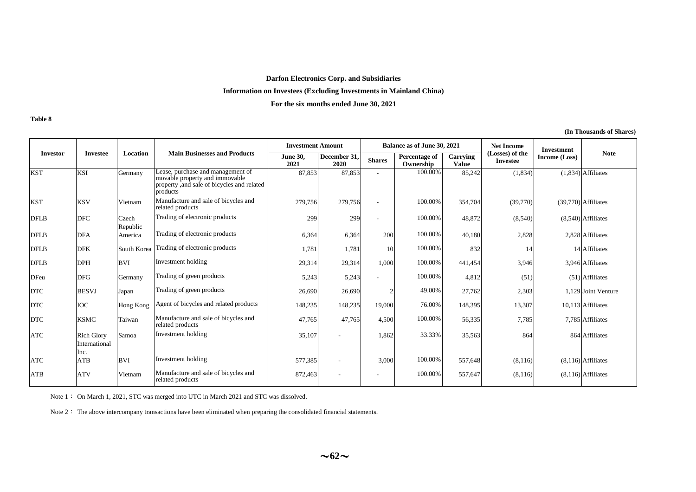#### **Information on Investees (Excluding Investments in Mainland China)**

**For the six months ended June 30, 2021** 

**Table 8** 

|                 |                                    | Location          | <b>Main Businesses and Products</b>                                                                                           | <b>Investment Amount</b> |                          | Balance as of June 30, 2021 |                            |                          | <b>Net Income</b>           | <b>Investment</b> |                       |
|-----------------|------------------------------------|-------------------|-------------------------------------------------------------------------------------------------------------------------------|--------------------------|--------------------------|-----------------------------|----------------------------|--------------------------|-----------------------------|-------------------|-----------------------|
| <b>Investor</b> | <b>Investee</b>                    |                   |                                                                                                                               | <b>June 30,</b><br>2021  | December 31.<br>2020     | <b>Shares</b>               | Percentage of<br>Ownership | Carrying<br><b>Value</b> | (Losses) of the<br>Investee | Income (Loss)     | <b>Note</b>           |
| <b>KST</b>      | <b>KSI</b>                         | Germany           | Lease, purchase and management of<br>movable property and immovable<br>property ,and sale of bicycles and related<br>products | 87,853                   | 87,853                   |                             | 100.00%                    | 85,242                   | (1,834)                     |                   | $(1,834)$ Affiliates  |
| <b>KST</b>      | <b>KSV</b>                         | Vietnam           | Manufacture and sale of bicycles and<br>related products                                                                      | 279,756                  | 279,756                  |                             | 100.00%                    | 354,704                  | (39,770)                    |                   | $(39,770)$ Affiliates |
| <b>DFLB</b>     | <b>DFC</b>                         | Czech<br>Republic | Trading of electronic products                                                                                                | 299                      | 299                      |                             | 100.00%                    | 48,872                   | (8,540)                     |                   | $(8,540)$ Affiliates  |
| <b>DFLB</b>     | <b>DFA</b>                         | America           | Trading of electronic products                                                                                                | 6,364                    | 6,364                    | 200                         | 100.00%                    | 40.180                   | 2,828                       |                   | 2.828 Affiliates      |
| <b>DFLB</b>     | <b>DFK</b>                         | South Korea       | Trading of electronic products                                                                                                | 1,781                    | 1,781                    | 10                          | 100.00%                    | 832                      | 14                          |                   | 14 Affiliates         |
| <b>DFLB</b>     | <b>DPH</b>                         | <b>BVI</b>        | Investment holding                                                                                                            | 29,314                   | 29,314                   | 1,000                       | 100.00%                    | 441,454                  | 3,946                       |                   | 3,946 Affiliates      |
| <b>DFeu</b>     | <b>DFG</b>                         | Germany           | Trading of green products                                                                                                     | 5,243                    | 5,243                    |                             | 100.00%                    | 4,812                    | (51)                        |                   | $(51)$ Affiliates     |
| <b>DTC</b>      | <b>BESVJ</b>                       | Japan             | Trading of green products                                                                                                     | 26,690                   | 26,690                   |                             | 49.00%                     | 27,762                   | 2,303                       |                   | 1,129 Joint Venture   |
| <b>DTC</b>      | <b>IOC</b>                         | Hong Kong         | Agent of bicycles and related products                                                                                        | 148,235                  | 148,235                  | 19,000                      | 76.00%                     | 148,395                  | 13,307                      |                   | 10,113 Affiliates     |
| <b>DTC</b>      | <b>KSMC</b>                        | Taiwan            | Manufacture and sale of bicycles and<br>related products                                                                      | 47,765                   | 47,765                   | 4,500                       | 100.00%                    | 56,335                   | 7,785                       |                   | 7,785 Affiliates      |
| <b>ATC</b>      | <b>Rich Glory</b><br>International | Samoa             | Investment holding                                                                                                            | 35,107                   |                          | 1,862                       | 33.33%                     | 35,563                   | 864                         |                   | 864 Affiliates        |
| <b>ATC</b>      | Inc.<br><b>ATB</b>                 | <b>BVI</b>        | Investment holding                                                                                                            | 577,385                  |                          | 3,000                       | 100.00%                    | 557,648                  | (8,116)                     |                   | $(8,116)$ Affiliates  |
| <b>ATB</b>      | <b>ATV</b>                         | Vietnam           | Manufacture and sale of bicycles and<br>related products                                                                      | 872,463                  | $\overline{\phantom{a}}$ |                             | 100.00%                    | 557,647                  | (8,116)                     |                   | $(8,116)$ Affiliates  |

Note 1: On March 1, 2021, STC was merged into UTC in March 2021 and STC was dissolved.

Note 2: The above intercompany transactions have been eliminated when preparing the consolidated financial statements.

**(In Thousands of Shares)**

 $\sim$ 62 $\sim$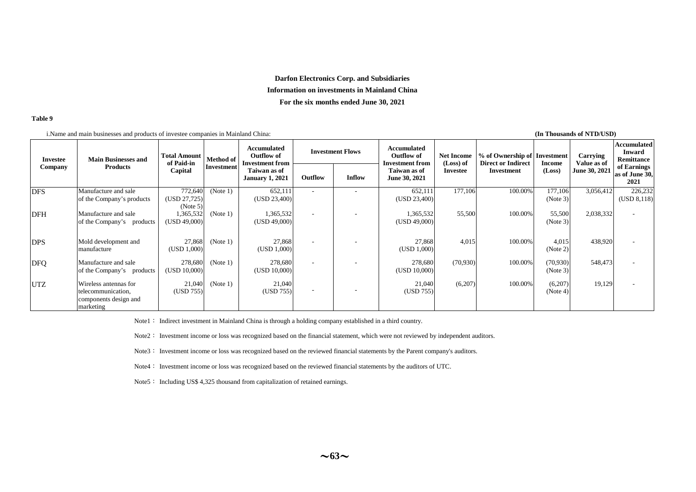#### **Darfon Electronics Corp. and Subsidiaries Information on investments in Mainland China For the six months ended June 30, 2021**

#### **Table 9**

i.Name and main businesses and products of investee companies in Mainland China: **(In Thousands of NTD/USD)** 

| <b>Investee</b> | <b>Main Businesses and</b>                                                        | <b>Total Amount</b><br>of Paid-in<br>Capital | <b>Method of</b><br>Investment | Accumulated<br><b>Outflow of</b><br><b>Investment from</b><br>Taiwan as of<br><b>January 1, 2021</b> | <b>Investment Flows</b> |               | Accumulated<br><b>Outflow of</b><br><b>Investment from</b> | <b>Net Income</b><br>(Loss) of | % of Ownership of   Investment<br><b>Direct or Indirect</b> | <b>Income</b>         | Carrying<br>Value as of | <b>Accumulated</b><br>Inward<br>Remittance |
|-----------------|-----------------------------------------------------------------------------------|----------------------------------------------|--------------------------------|------------------------------------------------------------------------------------------------------|-------------------------|---------------|------------------------------------------------------------|--------------------------------|-------------------------------------------------------------|-----------------------|-------------------------|--------------------------------------------|
| Company         | <b>Products</b>                                                                   |                                              |                                |                                                                                                      | Outflow                 | <b>Inflow</b> | Taiwan as of<br>June 30, 2021                              | Investee                       | Investment                                                  | (Loss)                | June 30, 2021           | of Earnings<br>as of June 30.<br>2021      |
| <b>DFS</b>      | Manufacture and sale<br>of the Company's products                                 | 772,640<br>(USD 27,725)<br>(Note 5)          | (Note 1)                       | 652,111<br>(USD 23,400)                                                                              |                         |               | 652,111<br>(USD 23,400)                                    | 177,106                        | 100.00%                                                     | 177,106<br>(Note 3)   | 3,056,412               | 226,232<br>(USD 8,118)                     |
| <b>DFH</b>      | Manufacture and sale<br>of the Company's products                                 | 1,365,532<br>(USD 49,000)                    | (Note 1)                       | 1,365,532<br>(USD 49,000)                                                                            |                         |               | 1,365,532<br>(USD 49,000)                                  | 55,500                         | 100.00%                                                     | 55,500<br>(Note 3)    | 2,038,332               |                                            |
| <b>DPS</b>      | Mold development and<br>manufacture                                               | 27,868<br>(USD 1,000)                        | (Note 1)                       | 27,868<br>(USD 1,000)                                                                                |                         |               | 27,868<br>(USD 1,000)                                      | 4,015                          | 100.00%                                                     | 4,015<br>(Note 2)     | 438,920                 |                                            |
| <b>DFQ</b>      | Manufacture and sale<br>of the Company's products                                 | 278,680<br>(USD 10,000)                      | (Note 1)                       | 278,680<br>(USD 10,000)                                                                              |                         |               | 278,680<br>(USD 10,000)                                    | (70,930)                       | 100.00%                                                     | (70, 930)<br>(Note 3) | 548,473                 |                                            |
| <b>UTZ</b>      | Wireless antennas for<br>telecommunication,<br>components design and<br>marketing | 21,040<br>(USD 755)                          | (Note 1)                       | 21,040<br>(USD 755)                                                                                  | $\sim$                  |               | 21,040<br>(USD 755)                                        | (6,207)                        | 100.00%                                                     | (6,207)<br>(Note 4)   | 19,129                  |                                            |

Note1: Indirect investment in Mainland China is through a holding company established in a third country.

Note2: Investment income or loss was recognized based on the financial statement, which were not reviewed by independent auditors.

Note3: Investment income or loss was recognized based on the reviewed financial statements by the Parent company's auditors.

Note4: Investment income or loss was recognized based on the reviewed financial statements by the auditors of UTC.

Note5: Including US\$ 4,325 thousand from capitalization of retained earnings.